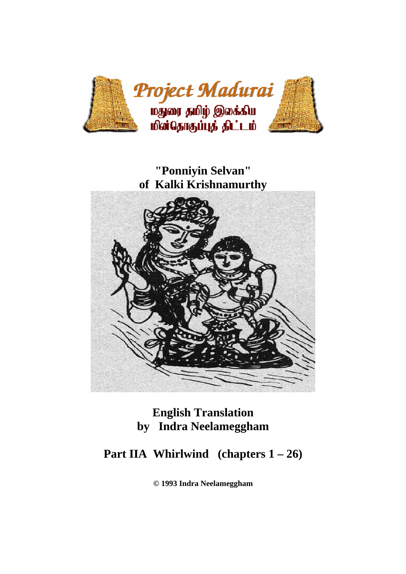

**"Ponniyin Selvan" of Kalki Krishnamurthy** 



**English Translation by Indra Neelameggham** 

**Part IIA Whirlwind (chapters 1 – 26)** 

**© 1993 Indra Neelameggham**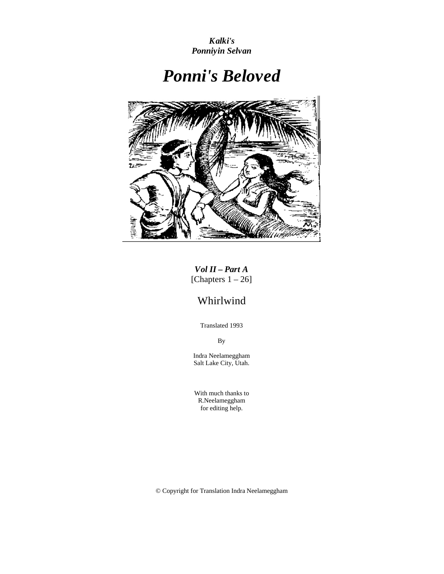*Kalki's Ponniyin Selvan*

# *Ponni's Beloved*



*Vol II – Part A* [Chapters 1 – 26]

## Whirlwind

Translated 1993

By

Indra Neelameggham Salt Lake City, Utah.

With much thanks to R.Neelameggham for editing help.

© Copyright for Translation Indra Neelameggham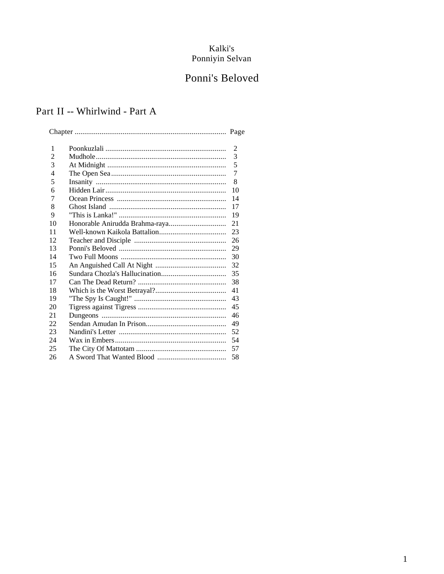## Kalki's Ponniyin Selvan

## Ponni's Beloved

## Part II -- Whirlwind - Part A

| 1              | 2  |
|----------------|----|
| $\overline{2}$ | 3  |
| 3              | 5  |
| $\overline{4}$ | 7  |
| 5              | 8  |
| 6              | 10 |
| 7              | 14 |
| 8              | 17 |
| 9              | 19 |
| 10             |    |
| 11             | 23 |
| 12             | 26 |
| 13             |    |
| 14             | 30 |
| 15             | 32 |
| 16             | 35 |
| 17             |    |
| 18             | 41 |
| 19             | 43 |
| 20             |    |
| 21             | 46 |
| 22             | 49 |
| 23             |    |
| 24             | 54 |
| 25             |    |
| 26             | 58 |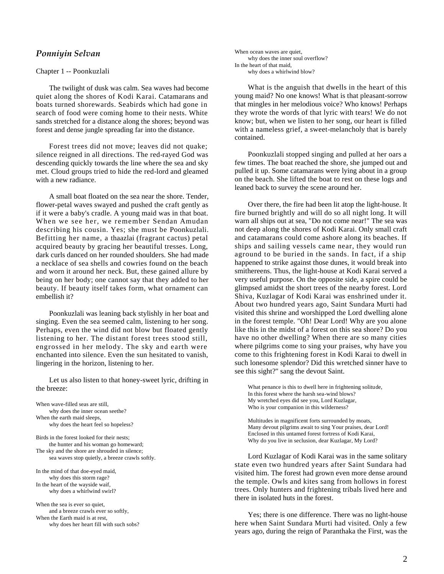#### *Ponniyin Selvan*

#### Chapter 1 -- Poonkuzlali

The twilight of dusk was calm. Sea waves had become quiet along the shores of Kodi Karai. Catamarans and boats turned shorewards. Seabirds which had gone in search of food were coming home to their nests. White sands stretched for a distance along the shores; beyond was forest and dense jungle spreading far into the distance.

Forest trees did not move; leaves did not quake; silence reigned in all directions. The red-rayed God was descending quickly towards the line where the sea and sky met. Cloud groups tried to hide the red-lord and gleamed with a new radiance.

A small boat floated on the sea near the shore. Tender, flower-petal waves swayed and pushed the craft gently as if it were a baby's cradle. A young maid was in that boat. When we see her, we remember Sendan Amudan describing his cousin. Yes; she must be Poonkuzlali. Befitting her name, a thaazlai (fragrant cactus) petal acquired beauty by gracing her beautiful tresses. Long, dark curls danced on her rounded shoulders. She had made a necklace of sea shells and cowries found on the beach and worn it around her neck. But, these gained allure by being on her body; one cannot say that they added to her beauty. If beauty itself takes form, what ornament can embellish it?

Poonkuzlali was leaning back stylishly in her boat and singing. Even the sea seemed calm, listening to her song. Perhaps, even the wind did not blow but floated gently listening to her. The distant forest trees stood still, engrossed in her melody. The sky and earth were enchanted into silence. Even the sun hesitated to vanish, lingering in the horizon, listening to her.

Let us also listen to that honey-sweet lyric, drifting in the breeze:

When wave-filled seas are still, why does the inner ocean seethe? When the earth maid sleeps, why does the heart feel so hopeless?

Birds in the forest looked for their nests; the hunter and his woman go homeward; The sky and the shore are shrouded in silence; sea waves stop quietly, a breeze crawls softly.

In the mind of that doe-eyed maid, why does this storm rage? In the heart of the wayside waif, why does a whirlwind swirl?

When the sea is ever so quiet, and a breeze crawls ever so softly, When the Earth maid is at rest, why does her heart fill with such sobs? When ocean waves are quiet. why does the inner soul overflow? In the heart of that maid, why does a whirlwind blow?

What is the anguish that dwells in the heart of this young maid? No one knows! What is that pleasant-sorrow that mingles in her melodious voice? Who knows! Perhaps they wrote the words of that lyric with tears! We do not know; but, when we listen to her song, our heart is filled with a nameless grief, a sweet-melancholy that is barely contained.

Poonkuzlali stopped singing and pulled at her oars a few times. The boat reached the shore, she jumped out and pulled it up. Some catamarans were lying about in a group on the beach. She lifted the boat to rest on these logs and leaned back to survey the scene around her.

Over there, the fire had been lit atop the light-house. It fire burned brightly and will do so all night long. It will warn all ships out at sea, "Do not come near!" The sea was not deep along the shores of Kodi Karai. Only small craft and catamarans could come ashore along its beaches. If ships and sailing vessels came near, they would run aground to be buried in the sands. In fact, if a ship happened to strike against those dunes, it would break into smithereens. Thus, the light-house at Kodi Karai served a very useful purpose. On the opposite side, a spire could be glimpsed amidst the short trees of the nearby forest. Lord Shiva, Kuzlagar of Kodi Karai was enshrined under it. About two hundred years ago, Saint Sundara Murti had visited this shrine and worshipped the Lord dwelling alone in the forest temple. "Oh! Dear Lord! Why are you alone like this in the midst of a forest on this sea shore? Do you have no other dwelling? When there are so many cities where pilgrims come to sing your praises, why have you come to this frightening forest in Kodi Karai to dwell in such lonesome splendor? Did this wretched sinner have to see this sight?" sang the devout Saint.

What penance is this to dwell here in frightening solitude, In this forest where the harsh sea-wind blows? My wretched eyes did see you, Lord Kuzlagar, Who is your companion in this wilderness?

Multitudes in magnificent forts surrounded by moats, Many devout pilgrims await to sing Your praises, dear Lord! Enclosed in this untamed forest fortress of Kodi Karai, Why do you live in seclusion, dear Kuzlagar, My Lord?

Lord Kuzlagar of Kodi Karai was in the same solitary state even two hundred years after Saint Sundara had visited him. The forest had grown even more dense around the temple. Owls and kites sang from hollows in forest trees. Only hunters and frightening tribals lived here and there in isolated huts in the forest.

Yes; there is one difference. There was no light-house here when Saint Sundara Murti had visited. Only a few years ago, during the reign of Paranthaka the First, was the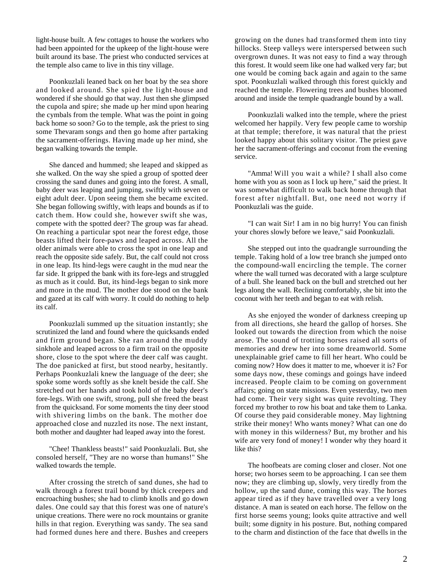light-house built. A few cottages to house the workers who had been appointed for the upkeep of the light-house were built around its base. The priest who conducted services at the temple also came to live in this tiny village.

Poonkuzlali leaned back on her boat by the sea shore and looked around. She spied the light-house and wondered if she should go that way. Just then she glimpsed the cupola and spire; she made up her mind upon hearing the cymbals from the temple. What was the point in going back home so soon? Go to the temple, ask the priest to sing some Thevaram songs and then go home after partaking the sacrament-offerings. Having made up her mind, she began walking towards the temple.

She danced and hummed; she leaped and skipped as she walked. On the way she spied a group of spotted deer crossing the sand dunes and going into the forest. A small, baby deer was leaping and jumping, swiftly with seven or eight adult deer. Upon seeing them she became excited. She began following swiftly, with leaps and bounds as if to catch them. How could she, however swift she was, compete with the spotted deer? The group was far ahead. On reaching a particular spot near the forest edge, those beasts lifted their fore-paws and leaped across. All the older animals were able to cross the spot in one leap and reach the opposite side safely. But, the calf could not cross in one leap. Its hind-legs were caught in the mud near the far side. It gripped the bank with its fore-legs and struggled as much as it could. But, its hind-legs began to sink more and more in the mud. The mother doe stood on the bank and gazed at its calf with worry. It could do nothing to help its calf.

Poonkuzlali summed up the situation instantly; she scrutinized the land and found where the quicksands ended and firm ground began. She ran around the muddy sinkhole and leaped across to a firm trail on the opposite shore, close to the spot where the deer calf was caught. The doe panicked at first, but stood nearby, hesitantly. Perhaps Poonkuzlali knew the language of the deer; she spoke some words softly as she knelt beside the calf. She stretched out her hands and took hold of the baby deer's fore-legs. With one swift, strong, pull she freed the beast from the quicksand. For some moments the tiny deer stood with shivering limbs on the bank. The mother doe approached close and nuzzled its nose. The next instant, both mother and daughter had leaped away into the forest.

"Chee! Thankless beasts!" said Poonkuzlali. But, she consoled herself, "They are no worse than humans!" She walked towards the temple.

After crossing the stretch of sand dunes, she had to walk through a forest trail bound by thick creepers and encroaching bushes; she had to climb knolls and go down dales. One could say that this forest was one of nature's unique creations. There were no rock mountains or granite hills in that region. Everything was sandy. The sea sand had formed dunes here and there. Bushes and creepers

growing on the dunes had transformed them into tiny hillocks. Steep valleys were interspersed between such overgrown dunes. It was not easy to find a way through this forest. It would seem like one had walked very far; but one would be coming back again and again to the same spot. Poonkuzlali walked through this forest quickly and reached the temple. Flowering trees and bushes bloomed around and inside the temple quadrangle bound by a wall.

Poonkuzlali walked into the temple, where the priest welcomed her happily. Very few people came to worship at that temple; therefore, it was natural that the priest looked happy about this solitary visitor. The priest gave her the sacrament-offerings and coconut from the evening service.

"Amma! Will you wait a while? I shall also come home with you as soon as I lock up here," said the priest. It was somewhat difficult to walk back home through that forest after nightfall. But, one need not worry if Poonkuzlali was the guide.

"I can wait Sir! I am in no big hurry! You can finish your chores slowly before we leave," said Poonkuzlali.

She stepped out into the quadrangle surrounding the temple. Taking hold of a low tree branch she jumped onto the compound-wall encircling the temple. The corner where the wall turned was decorated with a large sculpture of a bull. She leaned back on the bull and stretched out her legs along the wall. Reclining comfortably, she bit into the coconut with her teeth and began to eat with relish.

As she enjoyed the wonder of darkness creeping up from all directions, she heard the gallop of horses. She looked out towards the direction from which the noise arose. The sound of trotting horses raised all sorts of memories and drew her into some dreamworld. Some unexplainable grief came to fill her heart. Who could be coming now? How does it matter to me, whoever it is? For some days now, these comings and goings have indeed increased. People claim to be coming on government affairs; going on state missions. Even yesterday, two men had come. Their very sight was quite revolting. They forced my brother to row his boat and take them to Lanka. Of course they paid considerable money. May lightning strike their money! Who wants money? What can one do with money in this wilderness? But, my brother and his wife are very fond of money! I wonder why they hoard it like this?

The hoofbeats are coming closer and closer. Not one horse; two horses seem to be approaching. I can see them now; they are climbing up, slowly, very tiredly from the hollow, up the sand dune, coming this way. The horses appear tired as if they have travelled over a very long distance. A man is seated on each horse. The fellow on the first horse seems young; looks quite attractive and well built; some dignity in his posture. But, nothing compared to the charm and distinction of the face that dwells in the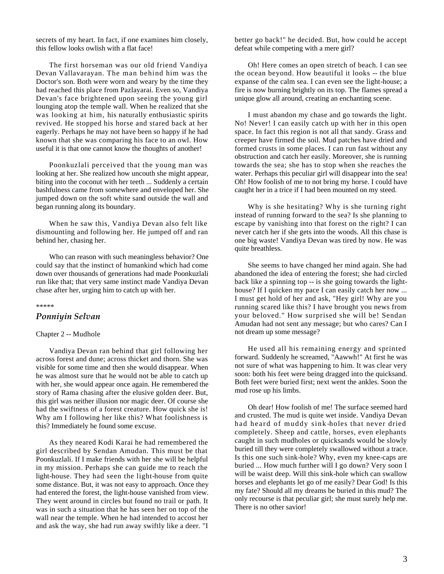secrets of my heart. In fact, if one examines him closely, this fellow looks owlish with a flat face!

The first horseman was our old friend Vandiya Devan Vallavarayan. The man behind him was the Doctor's son. Both were worn and weary by the time they had reached this place from Pazlayarai. Even so, Vandiya Devan's face brightened upon seeing the young girl lounging atop the temple wall. When he realized that she was looking at him, his naturally enthusiastic spirits revived. He stopped his horse and stared back at her eagerly. Perhaps he may not have been so happy if he had known that she was comparing his face to an owl. How useful it is that one cannot know the thoughts of another!

Poonkuzlali perceived that the young man was looking at her. She realized how uncouth she might appear, biting into the coconut with her teeth ... Suddenly a certain bashfulness came from somewhere and enveloped her. She jumped down on the soft white sand outside the wall and began running along its boundary.

When he saw this, Vandiya Devan also felt like dismounting and following her. He jumped off and ran behind her, chasing her.

Who can reason with such meaningless behavior? One could say that the instinct of humankind which had come down over thousands of generations had made Poonkuzlali run like that; that very same instinct made Vandiya Devan chase after her, urging him to catch up with her.

#### \*\*\*\*\*

#### *Ponniyin Selvan*

#### Chapter 2 -- Mudhole

Vandiya Devan ran behind that girl following her across forest and dune; across thicket and thorn. She was visible for some time and then she would disappear. When he was almost sure that he would not be able to catch up with her, she would appear once again. He remembered the story of Rama chasing after the elusive golden deer. But, this girl was neither illusion nor magic deer. Of course she had the swiftness of a forest creature. How quick she is! Why am I following her like this? What foolishness is this? Immediately he found some excuse.

As they neared Kodi Karai he had remembered the girl described by Sendan Amudan. This must be that Poonkuzlali. If I make friends with her she will be helpful in my mission. Perhaps she can guide me to reach the light-house. They had seen the light-house from quite some distance. But, it was not easy to approach. Once they had entered the forest, the light-house vanished from view. They went around in circles but found no trail or path. It was in such a situation that he has seen her on top of the wall near the temple. When he had intended to accost her and ask the way, she had run away swiftly like a deer. "I

better go back!" he decided. But, how could he accept defeat while competing with a mere girl?

Oh! Here comes an open stretch of beach. I can see the ocean beyond. How beautiful it looks -- the blue expanse of the calm sea. I can even see the light-house; a fire is now burning brightly on its top. The flames spread a unique glow all around, creating an enchanting scene.

I must abandon my chase and go towards the light. No! Never! I can easily catch up with her in this open space. In fact this region is not all that sandy. Grass and creeper have firmed the soil. Mud patches have dried and formed crusts in some places. I can run fast without any obstruction and catch her easily. Moreover, she is running towards the sea; she has to stop when she reaches the water. Perhaps this peculiar girl will disappear into the sea! Oh! How foolish of me to not bring my horse. I could have caught her in a trice if I had been mounted on my steed.

Why is she hesitating? Why is she turning right instead of running forward to the sea? Is she planning to escape by vanishing into that forest on the right? I can never catch her if she gets into the woods. All this chase is one big waste! Vandiya Devan was tired by now. He was quite breathless.

She seems to have changed her mind again. She had abandoned the idea of entering the forest; she had circled back like a spinning top -- is she going towards the lighthouse? If I quicken my pace I can easily catch her now ... I must get hold of her and ask, "Hey girl! Why are you running scared like this? I have brought you news from your beloved." How surprised she will be! Sendan Amudan had not sent any message; but who cares? Can I not dream up some message?

He used all his remaining energy and sprinted forward. Suddenly he screamed, "Aawwh!" At first he was not sure of what was happening to him. It was clear very soon: both his feet were being dragged into the quicksand. Both feet were buried first; next went the ankles. Soon the mud rose up his limbs.

Oh dear! How foolish of me! The surface seemed hard and crusted. The mud is quite wet inside. Vandiya Devan had heard of muddy sink -holes that never dried completely. Sheep and cattle, horses, even elephants caught in such mudholes or quicksands would be slowly buried till they were completely swallowed without a trace. Is this one such sink-hole? Why, even my knee-caps are buried ... How much further will I go down? Very soon I will be waist deep. Will this sink-hole which can swallow horses and elephants let go of me easily? Dear God! Is this my fate? Should all my dreams be buried in this mud? The only recourse is that peculiar girl; she must surely help me. There is no other savior!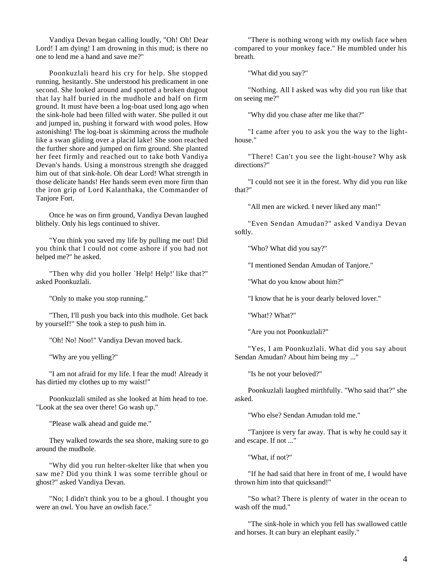Vandiya Devan began calling loudly, "Oh! Oh! Dear Lord! I am dying! I am drowning in this mud; is there no one to lend me a hand and save me?"

Poonkuzlali heard his cry for help. She stopped running, hesitantly. She understood his predicament in one second. She looked around and spotted a broken dugout that lay half buried in the mudhole and half on firm ground. It must have been a log-boat used long ago when the sink-hole had been filled with water. She pulled it out and jumped in, pushing it forward with wood poles. How astonishing! The log-boat is skimming across the mudhole like a swan gliding over a placid lake! She soon reached the further shore and jumped on firm ground. She planted her feet firmly and reached out to take both Vandiya Devan's hands. Using a monstrous strength she dragged him out of that sink-hole. Oh dear Lord! What strength in those delicate hands! Her hands seem even more firm than the iron grip of Lord Kalanthaka, the Commander of Tanjore Fort.

Once he was on firm ground, Vandiya Devan laughed blithely. Only his legs continued to shiver.

"You think you saved my life by pulling me out! Did you think that I could not come ashore if you had not helped me?" he asked.

"Then why did you holler `Help! Help!' like that?" asked Poonkuzlali.

"Only to make you stop running."

"Then, I'll push you back into this mudhole. Get back by yourself!" She took a step to push him in.

"Oh! No! Noo!" Vandiya Devan moved back.

"Why are you yelling?"

"I am not afraid for my life. I fear the mud! Already it has dirtied my clothes up to my waist!"

Poonkuzlali smiled as she looked at him head to toe. "Look at the sea over there! Go wash up."

"Please walk ahead and guide me."

They walked towards the sea shore, making sure to go around the mudhole.

"Why did you run helter-skelter like that when you saw me? Did you think I was some terrible ghoul or ghost?" asked Vandiya Devan.

"No; I didn't think you to be a ghoul. I thought you were an owl. You have an owlish face."

"There is nothing wrong with my owlish face when compared to your monkey face." He mumbled under his breath.

"What did you say?"

"Nothing. All I asked was why did you run like that on seeing me?"

"Why did you chase after me like that?"

"I came after you to ask you the way to the lighthouse."

"There! Can't you see the light-house? Why ask directions?"

"I could not see it in the forest. Why did you run like that?"

"All men are wicked. I never liked any man!"

"Even Sendan Amudan?" asked Vandiya Devan softly.

"Who? What did you say?"

"I mentioned Sendan Amudan of Tanjore."

"What do you know about him?"

"I know that he is your dearly beloved lover."

"What!? What?"

"Are you not Poonkuzlali?"

"Yes, I am Poonkuzlali. What did you say about Sendan Amudan? About him being my ..."

"Is he not your beloved?"

Poonkuzlali laughed mirthfully. "Who said that?" she asked.

"Who else? Sendan Amudan told me."

"Tanjore is very far away. That is why he could say it and escape. If not ..."

"What, if not?"

"If he had said that here in front of me, I would have thrown him into that quicksand!"

"So what? There is plenty of water in the ocean to wash off the mud."

"The sink-hole in which you fell has swallowed cattle and horses. It can bury an elephant easily."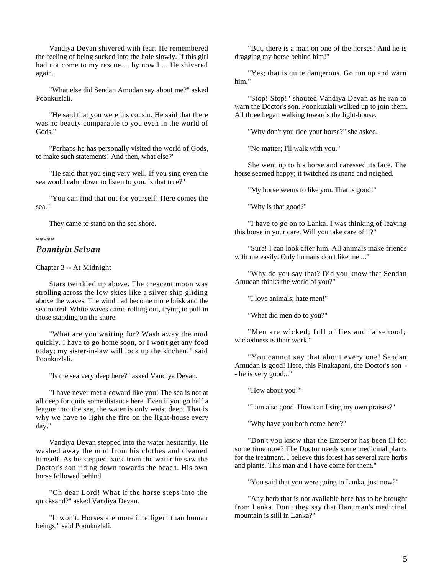Vandiya Devan shivered with fear. He remembered the feeling of being sucked into the hole slowly. If this girl had not come to my rescue ... by now I ... He shivered again.

"What else did Sendan Amudan say about me?" asked Poonkuzlali.

"He said that you were his cousin. He said that there was no beauty comparable to you even in the world of Gods."

"Perhaps he has personally visited the world of Gods, to make such statements! And then, what else?"

"He said that you sing very well. If you sing even the sea would calm down to listen to you. Is that true?"

"You can find that out for yourself! Here comes the sea."

They came to stand on the sea shore.

#### \*\*\*\*\*

#### *Ponniyin Selvan*

Chapter 3 -- At Midnight

Stars twinkled up above. The crescent moon was strolling across the low skies like a silver ship gliding above the waves. The wind had become more brisk and the sea roared. White waves came rolling out, trying to pull in those standing on the shore.

"What are you waiting for? Wash away the mud quickly. I have to go home soon, or I won't get any food today; my sister-in-law will lock up the kitchen!" said Poonkuzlali.

"Is the sea very deep here?" asked Vandiya Devan.

"I have never met a coward like you! The sea is not at all deep for quite some distance here. Even if you go half a league into the sea, the water is only waist deep. That is why we have to light the fire on the light-house every day."

Vandiya Devan stepped into the water hesitantly. He washed away the mud from his clothes and cleaned himself. As he stepped back from the water he saw the Doctor's son riding down towards the beach. His own horse followed behind.

"Oh dear Lord! What if the horse steps into the quicksand?" asked Vandiya Devan.

"It won't. Horses are more intelligent than human beings," said Poonkuzlali.

"But, there is a man on one of the horses! And he is dragging my horse behind him!"

"Yes; that is quite dangerous. Go run up and warn him."

"Stop! Stop!" shouted Vandiya Devan as he ran to warn the Doctor's son. Poonkuzlali walked up to join them. All three began walking towards the light-house.

"Why don't you ride your horse?" she asked.

"No matter; I'll walk with you."

She went up to his horse and caressed its face. The horse seemed happy; it twitched its mane and neighed.

"My horse seems to like you. That is good!"

"Why is that good?"

"I have to go on to Lanka. I was thinking of leaving this horse in your care. Will you take care of it?"

"Sure! I can look after him. All animals make friends with me easily. Only humans don't like me ..."

"Why do you say that? Did you know that Sendan Amudan thinks the world of you?"

"I love animals; hate men!"

"What did men do to you?"

"Men are wicked; full of lies and falsehood; wickedness is their work."

"You cannot say that about every one! Sendan Amudan is good! Here, this Pinakapani, the Doctor's son - - he is very good..."

"How about you?"

"I am also good. How can I sing my own praises?"

"Why have you both come here?"

"Don't you know that the Emperor has been ill for some time now? The Doctor needs some medicinal plants for the treatment. I believe this forest has several rare herbs and plants. This man and I have come for them."

"You said that you were going to Lanka, just now?"

"Any herb that is not available here has to be brought from Lanka. Don't they say that Hanuman's medicinal mountain is still in Lanka?"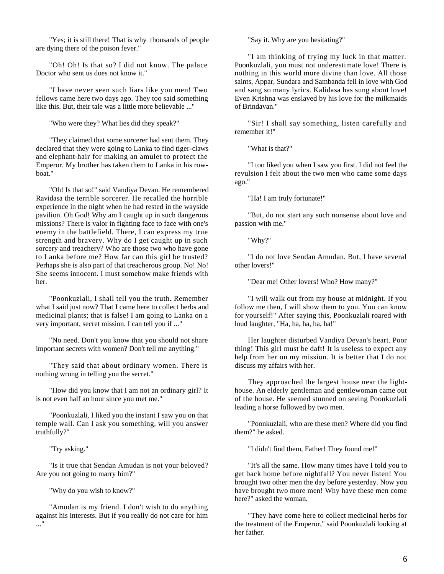"Yes; it is still there! That is why thousands of people are dying there of the poison fever."

"Oh! Oh! Is that so? I did not know. The palace Doctor who sent us does not know it."

"I have never seen such liars like you men! Two fellows came here two days ago. They too said something like this. But, their tale was a little more believable ..."

"Who were they? What lies did they speak?"

"They claimed that some sorcerer had sent them. They declared that they were going to Lanka to find tiger-claws and elephant-hair for making an amulet to protect the Emperor. My brother has taken them to Lanka in his rowboat."

"Oh! Is that so!" said Vandiya Devan. He remembered Ravidasa the terrible sorcerer. He recalled the horrible experience in the night when he had rested in the wayside pavilion. Oh God! Why am I caught up in such dangerous missions? There is valor in fighting face to face with one's enemy in the battlefield. There, I can express my true strength and bravery. Why do I get caught up in such sorcery and treachery? Who are those two who have gone to Lanka before me? How far can this girl be trusted? Perhaps she is also part of that treacherous group. No! No! She seems innocent. I must somehow make friends with her.

"Poonkuzlali, I shall tell you the truth. Remember what I said just now? That I came here to collect herbs and medicinal plants; that is false! I am going to Lanka on a very important, secret mission. I can tell you if ..."

"No need. Don't you know that you should not share important secrets with women? Don't tell me anything."

"They said that about ordinary women. There is nothing wrong in telling you the secret."

"How did you know that I am not an ordinary girl? It is not even half an hour since you met me."

"Poonkuzlali, I liked you the instant I saw you on that temple wall. Can I ask you something, will you answer truthfully?"

"Try asking."

"Is it true that Sendan Amudan is not your beloved? Are you not going to marry him?"

"Why do you wish to know?"

"Amudan is my friend. I don't wish to do anything against his interests. But if you really do not care for him ..."

"Say it. Why are you hesitating?"

"I am thinking of trying my luck in that matter. Poonkuzlali, you must not underestimate love! There is nothing in this world more divine than love. All those saints, Appar, Sundara and Sambanda fell in love with God and sang so many lyrics. Kalidasa has sung about love! Even Krishna was enslaved by his love for the milkmaids of Brindavan."

"Sir! I shall say something, listen carefully and remember it!"

"What is that?"

"I too liked you when I saw you first. I did not feel the revulsion I felt about the two men who came some days ago."

"Ha! I am truly fortunate!"

"But, do not start any such nonsense about love and passion with me."

"Why?"

"I do not love Sendan Amudan. But, I have several other lovers!"

"Dear me! Other lovers! Who? How many?"

"I will walk out from my house at midnight. If you follow me then, I will show them to you. You can know for yourself!" After saying this, Poonkuzlali roared with loud laughter, "Ha, ha, ha, ha, ha!"

Her laughter disturbed Vandiya Devan's heart. Poor thing! This girl must be daft! It is useless to expect any help from her on my mission. It is better that I do not discuss my affairs with her.

They approached the largest house near the lighthouse. An elderly gentleman and gentlewoman came out of the house. He seemed stunned on seeing Poonkuzlali leading a horse followed by two men.

"Poonkuzlali, who are these men? Where did you find them?" he asked.

"I didn't find them, Father! They found me!"

"It's all the same. How many times have I told you to get back home before nightfall? You never listen! You brought two other men the day before yesterday. Now you have brought two more men! Why have these men come here?" asked the woman.

"They have come here to collect medicinal herbs for the treatment of the Emperor," said Poonkuzlali looking at her father.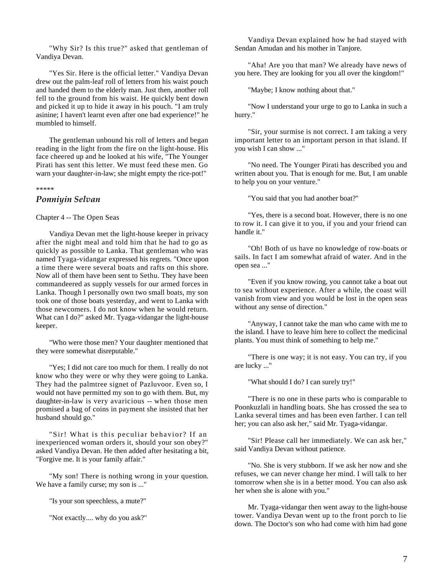"Why Sir? Is this true?" asked that gentleman of Vandiya Devan.

"Yes Sir. Here is the official letter." Vandiya Devan drew out the palm-leaf roll of letters from his waist pouch and handed them to the elderly man. Just then, another roll fell to the ground from his waist. He quickly bent down and picked it up to hide it away in his pouch. "I am truly asinine; I haven't learnt even after one bad experience!" he mumbled to himself.

The gentleman unbound his roll of letters and began reading in the light from the fire on the light-house. His face cheered up and he looked at his wife, "The Younger Pirati has sent this letter. We must feed these men. Go warn your daughter-in-law; she might empty the rice-pot!"

#### \*\*\*\*\*

#### *Ponniyin Selvan*

Chapter 4 -- The Open Seas

Vandiya Devan met the light-house keeper in privacy after the night meal and told him that he had to go as quickly as possible to Lanka. That gentleman who was named Tyaga-vidangar expressed his regrets. "Once upon a time there were several boats and rafts on this shore. Now all of them have been sent to Sethu. They have been commandeered as supply vessels for our armed forces in Lanka. Though I personally own two small boats, my son took one of those boats yesterday, and went to Lanka with those newcomers. I do not know when he would return. What can I do?" asked Mr. Tyaga-vidangar the light-house keeper.

"Who were those men? Your daughter mentioned that they were somewhat disreputable."

"Yes; I did not care too much for them. I really do not know who they were or why they were going to Lanka. They had the palmtree signet of Pazluvoor. Even so, I would not have permitted my son to go with them. But, my daughter-in-law is very avaricious -- when those men promised a bag of coins in payment she insisted that her husband should go."

"Sir! What is this peculiar behavior? If an inexperienced woman orders it, should your son obey?" asked Vandiya Devan. He then added after hesitating a bit, "Forgive me. It is your family affair."

"My son! There is nothing wrong in your question. We have a family curse; my son is ..."

"Is your son speechless, a mute?"

"Not exactly.... why do you ask?"

Vandiya Devan explained how he had stayed with Sendan Amudan and his mother in Tanjore.

"Aha! Are you that man? We already have news of you here. They are looking for you all over the kingdom!"

"Maybe; I know nothing about that."

"Now I understand your urge to go to Lanka in such a hurry."

"Sir, your surmise is not correct. I am taking a very important letter to an important person in that island. If you wish I can show ..."

"No need. The Younger Pirati has described you and written about you. That is enough for me. But, I am unable to help you on your venture."

"You said that you had another boat?"

"Yes, there is a second boat. However, there is no one to row it. I can give it to you, if you and your friend can handle it."

"Oh! Both of us have no knowledge of row-boats or sails. In fact I am somewhat afraid of water. And in the open sea ..."

"Even if you know rowing, you cannot take a boat out to sea without experience. After a while, the coast will vanish from view and you would be lost in the open seas without any sense of direction."

"Anyway, I cannot take the man who came with me to the island. I have to leave him here to collect the medicinal plants. You must think of something to help me."

"There is one way; it is not easy. You can try, if you are lucky ..."

"What should I do? I can surely try!"

"There is no one in these parts who is comparable to Poonkuzlali in handling boats. She has crossed the sea to Lanka several times and has been even farther. I can tell her; you can also ask her," said Mr. Tyaga-vidangar.

"Sir! Please call her immediately. We can ask her," said Vandiya Devan without patience.

"No. She is very stubborn. If we ask her now and she refuses, we can never change her mind. I will talk to her tomorrow when she is in a better mood. You can also ask her when she is alone with you."

Mr. Tyaga-vidangar then went away to the light-house tower. Vandiya Devan went up to the front porch to lie down. The Doctor's son who had come with him had gone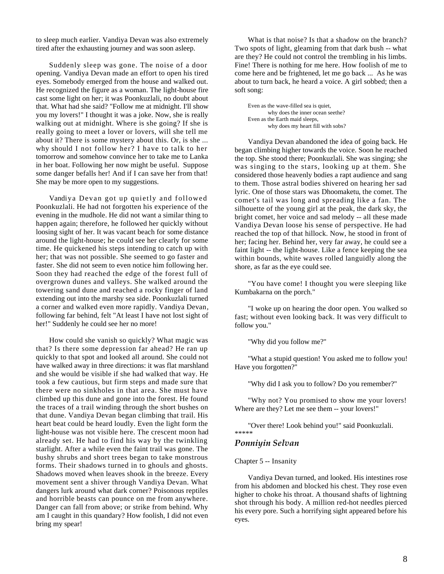to sleep much earlier. Vandiya Devan was also extremely tired after the exhausting journey and was soon asleep.

Suddenly sleep was gone. The noise of a door opening. Vandiya Devan made an effort to open his tired eyes. Somebody emerged from the house and walked out. He recognized the figure as a woman. The light-house fire cast some light on her; it was Poonkuzlali, no doubt about that. What had she said? "Follow me at midnight. I'll show you my lovers!" I thought it was a joke. Now, she is really walking out at midnight. Where is she going? If she is really going to meet a lover or lovers, will she tell me about it? There is some mystery about this. Or, is she ... why should I not follow her? I have to talk to her tomorrow and somehow convince her to take me to Lanka in her boat. Following her now might be useful. Suppose some danger befalls her! And if I can save her from that! She may be more open to my suggestions.

Vandiya Devan got up quietly and followed Poonkuzlali. He had not forgotten his experience of the evening in the mudhole. He did not want a similar thing to happen again; therefore, he followed her quickly without loosing sight of her. It was vacant beach for some distance around the light-house; he could see her clearly for some time. He quickened his steps intending to catch up with her; that was not possible. She seemed to go faster and faster. She did not seem to even notice him following her. Soon they had reached the edge of the forest full of overgrown dunes and valleys. She walked around the towering sand dune and reached a rocky finger of land extending out into the marshy sea side. Poonkuzlali turned a corner and walked even more rapidly. Vandiya Devan, following far behind, felt "At least I have not lost sight of her!" Suddenly he could see her no more!

How could she vanish so quickly? What magic was that? Is there some depression far ahead? He ran up quickly to that spot and looked all around. She could not have walked away in three directions: it was flat marshland and she would be visible if she had walked that way. He took a few cautious, but firm steps and made sure that there were no sinkholes in that area. She must have climbed up this dune and gone into the forest. He found the traces of a trail winding through the short bushes on that dune. Vandiya Devan began climbing that trail. His heart beat could be heard loudly. Even the light form the light-house was not visible here. The crescent moon had already set. He had to find his way by the twinkling starlight. After a while even the faint trail was gone. The bushy shrubs and short trees began to take monstrous forms. Their shadows turned in to ghouls and ghosts. Shadows moved when leaves shook in the breeze. Every movement sent a shiver through Vandiya Devan. What dangers lurk around what dark corner? Poisonous reptiles and horrible beasts can pounce on me from anywhere. Danger can fall from above; or strike from behind. Why am I caught in this quandary? How foolish, I did not even bring my spear!

What is that noise? Is that a shadow on the branch? Two spots of light, gleaming from that dark bush -- what are they? He could not control the trembling in his limbs. Fine! There is nothing for me here. How foolish of me to come here and be frightened, let me go back ... As he was about to turn back, he heard a voice. A girl sobbed; then a soft song:

Even as the wave-filled sea is quiet, why does the inner ocean seethe? Even as the Earth maid sleeps, why does my heart fill with sobs?

Vandiya Devan abandoned the idea of going back. He began climbing higher towards the voice. Soon he reached the top. She stood there; Poonkuzlali. She was singing; she was singing to the stars, looking up at them. She considered those heavenly bodies a rapt audience and sang to them. Those astral bodies shivered on hearing her sad lyric. One of those stars was Dhoomaketu, the comet. The comet's tail was long and spreading like a fan. The silhouette of the young girl at the peak, the dark sky, the bright comet, her voice and sad melody -- all these made Vandiya Devan loose his sense of perspective. He had reached the top of that hillock. Now, he stood in front of her; facing her. Behind her, very far away, he could see a faint light -- the light-house. Like a fence keeping the sea within bounds, white waves rolled languidly along the shore, as far as the eye could see.

"You have come! I thought you were sleeping like Kumbakarna on the porch."

"I woke up on hearing the door open. You walked so fast; without even looking back. It was very difficult to follow you."

"Why did you follow me?"

"What a stupid question! You asked me to follow you! Have you forgotten?"

"Why did I ask you to follow? Do you remember?"

"Why not? You promised to show me your lovers! Where are they? Let me see them -- your lovers!"

"Over there! Look behind you!" said Poonkuzlali. \*\*\*\*\*

#### *Ponniyin Selvan*

Chapter 5 -- Insanity

Vandiya Devan turned, and looked. His intestines rose from his abdomen and blocked his chest. They rose even higher to choke his throat. A thousand shafts of lightning shot through his body. A million red-hot needles pierced his every pore. Such a horrifying sight appeared before his eyes.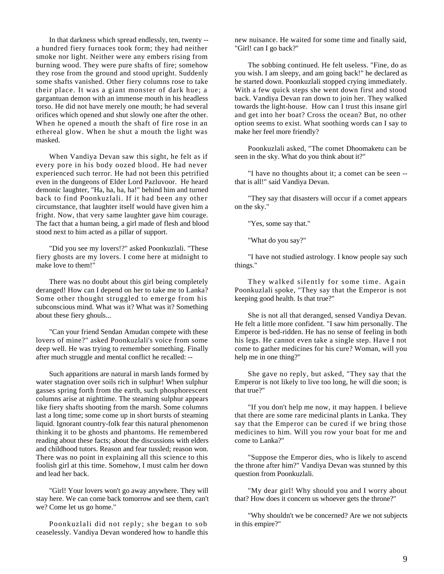In that darkness which spread endlessly, ten, twenty - a hundred fiery furnaces took form; they had neither smoke nor light. Neither were any embers rising from burning wood. They were pure shafts of fire; somehow they rose from the ground and stood upright. Suddenly some shafts vanished. Other fiery columns rose to take their place. It was a giant monster of dark hue; a gargantuan demon with an immense mouth in his headless torso. He did not have merely one mouth; he had several orifices which opened and shut slowly one after the other. When he opened a mouth the shaft of fire rose in an ethereal glow. When he shut a mouth the light was masked.

When Vandiya Devan saw this sight, he felt as if every pore in his body oozed blood. He had never experienced such terror. He had not been this petrified even in the dungeons of Elder Lord Pazluvoor. He heard demonic laughter, "Ha, ha, ha, ha!" behind him and turned back to find Poonkuzlali. If it had been any other circumstance, that laughter itself would have given him a fright. Now, that very same laughter gave him courage. The fact that a human being, a girl made of flesh and blood stood next to him acted as a pillar of support.

"Did you see my lovers!?" asked Poonkuzlali. "These fiery ghosts are my lovers. I come here at midnight to make love to them!"

There was no doubt about this girl being completely deranged! How can I depend on her to take me to Lanka? Some other thought struggled to emerge from his subconscious mind. What was it? What was it? Something about these fiery ghouls...

"Can your friend Sendan Amudan compete with these lovers of mine?" asked Poonkuzlali's voice from some deep well. He was trying to remember something. Finally after much struggle and mental conflict he recalled: --

Such apparitions are natural in marsh lands formed by water stagnation over soils rich in sulphur! When sulphur gasses spring forth from the earth, such phosphorescent columns arise at nighttime. The steaming sulphur appears like fiery shafts shooting from the marsh. Some columns last a long time; some come up in short bursts of steaming liquid. Ignorant country-folk fear this natural phenomenon thinking it to be ghosts and phantoms. He remembered reading about these facts; about the discussions with elders and childhood tutors. Reason and fear tussled; reason won. There was no point in explaining all this science to this foolish girl at this time. Somehow, I must calm her down and lead her back.

"Girl! Your lovers won't go away anywhere. They will stay here. We can come back tomorrow and see them, can't we? Come let us go home."

Poonkuzlali did not reply; she began to sob ceaselessly. Vandiya Devan wondered how to handle this new nuisance. He waited for some time and finally said, "Girl! can I go back?"

The sobbing continued. He felt useless. "Fine, do as you wish. I am sleepy, and am going back!" he declared as he started down. Poonkuzlali stopped crying immediately. With a few quick steps she went down first and stood back. Vandiya Devan ran down to join her. They walked towards the light-house. How can I trust this insane girl and get into her boat? Cross the ocean? But, no other option seems to exist. What soothing words can I say to make her feel more friendly?

Poonkuzlali asked, "The comet Dhoomaketu can be seen in the sky. What do you think about it?"

"I have no thoughts about it; a comet can be seen - that is all!" said Vandiya Devan.

"They say that disasters will occur if a comet appears on the sky."

"Yes, some say that."

"What do you say?"

"I have not studied astrology. I know people say such things."

They walked silently for some time. Again Poonkuzlali spoke, "They say that the Emperor is not keeping good health. Is that true?"

She is not all that deranged, sensed Vandiya Devan. He felt a little more confident. "I saw him personally. The Emperor is bed-ridden. He has no sense of feeling in both his legs. He cannot even take a single step. Have I not come to gather medicines for his cure? Woman, will you help me in one thing?"

She gave no reply, but asked, "They say that the Emperor is not likely to live too long, he will die soon; is that true?"

"If you don't help me now, it may happen. I believe that there are some rare medicinal plants in Lanka. They say that the Emperor can be cured if we bring those medicines to him. Will you row your boat for me and come to Lanka?"

"Suppose the Emperor dies, who is likely to ascend the throne after him?" Vandiya Devan was stunned by this question from Poonkuzlali.

"My dear girl! Why should you and I worry about that? How does it concern us whoever gets the throne?"

"Why shouldn't we be concerned? Are we not subjects in this empire?"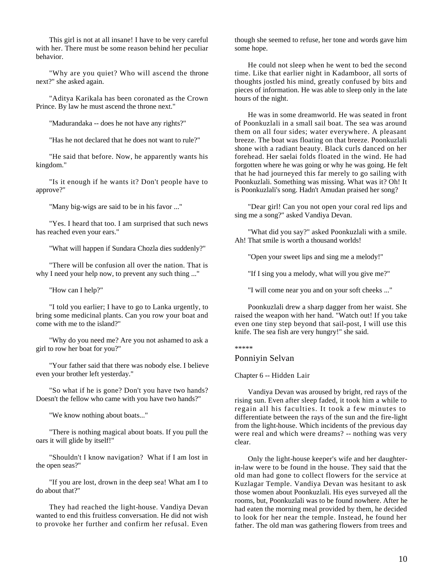This girl is not at all insane! I have to be very careful with her. There must be some reason behind her peculiar behavior.

"Why are you quiet? Who will ascend the throne next?" she asked again.

"Aditya Karikala has been coronated as the Crown Prince. By law he must ascend the throne next."

"Madurandaka -- does he not have any rights?"

"Has he not declared that he does not want to rule?"

"He said that before. Now, he apparently wants his kingdom."

"Is it enough if he wants it? Don't people have to approve?"

"Many big-wigs are said to be in his favor ..."

"Yes. I heard that too. I am surprised that such news has reached even your ears."

"What will happen if Sundara Chozla dies suddenly?"

"There will be confusion all over the nation. That is why I need your help now, to prevent any such thing ..."

"How can I help?"

"I told you earlier; I have to go to Lanka urgently, to bring some medicinal plants. Can you row your boat and come with me to the island?"

"Why do you need me? Are you not ashamed to ask a girl to row her boat for you?"

"Your father said that there was nobody else. I believe even your brother left yesterday."

"So what if he is gone? Don't you have two hands? Doesn't the fellow who came with you have two hands?"

"We know nothing about boats..."

"There is nothing magical about boats. If you pull the oars it will glide by itself!"

"Shouldn't I know navigation? What if I am lost in the open seas?"

"If you are lost, drown in the deep sea! What am I to do about that?"

They had reached the light-house. Vandiya Devan wanted to end this fruitless conversation. He did not wish to provoke her further and confirm her refusal. Even though she seemed to refuse, her tone and words gave him some hope.

He could not sleep when he went to bed the second time. Like that earlier night in Kadamboor, all sorts of thoughts jostled his mind, greatly confused by bits and pieces of information. He was able to sleep only in the late hours of the night.

He was in some dreamworld. He was seated in front of Poonkuzlali in a small sail boat. The sea was around them on all four sides; water everywhere. A pleasant breeze. The boat was floating on that breeze. Poonkuzlali shone with a radiant beauty. Black curls danced on her forehead. Her saelai folds floated in the wind. He had forgotten where he was going or why he was going. He felt that he had journeyed this far merely to go sailing with Poonkuzlali. Something was missing. What was it? Oh! It is Poonkuzlali's song. Hadn't Amudan praised her song?

"Dear girl! Can you not open your coral red lips and sing me a song?" asked Vandiya Devan.

"What did you say?" asked Poonkuzlali with a smile. Ah! That smile is worth a thousand worlds!

"Open your sweet lips and sing me a melody!"

"If I sing you a melody, what will you give me?"

"I will come near you and on your soft cheeks ..."

Poonkuzlali drew a sharp dagger from her waist. She raised the weapon with her hand. "Watch out! If you take even one tiny step beyond that sail-post, I will use this knife. The sea fish are very hungry!" she said.

\*\*\*\*\*

Ponniyin Selvan

Chapter 6 -- Hidden Lair

Vandiya Devan was aroused by bright, red rays of the rising sun. Even after sleep faded, it took him a while to regain all his faculties. It took a few minutes to differentiate between the rays of the sun and the fire-light from the light-house. Which incidents of the previous day were real and which were dreams? -- nothing was very clear.

Only the light-house keeper's wife and her daughterin-law were to be found in the house. They said that the old man had gone to collect flowers for the service at Kuzlagar Temple. Vandiya Devan was hesitant to ask those women about Poonkuzlali. His eyes surveyed all the rooms, but, Poonkuzlali was to be found nowhere. After he had eaten the morning meal provided by them, he decided to look for her near the temple. Instead, he found her father. The old man was gathering flowers from trees and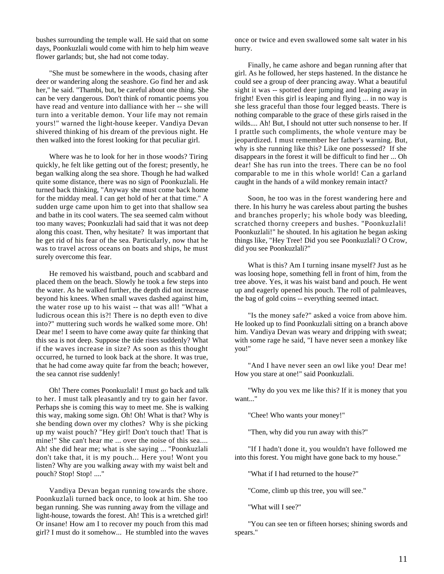bushes surrounding the temple wall. He said that on some days, Poonkuzlali would come with him to help him weave flower garlands; but, she had not come today.

"She must be somewhere in the woods, chasing after deer or wandering along the seashore. Go find her and ask her," he said. "Thambi, but, be careful about one thing. She can be very dangerous. Don't think of romantic poems you have read and venture into dalliance with her -- she will turn into a veritable demon. Your life may not remain yours!" warned the light-house keeper. Vandiya Devan shivered thinking of his dream of the previous night. He then walked into the forest looking for that peculiar girl.

Where was he to look for her in those woods? Tiring quickly, he felt like getting out of the forest; presently, he began walking along the sea shore. Though he had walked quite some distance, there was no sign of Poonkuzlali. He turned back thinking, "Anyway she must come back home for the midday meal. I can get hold of her at that time." A sudden urge came upon him to get into that shallow sea and bathe in its cool waters. The sea seemed calm without too many waves; Poonkuzlali had said that it was not deep along this coast. Then, why hesitate? It was important that he get rid of his fear of the sea. Particularly, now that he was to travel across oceans on boats and ships, he must surely overcome this fear.

He removed his waistband, pouch and scabbard and placed them on the beach. Slowly he took a few steps into the water. As he walked further, the depth did not increase beyond his knees. When small waves dashed against him, the water rose up to his waist -- that was all! "What a ludicrous ocean this is?! There is no depth even to dive into?" muttering such words he walked some more. Oh! Dear me! I seem to have come away quite far thinking that this sea is not deep. Suppose the tide rises suddenly? What if the waves increase in size? As soon as this thought occurred, he turned to look back at the shore. It was true, that he had come away quite far from the beach; however, the sea cannot rise suddenly!

Oh! There comes Poonkuzlali! I must go back and talk to her. I must talk pleasantly and try to gain her favor. Perhaps she is coming this way to meet me. She is walking this way, making some sign. Oh! Oh! What is that? Why is she bending down over my clothes? Why is she picking up my waist pouch? "Hey girl! Don't touch that! That is mine!" She can't hear me ... over the noise of this sea.... Ah! she did hear me; what is she saying ... "Poonkuzlali don't take that, it is my pouch... Here you! Wont you listen? Why are you walking away with my waist belt and pouch? Stop! Stop! ...."

Vandiya Devan began running towards the shore. Poonkuzlali turned back once, to look at him. She too began running. She was running away from the village and light-house, towards the forest. Ah! This is a wretched girl! Or insane! How am I to recover my pouch from this mad girl? I must do it somehow... He stumbled into the waves

once or twice and even swallowed some salt water in his hurry.

Finally, he came ashore and began running after that girl. As he followed, her steps hastened. In the distance he could see a group of deer prancing away. What a beautiful sight it was -- spotted deer jumping and leaping away in fright! Even this girl is leaping and flying ... in no way is she less graceful than those four legged beasts. There is nothing comparable to the grace of these girls raised in the wilds.... Ah! But, I should not utter such nonsense to her. If I prattle such compliments, the whole venture may be jeopardized. I must remember her father's warning. But, why is she running like this? Like one possessed? If she disappears in the forest it will be difficult to find her ... Oh dear! She has run into the trees. There can be no fool comparable to me in this whole world! Can a garland caught in the hands of a wild monkey remain intact?

Soon, he too was in the forest wandering here and there. In his hurry he was careless about parting the bushes and branches properly; his whole body was bleeding, scratched thorny creepers and bushes. "Poonkuzlali! Poonkuzlali!" he shouted. In his agitation he began asking things like, "Hey Tree! Did you see Poonkuzlali? O Crow, did you see Poonkuzlali?"

What is this? Am I turning insane myself? Just as he was loosing hope, something fell in front of him, from the tree above. Yes, it was his waist band and pouch. He went up and eagerly opened his pouch. The roll of palmleaves, the bag of gold coins -- everything seemed intact.

"Is the money safe?" asked a voice from above him. He looked up to find Poonkuzlali sitting on a branch above him. Vandiya Devan was weary and dripping with sweat; with some rage he said, "I have never seen a monkey like you!"

"And I have never seen an owl like you! Dear me! How you stare at one!" said Poonkuzlali.

"Why do you vex me like this? If it is money that you want..."

"Chee! Who wants your money!"

"Then, why did you run away with this?"

"If I hadn't done it, you wouldn't have followed me into this forest. You might have gone back to my house."

"What if I had returned to the house?"

"Come, climb up this tree, you will see."

"What will I see?"

"You can see ten or fifteen horses; shining swords and spears."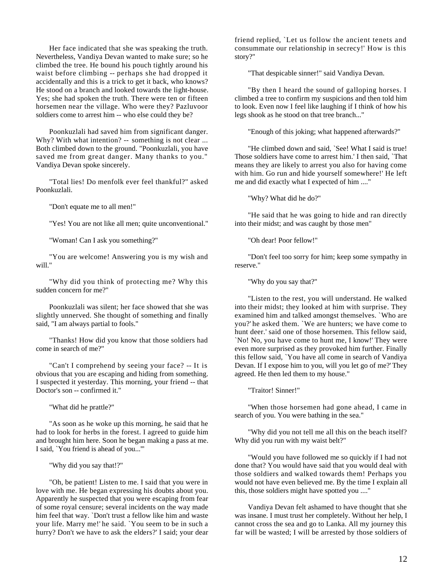Her face indicated that she was speaking the truth. Nevertheless, Vandiya Devan wanted to make sure; so he climbed the tree. He bound his pouch tightly around his waist before climbing -- perhaps she had dropped it accidentally and this is a trick to get it back, who knows? He stood on a branch and looked towards the light-house. Yes; she had spoken the truth. There were ten or fifteen horsemen near the village. Who were they? Pazluvoor soldiers come to arrest him -- who else could they be?

Poonkuzlali had saved him from significant danger. Why? With what intention? -- something is not clear ... Both climbed down to the ground. "Poonkuzlali, you have saved me from great danger. Many thanks to you." Vandiya Devan spoke sincerely.

"Total lies! Do menfolk ever feel thankful?" asked Poonkuzlali.

"Don't equate me to all men!"

"Yes! You are not like all men; quite unconventional."

"Woman! Can I ask you something?"

"You are welcome! Answering you is my wish and will.'

"Why did you think of protecting me? Why this sudden concern for me?"

Poonkuzlali was silent; her face showed that she was slightly unnerved. She thought of something and finally said, "I am always partial to fools."

"Thanks! How did you know that those soldiers had come in search of me?"

"Can't I comprehend by seeing your face? -- It is obvious that you are escaping and hiding from something. I suspected it yesterday. This morning, your friend -- that Doctor's son -- confirmed it."

"What did he prattle?"

"As soon as he woke up this morning, he said that he had to look for herbs in the forest. I agreed to guide him and brought him here. Soon he began making a pass at me. I said, `You friend is ahead of you...'"

"Why did you say that!?"

"Oh, be patient! Listen to me. I said that you were in love with me. He began expressing his doubts about you. Apparently he suspected that you were escaping from fear of some royal censure; several incidents on the way made him feel that way. `Don't trust a fellow like him and waste your life. Marry me!' he said. `You seem to be in such a hurry? Don't we have to ask the elders?' I said; your dear

friend replied, `Let us follow the ancient tenets and consummate our relationship in secrecy!' How is this story?"

"That despicable sinner!" said Vandiya Devan.

"By then I heard the sound of galloping horses. I climbed a tree to confirm my suspicions and then told him to look. Even now I feel like laughing if I think of how his legs shook as he stood on that tree branch..."

"Enough of this joking; what happened afterwards?"

"He climbed down and said, 'See! What I said is true! Those soldiers have come to arrest him.' I then said, `That means they are likely to arrest you also for having come with him. Go run and hide yourself somewhere!' He left me and did exactly what I expected of him ...."

"Why? What did he do?"

"He said that he was going to hide and ran directly into their midst; and was caught by those men"

"Oh dear! Poor fellow!"

"Don't feel too sorry for him; keep some sympathy in reserve."

"Why do you say that?"

"Listen to the rest, you will understand. He walked into their midst; they looked at him with surprise. They examined him and talked amongst themselves. `Who are you?' he asked them. `We are hunters; we have come to hunt deer.' said one of those horsemen. This fellow said, `No! No, you have come to hunt me, I know!' They were even more surprised as they provoked him further. Finally this fellow said, `You have all come in search of Vandiya Devan. If I expose him to you, will you let go of me?' They agreed. He then led them to my house."

"Traitor! Sinner!"

"When those horsemen had gone ahead, I came in search of you. You were bathing in the sea."

"Why did you not tell me all this on the beach itself? Why did you run with my waist belt?"

"Would you have followed me so quickly if I had not done that? You would have said that you would deal with those soldiers and walked towards them! Perhaps you would not have even believed me. By the time I explain all this, those soldiers might have spotted you ...."

Vandiya Devan felt ashamed to have thought that she was insane. I must trust her completely. Without her help, I cannot cross the sea and go to Lanka. All my journey this far will be wasted; I will be arrested by those soldiers of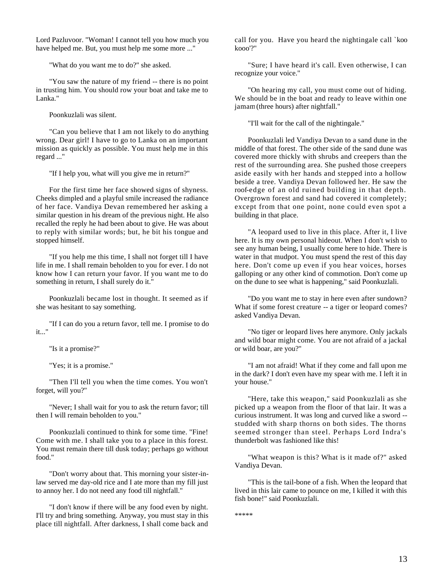Lord Pazluvoor. "Woman! I cannot tell you how much you have helped me. But, you must help me some more ..."

"What do you want me to do?" she asked.

"You saw the nature of my friend -- there is no point in trusting him. You should row your boat and take me to Lanka."

Poonkuzlali was silent.

"Can you believe that I am not likely to do anything wrong. Dear girl! I have to go to Lanka on an important mission as quickly as possible. You must help me in this regard ..."

"If I help you, what will you give me in return?"

For the first time her face showed signs of shyness. Cheeks dimpled and a playful smile increased the radiance of her face. Vandiya Devan remembered her asking a similar question in his dream of the previous night. He also recalled the reply he had been about to give. He was about to reply with similar words; but, he bit his tongue and stopped himself.

"If you help me this time, I shall not forget till I have life in me. I shall remain beholden to you for ever. I do not know how I can return your favor. If you want me to do something in return, I shall surely do it."

Poonkuzlali became lost in thought. It seemed as if she was hesitant to say something.

"If I can do you a return favor, tell me. I promise to do it..."

"Is it a promise?"

"Yes; it is a promise."

"Then I'll tell you when the time comes. You won't forget, will you?"

"Never; I shall wait for you to ask the return favor; till then I will remain beholden to you."

Poonkuzlali continued to think for some time. "Fine! Come with me. I shall take you to a place in this forest. You must remain there till dusk today; perhaps go without food."

"Don't worry about that. This morning your sister-inlaw served me day-old rice and I ate more than my fill just to annoy her. I do not need any food till nightfall."

"I don't know if there will be any food even by night. I'll try and bring something. Anyway, you must stay in this place till nightfall. After darkness, I shall come back and call for you. Have you heard the nightingale call `koo kooo'?"

"Sure; I have heard it's call. Even otherwise, I can recognize your voice."

"On hearing my call, you must come out of hiding. We should be in the boat and ready to leave within one jamam (three hours) after nightfall."

"I'll wait for the call of the nightingale."

Poonkuzlali led Vandiya Devan to a sand dune in the middle of that forest. The other side of the sand dune was covered more thickly with shrubs and creepers than the rest of the surrounding area. She pushed those creepers aside easily with her hands and stepped into a hollow beside a tree. Vandiya Devan followed her. He saw the roof-edge of an old ruined building in that depth. Overgrown forest and sand had covered it completely; except from that one point, none could even spot a building in that place.

"A leopard used to live in this place. After it, I live here. It is my own personal hideout. When I don't wish to see any human being, I usually come here to hide. There is water in that mudpot. You must spend the rest of this day here. Don't come up even if you hear voices, horses galloping or any other kind of commotion. Don't come up on the dune to see what is happening," said Poonkuzlali.

"Do you want me to stay in here even after sundown? What if some forest creature -- a tiger or leopard comes? asked Vandiya Devan.

"No tiger or leopard lives here anymore. Only jackals and wild boar might come. You are not afraid of a jackal or wild boar, are you?"

"I am not afraid! What if they come and fall upon me in the dark? I don't even have my spear with me. I left it in your house."

"Here, take this weapon," said Poonkuzlali as she picked up a weapon from the floor of that lair. It was a curious instrument. It was long and curved like a sword - studded with sharp thorns on both sides. The thorns seemed stronger than steel. Perhaps Lord Indra's thunderbolt was fashioned like this!

"What weapon is this? What is it made of?" asked Vandiya Devan.

"This is the tail-bone of a fish. When the leopard that lived in this lair came to pounce on me, I killed it with this fish bone!" said Poonkuzlali.

\*\*\*\*\*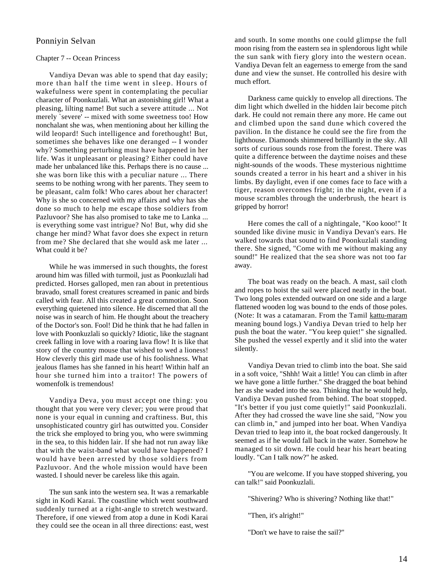#### Ponniyin Selvan

#### Chapter 7 -- Ocean Princess

Vandiya Devan was able to spend that day easily; more than half the time went in sleep. Hours of wakefulness were spent in contemplating the peculiar character of Poonkuzlali. What an astonishing girl! What a pleasing, lilting name! But such a severe attitude ... Not merely `severe' -- mixed with some sweetness too! How nonchalant she was, when mentioning about her killing the wild leopard! Such intelligence and forethought! But, sometimes she behaves like one deranged -- I wonder why? Something perturbing must have happened in her life. Was it unpleasant or pleasing? Either could have made her unbalanced like this. Perhaps there is no cause ... she was born like this with a peculiar nature ... There seems to be nothing wrong with her parents. They seem to be pleasant, calm folk! Who cares about her character! Why is she so concerned with my affairs and why has she done so much to help me escape those soldiers from Pazluvoor? She has also promised to take me to Lanka ... is everything some vast intrigue? No! But, why did she change her mind? What favor does she expect in return from me? She declared that she would ask me later ... What could it be?

While he was immersed in such thoughts, the forest around him was filled with turmoil, just as Poonkuzlali had predicted. Horses galloped, men ran about in pretentious bravado, small forest creatures screamed in panic and birds called with fear. All this created a great commotion. Soon everything quietened into silence. He discerned that all the noise was in search of him. He thought about the treachery of the Doctor's son. Fool! Did he think that he had fallen in love with Poonkuzlali so quickly? Idiotic, like the stagnant creek falling in love with a roaring lava flow! It is like that story of the country mouse that wished to wed a lioness! How cleverly this girl made use of his foolishness. What jealous flames has she fanned in his heart! Within half an hour she turned him into a traitor! The powers of womenfolk is tremendous!

Vandiya Deva, you must accept one thing: you thought that you were very clever; you were proud that none is your equal in cunning and craftiness. But, this unsophisticated country girl has outwitted you. Consider the trick she employed to bring you, who were swimming in the sea, to this hidden lair. If she had not run away like that with the waist-band what would have happened? I would have been arrested by those soldiers from Pazluvoor. And the whole mission would have been wasted. I should never be careless like this again.

The sun sank into the western sea. It was a remarkable sight in Kodi Karai. The coastline which went southward suddenly turned at a right-angle to stretch westward. Therefore, if one viewed from atop a dune in Kodi Karai they could see the ocean in all three directions: east, west and south. In some months one could glimpse the full moon rising from the eastern sea in splendorous light while the sun sank with fiery glory into the western ocean. Vandiya Devan felt an eagerness to emerge from the sand dune and view the sunset. He controlled his desire with much effort.

Darkness came quickly to envelop all directions. The dim light which dwelled in the hidden lair become pitch dark. He could not remain there any more. He came out and climbed upon the sand dune which covered the pavilion. In the distance he could see the fire from the lighthouse. Diamonds shimmered brilliantly in the sky. All sorts of curious sounds rose from the forest. There was quite a difference between the daytime noises and these night-sounds of the woods. These mysterious nighttime sounds created a terror in his heart and a shiver in his limbs. By daylight, even if one comes face to face with a tiger, reason overcomes fright; in the night, even if a mouse scrambles through the underbrush, the heart is gripped by horror!

Here comes the call of a nightingale, "Koo kooo!" It sounded like divine music in Vandiya Devan's ears. He walked towards that sound to find Poonkuzlali standing there. She signed, "Come with me without making any sound!" He realized that the sea shore was not too far away.

The boat was ready on the beach. A mast, sail cloth and ropes to hoist the sail were placed neatly in the boat. Two long poles extended outward on one side and a large flattened wooden log was bound to the ends of those poles. (Note: It was a catamaran. From the Tamil kattu-maram meaning bound logs.) Vandiya Devan tried to help her push the boat the water. "You keep quiet!" she signalled. She pushed the vessel expertly and it slid into the water silently.

Vandiya Devan tried to climb into the boat. She said in a soft voice, "Shhh! Wait a little! You can climb in after we have gone a little further." She dragged the boat behind her as she waded into the sea. Thinking that he would help, Vandiya Devan pushed from behind. The boat stopped. "It's better if you just come quietly!" said Poonkuzlali. After they had crossed the wave line she said, "Now you can climb in," and jumped into her boat. When Vandiya Devan tried to leap into it, the boat rocked dangerously. It seemed as if he would fall back in the water. Somehow he managed to sit down. He could hear his heart beating loudly. "Can I talk now?" he asked.

"You are welcome. If you have stopped shivering, you can talk!" said Poonkuzlali.

"Shivering? Who is shivering? Nothing like that!"

"Then, it's alright!"

"Don't we have to raise the sail?"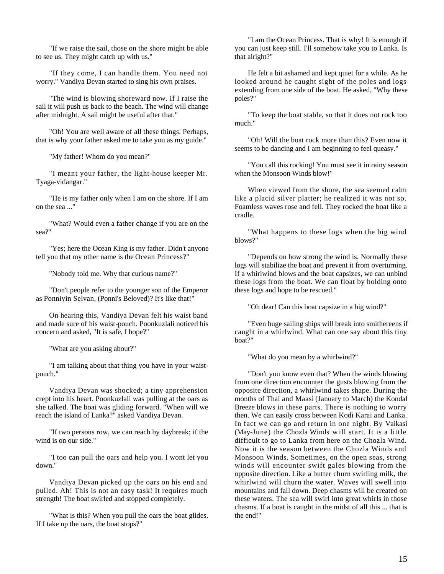"If we raise the sail, those on the shore might be able to see us. They might catch up with us."

"If they come, I can handle them. You need not worry." Vandiya Devan started to sing his own praises.

"The wind is blowing shoreward now. If I raise the sail it will push us back to the beach. The wind will change after midnight. A sail might be useful after that."

"Oh! You are well aware of all these things. Perhaps, that is why your father asked me to take you as my guide."

"My father! Whom do you mean?"

"I meant your father, the light-house keeper Mr. Tyaga-vidangar."

"He is my father only when I am on the shore. If I am on the sea ..."

"What? Would even a father change if you are on the sea?"

"Yes; here the Ocean King is my father. Didn't anyone tell you that my other name is the Ocean Princess?"

"Nobody told me. Why that curious name?"

"Don't people refer to the younger son of the Emperor as Ponniyin Selvan, (Ponni's Beloved)? It's like that!"

On hearing this, Vandiya Devan felt his waist band and made sure of his waist-pouch. Poonkuzlali noticed his concern and asked, "It is safe, I hope?"

"What are you asking about?"

"I am talking about that thing you have in your waistpouch."

Vandiya Devan was shocked; a tiny apprehension crept into his heart. Poonkuzlali was pulling at the oars as she talked. The boat was gliding forward. "When will we reach the island of Lanka?" asked Vandiya Devan.

"If two persons row, we can reach by daybreak; if the wind is on our side."

"I too can pull the oars and help you. I wont let you down."

Vandiya Devan picked up the oars on his end and pulled. Ah! This is not an easy task! It requires much strength! The boat swirled and stopped completely.

"What is this? When you pull the oars the boat glides. If I take up the oars, the boat stops?"

"I am the Ocean Princess. That is why! It is enough if you can just keep still. I'll somehow take you to Lanka. Is that alright?"

He felt a bit ashamed and kept quiet for a while. As he looked around he caught sight of the poles and logs extending from one side of the boat. He asked, "Why these poles?"

"To keep the boat stable, so that it does not rock too much."

"Oh! Will the boat rock more than this? Even now it seems to be dancing and I am beginning to feel queasy."

"You call this rocking! You must see it in rainy season when the Monsoon Winds blow!"

When viewed from the shore, the sea seemed calm like a placid silver platter; he realized it was not so. Foamless waves rose and fell. They rocked the boat like a cradle.

"What happens to these logs when the big wind blows?"

"Depends on how strong the wind is. Normally these logs will stabilize the boat and prevent it from overturning. If a whirlwind blows and the boat capsizes, we can unbind these logs from the boat. We can float by holding onto these logs and hope to be rescued."

"Oh dear! Can this boat capsize in a big wind?"

"Even huge sailing ships will break into smithereens if caught in a whirlwind. What can one say about this tiny boat?"

"What do you mean by a whirlwind?"

"Don't you know even that? When the winds blowing from one direction encounter the gusts blowing from the opposite direction, a whirlwind takes shape. During the months of Thai and Maasi (January to March) the Kondal Breeze blows in these parts. There is nothing to worry then. We can easily cross between Kodi Karai and Lanka. In fact we can go and return in one night. By Vaikasi (May-June) the Chozla Winds w ill start. It is a little difficult to go to Lanka from here on the Chozla Wind. Now it is the season between the Chozla Winds and Monsoon Winds. Sometimes, on the open seas, strong winds will encounter swift gales blowing from the opposite direction. Like a butter churn swirling milk, the whirlwind will churn the water. Waves will swell into mountains and fall down. Deep chasms will be created on these waters. The sea will swirl into great whirls in those chasms. If a boat is caught in the midst of all this ... that is the end!"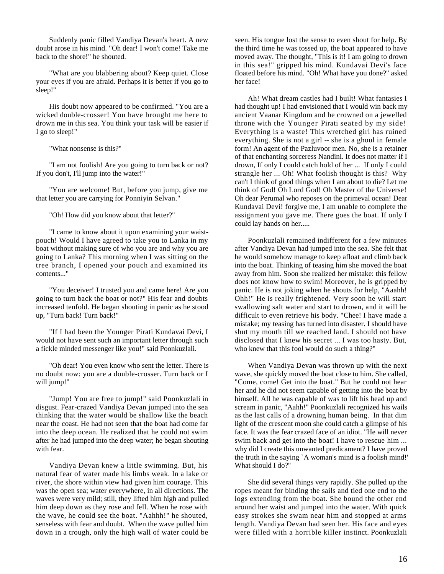Suddenly panic filled Vandiya Devan's heart. A new doubt arose in his mind. "Oh dear! I won't come! Take me back to the shore!" he shouted.

"What are you blabbering about? Keep quiet. Close your eyes if you are afraid. Perhaps it is better if you go to sleep!"

His doubt now appeared to be confirmed. "You are a wicked double-crosser! You have brought me here to drown me in this sea. You think your task will be easier if I go to sleep!"

"What nonsense is this?"

"I am not foolish! Are you going to turn back or not? If you don't, I'll jump into the water!"

"You are welcome! But, before you jump, give me that letter you are carrying for Ponniyin Selvan."

"Oh! How did you know about that letter?"

"I came to know about it upon examining your waistpouch! Would I have agreed to take you to Lanka in my boat without making sure of who you are and why you are going to Lanka? This morning when I was sitting on the tree branch, I opened your pouch and examined its contents..."

"You deceiver! I trusted you and came here! Are you going to turn back the boat or not?" His fear and doubts increased tenfold. He began shouting in panic as he stood up, "Turn back! Turn back!"

"If I had been the Younger Pirati Kundavai Devi, I would not have sent such an important letter through such a fickle minded messenger like you!" said Poonkuzlali.

"Oh dear! You even know who sent the letter. There is no doubt now: you are a double-crosser. Turn back or I will jump!"

"Jump! You are free to jump!" said Poonkuzlali in disgust. Fear-crazed Vandiya Devan jumped into the sea thinking that the water would be shallow like the beach near the coast. He had not seen that the boat had come far into the deep ocean. He realized that he could not swim after he had jumped into the deep water; he began shouting with fear.

Vandiya Devan knew a little swimming. But, his natural fear of water made his limbs weak. In a lake or river, the shore within view had given him courage. This was the open sea; water everywhere, in all directions. The waves were very mild; still, they lifted him high and pulled him deep down as they rose and fell. When he rose with the wave, he could see the boat. "Aahhh!" he shouted, senseless with fear and doubt. When the wave pulled him down in a trough, only the high wall of water could be seen. His tongue lost the sense to even shout for help. By the third time he was tossed up, the boat appeared to have moved away. The thought, "This is it! I am going to drown in this sea!" gripped his mind. Kundavai Devi's face floated before his mind. "Oh! What have you done?" asked her face!

Ah! What dream castles had I built! What fantasies I had thought up! I had envisioned that I would win back my ancient Vaanar Kingdom and be crowned on a jewelled throne with the Younger Pirati seated by my side! Everything is a waste! This wretched girl has ruined everything. She is not a girl -- she is a ghoul in female form! An agent of the Pazluvoor men. No, she is a retainer of that enchanting sorceress Nandini. It does not matter if I drown, If only I could catch hold of her ... If only I could strangle her ... Oh! What foolish thought is this? Why can't I think of good things when I am about to die? Let me think of God! Oh Lord God! Oh Master of the Universe! Oh dear Perumal who reposes on the primeval ocean! Dear Kundavai Devi! forgive me, I am unable to complete the assignment you gave me. There goes the boat. If only I could lay hands on her.....

Poonkuzlali remained indifferent for a few minutes after Vandiya Devan had jumped into the sea. She felt that he would somehow manage to keep afloat and climb back into the boat. Thinking of teasing him she moved the boat away from him. Soon she realized her mistake: this fellow does not know how to swim! Moreover, he is gripped by panic. He is not joking when he shouts for help, "Aaahh! Ohh!" He is really frightened. Very soon he will start swallowing salt water and start to drown, and it will be difficult to even retrieve his body. "Chee! I have made a mistake; my teasing has turned into disaster. I should have shut my mouth till we reached land. I should not have disclosed that I knew his secret ... I was too hasty. But, who knew that this fool would do such a thing?"

When Vandiya Devan was thrown up with the next wave, she quickly moved the boat close to him. She called, "Come, come! Get into the boat." But he could not hear her and he did not seem capable of getting into the boat by himself. All he was capable of was to lift his head up and scream in panic, "Aahh!" Poonkuzlali recognized his wails as the last calls of a drowning human being. In that dim light of the crescent moon she could catch a glimpse of his face. It was the fear crazed face of an idiot. "He will never swim back and get into the boat! I have to rescue him ... why did I create this unwanted predicament? I have proved the truth in the saying `A woman's mind is a foolish mind!' What should I do?"

She did several things very rapidly. She pulled up the ropes meant for binding the sails and tied one end to the logs extending from the boat. She bound the other end around her waist and jumped into the water. With quick easy strokes she swam near him and stopped at arms length. Vandiya Devan had seen her. His face and eyes were filled with a horrible killer instinct. Poonkuzlali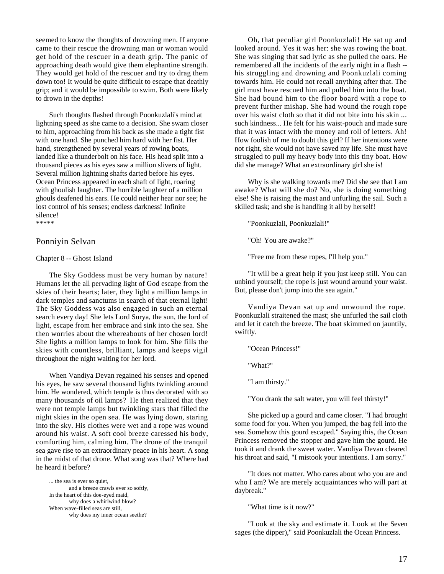seemed to know the thoughts of drowning men. If anyone came to their rescue the drowning man or woman would get hold of the rescuer in a death grip. The panic of approaching death would give them elephantine strength. They would get hold of the rescuer and try to drag them down too! It would be quite difficult to escape that deathly grip; and it would be impossible to swim. Both were likely to drown in the depths!

Such thoughts flashed through Poonkuzlali's mind at lightning speed as she came to a decision. She swam closer to him, approaching from his back as she made a tight fist with one hand. She punched him hard with her fist. Her hand, strengthened by several years of rowing boats, landed like a thunderbolt on his face. His head split into a thousand pieces as his eyes saw a million slivers of light. Several million lightning shafts darted before his eyes. Ocean Princess appeared in each shaft of light, roaring with ghoulish laughter. The horrible laughter of a million ghouls deafened his ears. He could neither hear nor see; he lost control of his senses; endless darkness! Infinite silence! \*\*\*\*\*

#### Ponniyin Selvan

#### Chapter 8 -- Ghost Island

The Sky Goddess must be very human by nature! Humans let the all pervading light of God escape from the skies of their hearts; later, they light a million lamps in dark temples and sanctums in search of that eternal light! The Sky Goddess was also engaged in such an eternal search every day! She lets Lord Surya, the sun, the lord of light, escape from her embrace and sink into the sea. She then worries about the whereabouts of her chosen lord! She lights a million lamps to look for him. She fills the skies with countless, brilliant, lamps and keeps vigil throughout the night waiting for her lord.

When Vandiya Devan regained his senses and opened his eyes, he saw several thousand lights twinkling around him. He wondered, which temple is thus decorated with so many thousands of oil lamps? He then realized that they were not temple lamps but twinkling stars that filled the night skies in the open sea. He was lying down, staring into the sky. His clothes were wet and a rope was wound around his waist. A soft cool breeze caressed his body, comforting him, calming him. The drone of the tranquil sea gave rise to an extraordinary peace in his heart. A song in the midst of that drone. What song was that? Where had he heard it before?

... the sea is ever so quiet, and a breeze crawls ever so softly, In the heart of this doe-eyed maid, why does a whirlwind blow? When wave-filled seas are still, why does my inner ocean seethe?

Oh, that peculiar girl Poonkuzlali! He sat up and looked around. Yes it was her: she was rowing the boat. She was singing that sad lyric as she pulled the oars. He remembered all the incidents of the early night in a flash - his struggling and drowning and Poonkuzlali coming towards him. He could not recall anything after that. The girl must have rescued him and pulled him into the boat. She had bound him to the floor board with a rope to prevent further mishap. She had wound the rough rope over his waist cloth so that it did not bite into his skin ... such kindness... He felt for his waist-pouch and made sure that it was intact with the money and roll of letters. Ah! How foolish of me to doubt this girl? If her intentions were not right, she would not have saved my life. She must have struggled to pull my heavy body into this tiny boat. How did she manage? What an extraordinary girl she is!

Why is she walking towards me? Did she see that I am awake? What will she do? No, she is doing something else! She is raising the mast and unfurling the sail. Such a skilled task; and she is handling it all by herself!

"Poonkuzlali, Poonkuzlali!"

"Oh! You are awake?"

"Free me from these ropes, I'll help you."

"It will be a great help if you just keep still. You can unbind yourself; the rope is just wound around your waist. But, please don't jump into the sea again."

Vandiya Devan sat up and unwound the rope. Poonkuzlali straitened the mast; she unfurled the sail cloth and let it catch the breeze. The boat skimmed on jauntily, swiftly.

"Ocean Princess!"

"What?"

"I am thirsty."

"You drank the salt water, you will feel thirsty!"

She picked up a gourd and came closer. "I had brought some food for you. When you jumped, the bag fell into the sea. Somehow this gourd escaped." Saying this, the Ocean Princess removed the stopper and gave him the gourd. He took it and drank the sweet water. Vandiya Devan cleared his throat and said, "I mistook your intentions. I am sorry."

"It does not matter. Who cares about who you are and who I am? We are merely acquaintances who will part at daybreak."

"What time is it now?"

"Look at the sky and estimate it. Look at the Seven sages (the dipper)," said Poonkuzlali the Ocean Princess.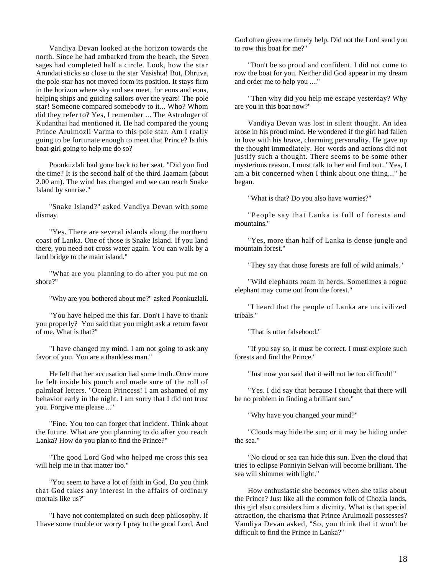Vandiya Devan looked at the horizon towards the north. Since he had embarked from the beach, the Seven sages had completed half a circle. Look, how the star Arundati sticks so close to the star Vasishta! But, Dhruva, the pole-star has not moved form its position. It stays firm in the horizon where sky and sea meet, for eons and eons, helping ships and guiding sailors over the years! The pole star! Someone compared somebody to it... Who? Whom did they refer to? Yes, I remember ... The Astrologer of Kudanthai had mentioned it. He had compared the young Prince Arulmozli Varma to this pole star. Am I really going to be fortunate enough to meet that Prince? Is this boat-girl going to help me do so?

Poonkuzlali had gone back to her seat. "Did you find the time? It is the second half of the third Jaamam (about 2.00 am). The wind has changed and we can reach Snake Island by sunrise."

"Snake Island?" asked Vandiya Devan with some dismay.

"Yes. There are several islands along the northern coast of Lanka. One of those is Snake Island. If you land there, you need not cross water again. You can walk by a land bridge to the main island."

"What are you planning to do after you put me on shore?"

"Why are you bothered about me?" asked Poonkuzlali.

"You have helped me this far. Don't I have to thank you properly? You said that you might ask a return favor of me. What is that?"

"I have changed my mind. I am not going to ask any favor of you. You are a thankless man."

He felt that her accusation had some truth. Once more he felt inside his pouch and made sure of the roll of palmleaf letters. "Ocean Princess! I am ashamed of my behavior early in the night. I am sorry that I did not trust you. Forgive me please ..."

"Fine. You too can forget that incident. Think about the future. What are you planning to do after you reach Lanka? How do you plan to find the Prince?"

"The good Lord God who helped me cross this sea will help me in that matter too."

"You seem to have a lot of faith in God. Do you think that God takes any interest in the affairs of ordinary mortals like us?"

"I have not contemplated on such deep philosophy. If I have some trouble or worry I pray to the good Lord. And

God often gives me timely help. Did not the Lord send you to row this boat for me?"

"Don't be so proud and confident. I did not come to row the boat for you. Neither did God appear in my dream and order me to help you ...."

"Then why did you help me escape yesterday? Why are you in this boat now?"

Vandiya Devan was lost in silent thought. An idea arose in his proud mind. He wondered if the girl had fallen in love with his brave, charming personality. He gave up the thought immediately. Her words and actions did not justify such a thought. There seems to be some other mysterious reason. I must talk to her and find out. "Yes, I am a bit concerned when I think about one thing..." he began.

"What is that? Do you also have worries?"

"People say that Lanka is full of forests and mountains."

"Yes, more than half of Lanka is dense jungle and mountain forest."

"They say that those forests are full of wild animals."

"Wild elephants roam in herds. Sometimes a rogue elephant may come out from the forest."

"I heard that the people of Lanka are uncivilized tribals."

"That is utter falsehood."

"If you say so, it must be correct. I must explore such forests and find the Prince."

"Just now you said that it will not be too difficult!"

"Yes. I did say that because I thought that there will be no problem in finding a brilliant sun."

"Why have you changed your mind?"

"Clouds may hide the sun; or it may be hiding under the sea."

"No cloud or sea can hide this sun. Even the cloud that tries to eclipse Ponniyin Selvan will become brilliant. The sea will shimmer with light."

How enthusiastic she becomes when she talks about the Prince? Just like all the common folk of Chozla lands, this girl also considers him a divinity. What is that special attraction, the charisma that Prince Arulmozli possesses? Vandiya Devan asked, "So, you think that it won't be difficult to find the Prince in Lanka?"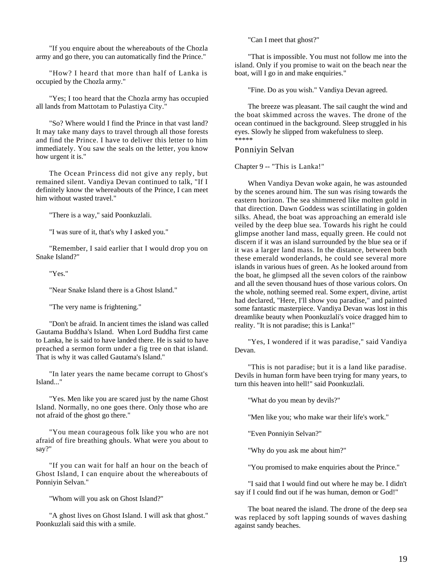"If you enquire about the whereabouts of the Chozla army and go there, you can automatically find the Prince."

"How? I heard that more than half of Lanka is occupied by the Chozla army."

"Yes; I too heard that the Chozla army has occupied all lands from Mattotam to Pulastiya City."

"So? Where would I find the Prince in that vast land? It may take many days to travel through all those forests and find the Prince. I have to deliver this letter to him immediately. You saw the seals on the letter, you know how urgent it is."

The Ocean Princess did not give any reply, but remained silent. Vandiya Devan continued to talk, "If I definitely know the whereabouts of the Prince, I can meet him without wasted travel."

"There is a way," said Poonkuzlali.

"I was sure of it, that's why I asked you."

"Remember, I said earlier that I would drop you on Snake Island?"

"Yes."

"Near Snake Island there is a Ghost Island."

"The very name is frightening."

"Don't be afraid. In ancient times the island was called Gautama Buddha's Island. When Lord Buddha first came to Lanka, he is said to have landed there. He is said to have preached a sermon form under a fig tree on that island. That is why it was called Gautama's Island."

"In later years the name became corrupt to Ghost's Island."

"Yes. Men like you are scared just by the name Ghost Island. Normally, no one goes there. Only those who are not afraid of the ghost go there."

"You mean courageous folk like you who are not afraid of fire breathing ghouls. What were you about to say?"

"If you can wait for half an hour on the beach of Ghost Island, I can enquire about the whereabouts of Ponniyin Selvan."

"Whom will you ask on Ghost Island?"

"A ghost lives on Ghost Island. I will ask that ghost." Poonkuzlali said this with a smile.

"Can I meet that ghost?"

"That is impossible. You must not follow me into the island. Only if you promise to wait on the beach near the boat, will I go in and make enquiries."

"Fine. Do as you wish." Vandiya Devan agreed.

The breeze was pleasant. The sail caught the wind and the boat skimmed across the waves. The drone of the ocean continued in the background. Sleep struggled in his eyes. Slowly he slipped from wakefulness to sleep. \*\*\*\*\*

#### Ponniyin Selvan

Chapter 9 -- "This is Lanka!"

When Vandiya Devan woke again, he was astounded by the scenes around him. The sun was rising towards the eastern horizon. The sea shimmered like molten gold in that direction. Dawn Goddess was scintillating in golden silks. Ahead, the boat was approaching an emerald isle veiled by the deep blue sea. Towards his right he could glimpse another land mass, equally green. He could not discern if it was an island surrounded by the blue sea or if it was a larger land mass. In the distance, between both these emerald wonderlands, he could see several more islands in various hues of green. As he looked around from the boat, he glimpsed all the seven colors of the rainbow and all the seven thousand hues of those various colors. On the whole, nothing seemed real. Some expert, divine, artist had declared, "Here, I'll show you paradise," and painted some fantastic masterpiece. Vandiya Devan was lost in this dreamlike beauty when Poonkuzlali's voice dragged him to reality. "It is not paradise; this is Lanka!"

"Yes, I wondered if it was paradise," said Vandiya Devan.

"This is not paradise; but it is a land like paradise. Devils in human form have been trying for many years, to turn this heaven into hell!" said Poonkuzlali.

"What do you mean by devils?"

"Men like you; who make war their life's work."

"Even Ponniyin Selvan?"

"Why do you ask me about him?"

"You promised to make enquiries about the Prince."

"I said that I would find out where he may be. I didn't say if I could find out if he was human, demon or God!"

The boat neared the island. The drone of the deep sea was replaced by soft lapping sounds of waves dashing against sandy beaches.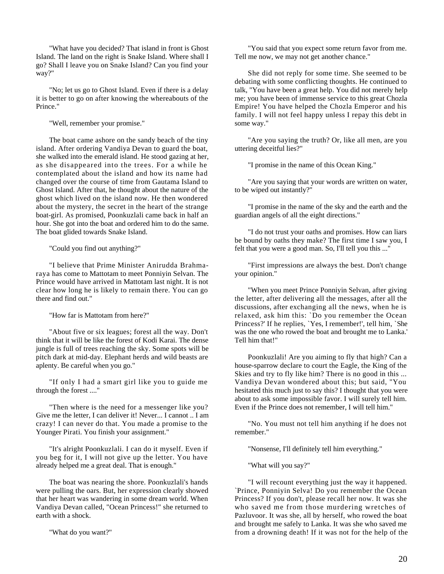"What have you decided? That island in front is Ghost Island. The land on the right is Snake Island. Where shall I go? Shall I leave you on Snake Island? Can you find your way?"

"No; let us go to Ghost Island. Even if there is a delay it is better to go on after knowing the whereabouts of the Prince."

"Well, remember your promise."

The boat came ashore on the sandy beach of the tiny island. After ordering Vandiya Devan to guard the boat, she walked into the emerald island. He stood gazing at her, as she disappeared into the trees. For a while he contemplated about the island and how its name had changed over the course of time from Gautama Island to Ghost Island. After that, he thought about the nature of the ghost which lived on the island now. He then wondered about the mystery, the secret in the heart of the strange boat-girl. As promised, Poonkuzlali came back in half an hour. She got into the boat and ordered him to do the same. The boat glided towards Snake Island.

"Could you find out anything?"

"I believe that Prime Minister Anirudda Brahmaraya has come to Mattotam to meet Ponniyin Selvan. The Prince would have arrived in Mattotam last night. It is not clear how long he is likely to remain there. You can go there and find out."

"How far is Mattotam from here?"

"About five or six leagues; forest all the way. Don't think that it will be like the forest of Kodi Karai. The dense jungle is full of trees reaching the sky. Some spots will be pitch dark at mid-day. Elephant herds and wild beasts are aplenty. Be careful when you go."

"If only I had a smart girl like you to guide me through the forest ...."

"Then where is the need for a messenger like you? Give me the letter, I can deliver it! Never... I cannot .. I am crazy! I can never do that. You made a promise to the Younger Pirati. You finish your assignment."

"It's alright Poonkuzlali. I can do it myself. Even if you beg for it, I will not give up the letter. You have already helped me a great deal. That is enough."

The boat was nearing the shore. Poonkuzlali's hands were pulling the oars. But, her expression clearly showed that her heart was wandering in some dream world. When Vandiya Devan called, "Ocean Princess!" she returned to earth with a shock.

"What do you want?"

"You said that you expect some return favor from me. Tell me now, we may not get another chance."

She did not reply for some time. She seemed to be debating with some conflicting thoughts. He continued to talk, "You have been a great help. You did not merely help me; you have been of immense service to this great Chozla Empire! You have helped the Chozla Emperor and his family. I will not feel happy unless I repay this debt in some way."

"Are you saying the truth? Or, like all men, are you uttering deceitful lies?"

"I promise in the name of this Ocean King."

"Are you saying that your words are written on water, to be wiped out instantly?"

"I promise in the name of the sky and the earth and the guardian angels of all the eight directions."

"I do not trust your oaths and promises. How can liars be bound by oaths they make? The first time I saw you, I felt that you were a good man. So, I'll tell you this ..."

"First impressions are always the best. Don't change your opinion."

"When you meet Prince Ponniyin Selvan, after giving the letter, after delivering all the messages, after all the discussions, after exchanging all the news, when he is relaxed, ask him this: `Do you remember the Ocean Princess?' If he replies, `Yes, I remember!', tell him, `She was the one who rowed the boat and brought me to Lanka.' Tell him that!"

Poonkuzlali! Are you aiming to fly that high? Can a house-sparrow declare to court the Eagle, the King of the Skies and try to fly like him? There is no good in this ... Vandiya Devan wondered about this; but said, "You hesitated this much just to say this? I thought that you were about to ask some impossible favor. I will surely tell him. Even if the Prince does not remember, I will tell him."

"No. You must not tell him anything if he does not remember."

"Nonsense, I'll definitely tell him everything."

"What will you say?"

"I will recount everything just the way it happened. `Prince, Ponniyin Selva! Do you remember the Ocean Princess? If you don't, please recall her now. It was she who saved me from those murdering wretches of Pazluvoor. It was she, all by herself, who rowed the boat and brought me safely to Lanka. It was she who saved me from a drowning death! If it was not for the help of the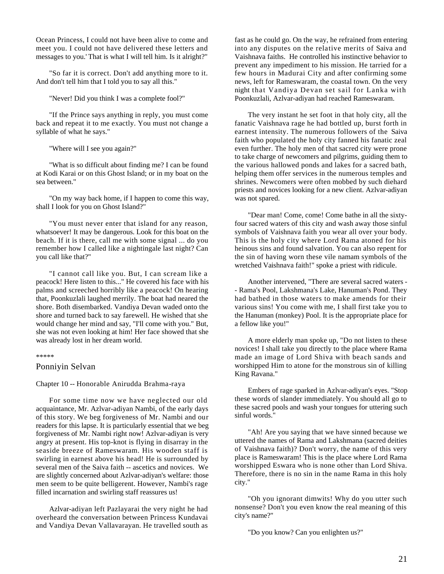Ocean Princess, I could not have been alive to come and meet you. I could not have delivered these letters and messages to you.' That is what I will tell him. Is it alright?"

"So far it is correct. Don't add anything more to it. And don't tell him that I told you to say all this."

"Never! Did you think I was a complete fool?"

"If the Prince says anything in reply, you must come back and repeat it to me exactly. You must not change a syllable of what he says."

"Where will I see you again?"

"What is so difficult about finding me? I can be found at Kodi Karai or on this Ghost Island; or in my boat on the sea between."

"On my way back home, if I happen to come this way, shall I look for you on Ghost Island?"

"You must never enter that island for any reason, whatsoever! It may be dangerous. Look for this boat on the beach. If it is there, call me with some signal ... do you remember how I called like a nightingale last night? Can you call like that?"

"I cannot call like you. But, I can scream like a peacock! Here listen to this..." He covered his face with his palms and screeched horribly like a peacock! On hearing that, Poonkuzlali laughed merrily. The boat had neared the shore. Both disembarked. Vandiya Devan waded onto the shore and turned back to say farewell. He wished that she would change her mind and say, "I'll come with you." But, she was not even looking at him! Her face showed that she was already lost in her dream world.

#### \*\*\*\*\*

#### Ponniyin Selvan

Chapter 10 -- Honorable Anirudda Brahma-raya

For some time now we have neglected our old acquaintance, Mr. Azlvar-adiyan Nambi, of the early days of this story. We beg forgiveness of Mr. Nambi and our readers for this lapse. It is particularly essential that we beg forgiveness of Mr. Nambi right now! Azlvar-adiyan is very angry at present. His top-knot is flying in disarray in the seaside breeze of Rameswaram. His wooden staff is swirling in earnest above his head! He is surrounded by several men of the Saiva faith -- ascetics and novices. We are slightly concerned about Azlvar-adiyan's welfare: those men seem to be quite belligerent. However, Nambi's rage filled incarnation and swirling staff reassures us!

Azlvar-adiyan left Pazlayarai the very night he had overheard the conversation between Princess Kundavai and Vandiya Devan Vallavarayan. He travelled south as fast as he could go. On the way, he refrained from entering into any disputes on the relative merits of Saiva and Vaishnava faiths. He controlled his instinctive behavior to prevent any impediment to his mission. He tarried for a few hours in Madurai City and after confirming some news, left for Rameswaram, the coastal town. On the very night that Vandiya Devan set sail for Lanka with Poonkuzlali, Azlvar-adiyan had reached Rameswaram.

The very instant he set foot in that holy city, all the fanatic Vaishnava rage he had bottled up, burst forth in earnest intensity. The numerous followers of the Saiva faith who populated the holy city fanned his fanatic zeal even further. The holy men of that sacred city were prone to take charge of newcomers and pilgrims, guiding them to the various hallowed ponds and lakes for a sacred bath, helping them offer services in the numerous temples and shrines. Newcomers were often mobbed by such diehard priests and novices looking for a new client. Azlvar-adiyan was not spared.

"Dear man! Come, come! Come bathe in all the sixtyfour sacred waters of this city and wash away those sinful symbols of Vaishnava faith you wear all over your body. This is the holy city where Lord Rama atoned for his heinous sins and found salvation. You can also repent for the sin of having worn these vile namam symbols of the wretched Vaishnava faith!" spoke a priest with ridicule.

Another intervened, "There are several sacred waters - - Rama's Pool, Lakshmana's Lake, Hanuman's Pond. They had bathed in those waters to make amends for their various sins! You come with me, I shall first take you to the Hanuman (monkey) Pool. It is the appropriate place for a fellow like you!"

A more elderly man spoke up, "Do not listen to these novices! I shall take you directly to the place where Rama made an image of Lord Shiva with beach sands and worshipped Him to atone for the monstrous sin of killing King Ravana."

Embers of rage sparked in Azlvar-adiyan's eyes. "Stop these words of slander immediately. You should all go to these sacred pools and wash your tongues for uttering such sinful words."

"Ah! Are you saying that we have sinned because we uttered the names of Rama and Lakshmana (sacred deities of Vaishnava faith)? Don't worry, the name of this very place is Rameswaram! This is the place where Lord Rama worshipped Eswara who is none other than Lord Shiva. Therefore, there is no sin in the name Rama in this holy city."

"Oh you ignorant dimwits! Why do you utter such nonsense? Don't you even know the real meaning of this city's name?"

"Do you know? Can you enlighten us?"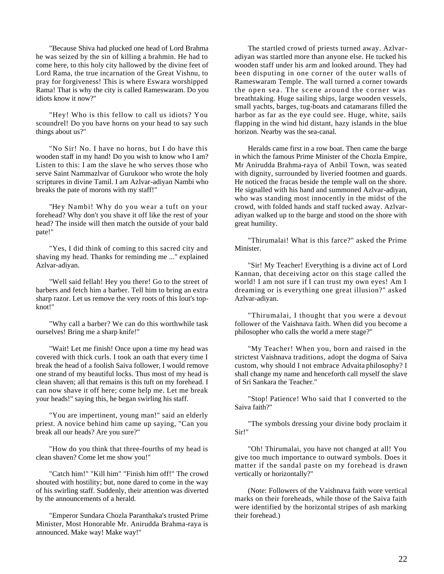"Because Shiva had plucked one head of Lord Brahma he was seized by the sin of killing a brahmin. He had to come here, to this holy city hallowed by the divine feet of Lord Rama, the true incarnation of the Great Vishnu, to pray for forgiveness! This is where Eswara worshipped Rama! That is why the city is called Rameswaram. Do you idiots know it now?"

"Hey! Who is this fellow to call us idiots? You scoundrel! Do you have horns on your head to say such things about us?"

"No Sir! No. I have no horns, but I do have this wooden staff in my hand! Do you wish to know who I am? Listen to this: I am the slave he who serves those who serve Saint Nammazlvar of Gurukoor who wrote the holy scriptures in divine Tamil. I am Azlvar-adiyan Nambi who breaks the pate of morons with my staff!"

"Hey Nambi! Why do you wear a tuft on your forehead? Why don't you shave it off like the rest of your head? The inside will then match the outside of your bald pate!"

"Yes, I did think of coming to this sacred city and shaving my head. Thanks for reminding me ..." explained Azlvar-adiyan.

"Well said fellah! Hey you there! Go to the street of barbers and fetch him a barber. Tell him to bring an extra sharp razor. Let us remove the very roots of this lout's topknot!"

"Why call a barber? We can do this worthwhile task ourselves! Bring me a sharp knife!"

"Wait! Let me finish! Once upon a time my head was covered with thick curls. I took an oath that every time I break the head of a foolish Saiva follower, I would remove one strand of my beautiful locks. Thus most of my head is clean shaven; all that remains is this tuft on my forehead. I can now shave it off here; come help me. Let me break your heads!" saying this, he began swirling his staff.

"You are impertinent, young man!" said an elderly priest. A novice behind him came up saying, "Can you break all our heads? Are you sure?"

"How do you think that three-fourths of my head is clean shaven? Come let me show you!"

"Catch him!" "Kill him" "Finish him off!" The crowd shouted with hostility; but, none dared to come in the way of his swirling staff. Suddenly, their attention was diverted by the announcements of a herald.

"Emperor Sundara Chozla Paranthaka's trusted Prime Minister, Most Honorable Mr. Anirudda Brahma-raya is announced. Make way! Make way!"

The startled crowd of priests turned away. Azlvaradiyan was startled more than anyone else. He tucked his wooden staff under his arm and looked around. They had been disputing in one corner of the outer walls of Rameswaram Temple. The wall turned a corner towards the open sea. The scene around the corner was breathtaking. Huge sailing ships, large wooden vessels, small yachts, barges, tug-boats and catamarans filled the harbor as far as the eye could see. Huge, white, sails flapping in the wind hid distant, hazy islands in the blue horizon. Nearby was the sea-canal.

Heralds came first in a row boat. Then came the barge in which the famous Prime Minister of the Chozla Empire, Mr Anirudda Brahma-raya of Anbil Town, was seated with dignity, surrounded by liveried footmen and guards. He noticed the fracas beside the temple wall on the shore. He signalled with his hand and summoned Azlvar-adiyan, who was standing most innocently in the midst of the crowd, with folded hands and staff tucked away. Azlvaradiyan walked up to the barge and stood on the shore with great humility.

"Thirumalai! What is this farce?" asked the Prime Minister.

"Sir! My Teacher! Everything is a divine act of Lord Kannan, that deceiving actor on this stage called the world! I am not sure if I can trust my own eyes! Am I dreaming or is everything one great illusion?" asked Azlvar-adiyan.

"Thirumalai, I thought that you were a devout follower of the Vaishnava faith. When did you become a philosopher who calls the world a mere stage?"

"My Teacher! When you, born and raised in the strictest Vaishnava traditions, adopt the dogma of Saiva custom, why should I not embrace Advaita philosophy? I shall change my name and henceforth call myself the slave of Sri Sankara the Teacher."

"Stop! Patience! Who said that I converted to the Saiva faith?"

"The symbols dressing your divine body proclaim it Sir!"

"Oh! Thirumalai, you have not changed at all! You give too much importance to outward symbols. Does it matter if the sandal paste on my forehead is drawn vertically or horizontally?"

(Note: Followers of the Vaishnava faith wore vertical marks on their foreheads, while those of the Saiva faith were identified by the horizontal stripes of ash marking their forehead.)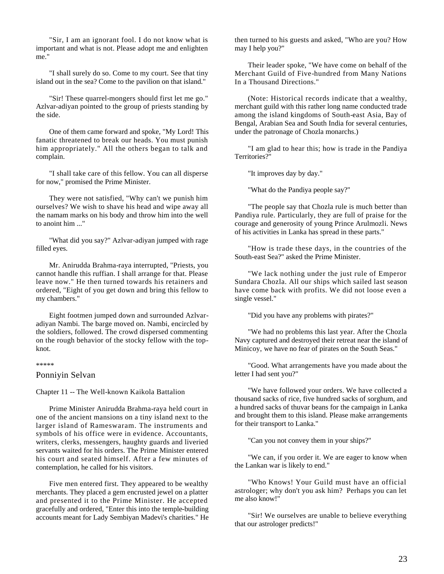"Sir, I am an ignorant fool. I do not know what is important and what is not. Please adopt me and enlighten me."

"I shall surely do so. Come to my court. See that tiny island out in the sea? Come to the pavilion on that island."

"Sir! These quarrel-mongers should first let me go." Azlvar-adiyan pointed to the group of priests standing by the side.

One of them came forward and spoke, "My Lord! This fanatic threatened to break our heads. You must punish him appropriately." All the others began to talk and complain.

"I shall take care of this fellow. You can all disperse for now," promised the Prime Minister.

They were not satisfied, "Why can't we punish him ourselves? We wish to shave his head and wipe away all the namam marks on his body and throw him into the well to anoint him ..."

"What did you say?" Azlvar-adiyan jumped with rage filled eyes.

Mr. Anirudda Brahma-raya interrupted, "Priests, you cannot handle this ruffian. I shall arrange for that. Please leave now." He then turned towards his retainers and ordered, "Eight of you get down and bring this fellow to my chambers."

Eight footmen jumped down and surrounded Azlvaradiyan Nambi. The barge moved on. Nambi, encircled by the soldiers, followed. The crowd dispersed commenting on the rough behavior of the stocky fellow with the topknot.

#### \*\*\*\*\*

#### Ponniyin Selvan

Chapter 11 -- The Well-known Kaikola Battalion

Prime Minister Anirudda Brahma-raya held court in one of the ancient mansions on a tiny island next to the larger island of Rameswaram. The instruments and symbols of his office were in evidence. Accountants, writers, clerks, messengers, haughty guards and liveried servants waited for his orders. The Prime Minister entered his court and seated himself. After a few minutes of contemplation, he called for his visitors.

Five men entered first. They appeared to be wealthy merchants. They placed a gem encrusted jewel on a platter and presented it to the Prime Minister. He accepted gracefully and ordered, "Enter this into the temple-building accounts meant for Lady Sembiyan Madevi's charities." He then turned to his guests and asked, "Who are you? How may I help you?"

Their leader spoke, "We have come on behalf of the Merchant Guild of Five-hundred from Many Nations In a Thousand Directions."

(Note: Historical records indicate that a wealthy, merchant guild with this rather long name conducted trade among the island kingdoms of South-east Asia, Bay of Bengal, Arabian Sea and South India for several centuries, under the patronage of Chozla monarchs.)

"I am glad to hear this; how is trade in the Pandiya Territories?"

"It improves day by day."

"What do the Pandiya people say?"

"The people say that Chozla rule is much better than Pandiya rule. Particularly, they are full of praise for the courage and generosity of young Prince Arulmozli. News of his activities in Lanka has spread in these parts."

"How is trade these days, in the countries of the South-east Sea?" asked the Prime Minister.

"We lack nothing under the just rule of Emperor Sundara Chozla. All our ships which sailed last season have come back with profits. We did not loose even a single vessel."

"Did you have any problems with pirates?"

"We had no problems this last year. After the Chozla Navy captured and destroyed their retreat near the island of Minicoy, we have no fear of pirates on the South Seas."

"Good. What arrangements have you made about the letter I had sent you?"

"We have followed your orders. We have collected a thousand sacks of rice, five hundred sacks of sorghum, and a hundred sacks of thuvar beans for the campaign in Lanka and brought them to this island. Please make arrangements for their transport to Lanka."

"Can you not convey them in your ships?"

"We can, if you order it. We are eager to know when the Lankan war is likely to end."

"Who Knows! Your Guild must have an official astrologer; why don't you ask him? Perhaps you can let me also know!"

"Sir! We ourselves are unable to believe everything that our astrologer predicts!"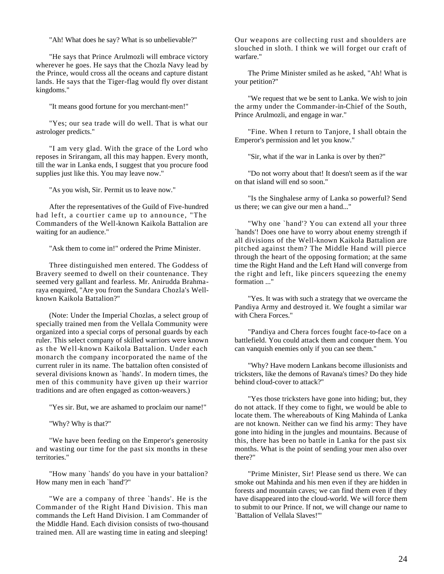"Ah! What does he say? What is so unbelievable?"

"He says that Prince Arulmozli will embrace victory wherever he goes. He says that the Chozla Navy lead by the Prince, would cross all the oceans and capture distant lands. He says that the Tiger-flag would fly over distant kingdoms."

"It means good fortune for you merchant-men!"

"Yes; our sea trade will do well. That is what our astrologer predicts."

"I am very glad. With the grace of the Lord who reposes in Srirangam, all this may happen. Every month, till the war in Lanka ends, I suggest that you procure food supplies just like this. You may leave now."

"As you wish, Sir. Permit us to leave now."

After the representatives of the Guild of Five-hundred had left, a courtier came up to announce, "The Commanders of the Well-known Kaikola Battalion are waiting for an audience."

"Ask them to come in!" ordered the Prime Minister.

Three distinguished men entered. The Goddess of Bravery seemed to dwell on their countenance. They seemed very gallant and fearless. Mr. Anirudda Brahmaraya enquired, "Are you from the Sundara Chozla's Wellknown Kaikola Battalion?"

(Note: Under the Imperial Chozlas, a select group of specially trained men from the Vellala Community were organized into a special corps of personal guards by each ruler. This select company of skilled warriors were known as the Well-known Kaikola Battalion. Under each monarch the company incorporated the name of the current ruler in its name. The battalion often consisted of several divisions known as `hands'. In modern times, the men of this community have given up their warrior traditions and are often engaged as cotton-weavers.)

"Yes sir. But, we are ashamed to proclaim our name!"

"Why? Why is that?"

"We have been feeding on the Emperor's generosity and wasting our time for the past six months in these territories."

"How many `hands' do you have in your battalion? How many men in each `hand'?"

"We are a company of three `hands'. He is the Commander of the Right Hand Division. This man commands the Left Hand Division. I am Commander of the Middle Hand. Each division consists of two-thousand trained men. All are wasting time in eating and sleeping!

Our weapons are collecting rust and shoulders are slouched in sloth. I think we will forget our craft of warfare."

The Prime Minister smiled as he asked, "Ah! What is your petition?"

"We request that we be sent to Lanka. We wish to join the army under the Commander-in-Chief of the South, Prince Arulmozli, and engage in war."

"Fine. When I return to Tanjore, I shall obtain the Emperor's permission and let you know."

"Sir, what if the war in Lanka is over by then?"

"Do not worry about that! It doesn't seem as if the war on that island will end so soon."

"Is the Singhalese army of Lanka so powerful? Send us there; we can give our men a hand..."

"Why one `hand'? You can extend all your three `hands'! Does one have to worry about enemy strength if all divisions of the Well-known Kaikola Battalion are pitched against them? The Middle Hand will pierce through the heart of the opposing formation; at the same time the Right Hand and the Left Hand will converge from the right and left, like pincers squeezing the enemy formation ..."

"Yes. It was with such a strategy that we overcame the Pandiya Army and destroyed it. We fought a similar war with Chera Forces."

"Pandiya and Chera forces fought face-to-face on a battlefield. You could attack them and conquer them. You can vanquish enemies only if you can see them."

"Why? Have modern Lankans become illusionists and tricksters, like the demons of Ravana's times? Do they hide behind cloud-cover to attack?"

"Yes those tricksters have gone into hiding; but, they do not attack. If they come to fight, we would be able to locate them. The whereabouts of King Mahinda of Lanka are not known. Neither can we find his army: They have gone into hiding in the jungles and mountains. Because of this, there has been no battle in Lanka for the past six months. What is the point of sending your men also over there?"

"Prime Minister, Sir! Please send us there. We can smoke out Mahinda and his men even if they are hidden in forests and mountain caves; we can find them even if they have disappeared into the cloud-world. We will force them to submit to our Prince. If not, we will change our name to `Battalion of Vellala Slaves!'"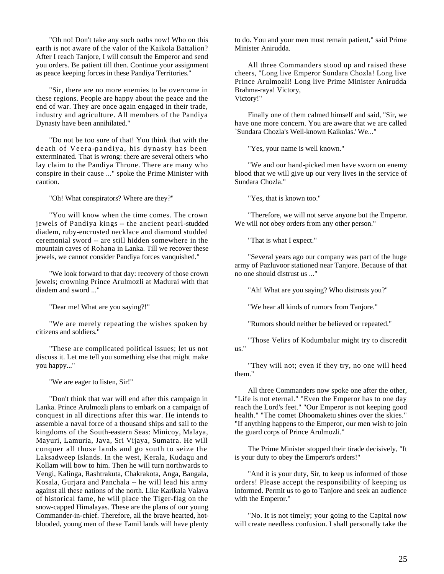"Oh no! Don't take any such oaths now! Who on this earth is not aware of the valor of the Kaikola Battalion? After I reach Tanjore, I will consult the Emperor and send you orders. Be patient till then. Continue your assignment as peace keeping forces in these Pandiya Territories."

"Sir, there are no more enemies to be overcome in these regions. People are happy about the peace and the end of war. They are once again engaged in their trade, industry and agriculture. All members of the Pandiya Dynasty have been annihilated."

"Do not be too sure of that! You think that with the death of Veera -pandiya, his dynasty has been exterminated. That is wrong: there are several others who lay claim to the Pandiya Throne. There are many who conspire in their cause ..." spoke the Prime Minister with caution.

"Oh! What conspirators? Where are they?"

"You will know when the time comes. The crown jewels of Pandiya kings -- the ancient pearl-studded diadem, ruby-encrusted necklace and diamond studded ceremonial sword -- are still hidden somewhere in the mountain caves of Rohana in Lanka. Till we recover these jewels, we cannot consider Pandiya forces vanquished."

"We look forward to that day: recovery of those crown jewels; crowning Prince Arulmozli at Madurai with that diadem and sword ..."

"Dear me! What are you saying?!"

"We are merely repeating the wishes spoken by citizens and soldiers."

"These are complicated political issues; let us not discuss it. Let me tell you something else that might make you happy..."

"We are eager to listen, Sir!"

"Don't think that war will end after this campaign in Lanka. Prince Arulmozli plans to embark on a campaign of conquest in all directions after this war. He intends to assemble a naval force of a thousand ships and sail to the kingdoms of the South-eastern Seas: Minicoy, Malaya, Mayuri, Lamuria, Java, Sri Vijaya, Sumatra. He will conquer all those lands and go south to seize the Laksadweep Islands. In the west, Kerala, Kudagu and Kollam will bow to him. Then he will turn northwards to Vengi, Kalinga, Rashtrakuta, Chakrakota, Anga, Bangala, Kosala, Gurjara and Panchala -- he will lead his army against all these nations of the north. Like Karikala Valava of historical fame, he will place the Tiger-flag on the snow-capped Himalayas. These are the plans of our young Commander-in-chief. Therefore, all the brave hearted, hotblooded, young men of these Tamil lands will have plenty

to do. You and your men must remain patient," said Prime Minister Anirudda.

All three Commanders stood up and raised these cheers, "Long live Emperor Sundara Chozla! Long live Prince Arulmozli! Long live Prime Minister Anirudda Brahma-raya! Victory, Victory!"

Finally one of them calmed himself and said, "Sir, we have one more concern. You are aware that we are called `Sundara Chozla's Well-known Kaikolas.' We..."

"Yes, your name is well known."

"We and our hand-picked men have sworn on enemy blood that we will give up our very lives in the service of Sundara Chozla."

"Yes, that is known too."

"Therefore, we will not serve anyone but the Emperor. We will not obey orders from any other person."

"That is what I expect."

"Several years ago our company was part of the huge army of Pazluvoor stationed near Tanjore. Because of that no one should distrust us ..."

"Ah! What are you saying? Who distrusts you?"

"We hear all kinds of rumors from Tanjore."

"Rumors should neither be believed or repeated."

"Those Velirs of Kodumbalur might try to discredit us."

"They will not; even if they try, no one will heed them."

All three Commanders now spoke one after the other, "Life is not eternal." "Even the Emperor has to one day reach the Lord's feet." "Our Emperor is not keeping good health." "The comet Dhoomaketu shines over the skies." "If anything happens to the Emperor, our men wish to join the guard corps of Prince Arulmozli."

The Prime Minister stopped their tirade decisively, "It is your duty to obey the Emperor's orders!"

"And it is your duty, Sir, to keep us informed of those orders! Please accept the responsibility of keeping us informed. Permit us to go to Tanjore and seek an audience with the Emperor."

"No. It is not timely; your going to the Capital now will create needless confusion. I shall personally take the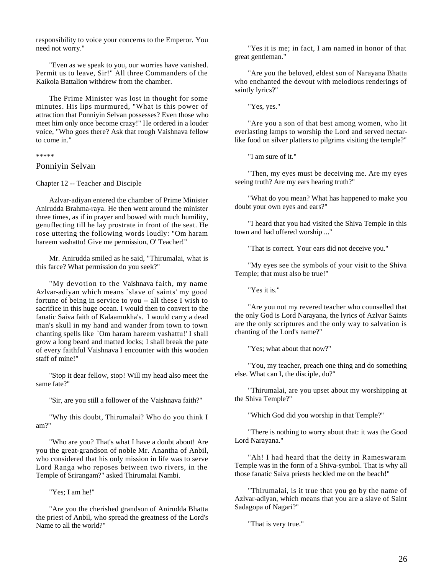responsibility to voice your concerns to the Emperor. You need not worry."

"Even as we speak to you, our worries have vanished. Permit us to leave, Sir!" All three Commanders of the Kaikola Battalion withdrew from the chamber.

The Prime Minister was lost in thought for some minutes. His lips murmured, "What is this power of attraction that Ponniyin Selvan possesses? Even those who meet him only once become crazy!" He ordered in a louder voice, "Who goes there? Ask that rough Vaishnava fellow to come in."

#### \*\*\*\*\*

#### Ponniyin Selvan

Chapter 12 -- Teacher and Disciple

Azlvar-adiyan entered the chamber of Prime Minister Anirudda Brahma-raya. He then went around the minister three times, as if in prayer and bowed with much humility, genuflecting till he lay prostrate in front of the seat. He rose uttering the following words loudly: "Om haram hareem vashattu! Give me permission, O' Teacher!"

Mr. Anirudda smiled as he said, "Thirumalai, what is this farce? What permission do you seek?"

"My devotion to the Vaishnava faith, my name Azlvar-adiyan which means `slave of saints' my good fortune of being in service to you -- all these I wish to sacrifice in this huge ocean. I would then to convert to the fanatic Saiva faith of Kalaamukha's. I would carry a dead man's skull in my hand and wander from town to town chanting spells like `Om haram hareem vashattu!' I shall grow a long beard and matted locks; I shall break the pate of every faithful Vaishnava I encounter with this wooden staff of mine!"

"Stop it dear fellow, stop! Will my head also meet the same fate?"

"Sir, are you still a follower of the Vaishnava faith?"

"Why this doubt, Thirumalai? Who do you think I am?"

"Who are you? That's what I have a doubt about! Are you the great-grandson of noble Mr. Anantha of Anbil, who considered that his only mission in life was to serve Lord Ranga who reposes between two rivers, in the Temple of Srirangam?" asked Thirumalai Nambi.

"Yes; I am he!"

"Are you the cherished grandson of Anirudda Bhatta the priest of Anbil, who spread the greatness of the Lord's Name to all the world?"

"Yes it is me; in fact, I am named in honor of that great gentleman."

"Are you the beloved, eldest son of Narayana Bhatta who enchanted the devout with melodious renderings of saintly lyrics?"

"Yes, yes."

"Are you a son of that best among women, who lit everlasting lamps to worship the Lord and served nectarlike food on silver platters to pilgrims visiting the temple?"

"I am sure of it."

"Then, my eyes must be deceiving me. Are my eyes seeing truth? Are my ears hearing truth?"

"What do you mean? What has happened to make you doubt your own eyes and ears?"

"I heard that you had visited the Shiva Temple in this town and had offered worship ..."

"That is correct. Your ears did not deceive you."

"My eyes see the symbols of your visit to the Shiva Temple; that must also be true!"

"Yes it is."

"Are you not my revered teacher who counselled that the only God is Lord Narayana, the lyrics of Azlvar Saints are the only scriptures and the only way to salvation is chanting of the Lord's name?"

"Yes; what about that now?"

"You, my teacher, preach one thing and do something else. What can I, the disciple, do?"

"Thirumalai, are you upset about my worshipping at the Shiva Temple?"

"Which God did you worship in that Temple?"

"There is nothing to worry about that: it was the Good Lord Narayana."

"Ah! I had heard that the deity in Rameswaram Temple was in the form of a Shiva-symbol. That is why all those fanatic Saiva priests heckled me on the beach!"

"Thirumalai, is it true that you go by the name of Azlvar-adiyan, which means that you are a slave of Saint Sadagopa of Nagari?"

"That is very true."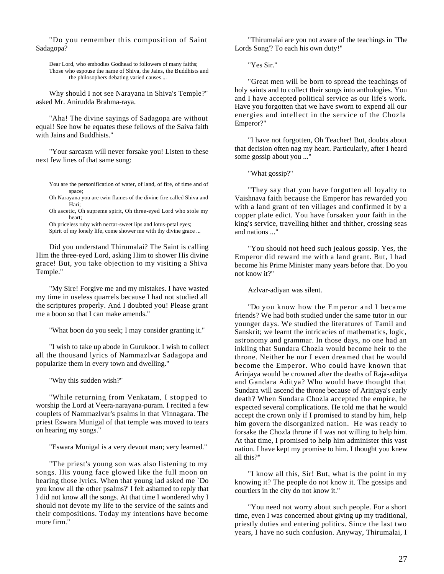"Do you remember this composition of Saint Sadagopa?

Dear Lord, who embodies Godhead to followers of many faiths; Those who espouse the name of Shiva, the Jains, the Buddhists and the philosophers debating varied causes ...

Why should I not see Narayana in Shiva's Temple?" asked Mr. Anirudda Brahma-raya.

"Aha! The divine sayings of Sadagopa are without equal! See how he equates these fellows of the Saiva faith with Jains and Buddhists."

"Your sarcasm will never forsake you! Listen to these next few lines of that same song:

You are the personification of water, of land, of fire, of time and of space;

Oh Narayana you are twin flames of the divine fire called Shiva and Hari;

Oh ascetic, Oh supreme spirit, Oh three-eyed Lord who stole my heart;

Oh priceless ruby with nectar-sweet lips and lotus-petal eyes;

Spirit of my lonely life, come shower me with thy divine grace ...

Did you understand Thirumalai? The Saint is calling Him the three-eyed Lord, asking Him to shower His divine grace! But, you take objection to my visiting a Shiva Temple."

"My Sire! Forgive me and my mistakes. I have wasted my time in useless quarrels because I had not studied all the scriptures properly. And I doubted you! Please grant me a boon so that I can make amends."

"What boon do you seek; I may consider granting it."

"I wish to take up abode in Gurukoor. I wish to collect all the thousand lyrics of Nammazlvar Sadagopa and popularize them in every town and dwelling."

"Why this sudden wish?"

"While returning from Venkatam, I stopped to worship the Lord at Veera-narayana-puram. I recited a few couplets of Nammazlvar's psalms in that Vinnagara. The priest Eswara Munigal of that temple was moved to tears on hearing my songs."

"Eswara Munigal is a very devout man; very learned."

"The priest's young son was also listening to my songs. His young face glowed like the full moon on hearing those lyrics. When that young lad asked me `Do you know all the other psalms?' I felt ashamed to reply that I did not know all the songs. At that time I wondered why I should not devote my life to the service of the saints and their compositions. Today my intentions have become more firm."

"Thirumalai are you not aware of the teachings in `The Lords Song'? To each his own duty!"

"Yes Sir."

"Great men will be born to spread the teachings of holy saints and to collect their songs into anthologies. You and I have accepted political service as our life's work. Have you forgotten that we have sworn to expend all our energies and intellect in the service of the Chozla Emperor?"

"I have not forgotten, Oh Teacher! But, doubts about that decision often nag my heart. Particularly, after I heard some gossip about you ..."

"What gossip?"

"They say that you have forgotten all loyalty to Vaishnava faith because the Emperor has rewarded you with a land grant of ten villages and confirmed it by a copper plate edict. You have forsaken your faith in the king's service, travelling hither and thither, crossing seas and nations ..."

"You should not heed such jealous gossip. Yes, the Emperor did reward me with a land grant. But, I had become his Prime Minister many years before that. Do you not know it?"

Azlvar-adiyan was silent.

"Do you know how the Emperor and I became friends? We had both studied under the same tutor in our younger days. We studied the literatures of Tamil and Sanskrit; we learnt the intricacies of mathematics, logic, astronomy and grammar. In those days, no one had an inkling that Sundara Chozla would become heir to the throne. Neither he nor I even dreamed that he would become the Emperor. Who could have known that Arinjaya would be crowned after the deaths of Raja-aditya and Gandara Aditya? Who would have thought that Sundara will ascend the throne because of Arinjaya's early death? When Sundara Chozla accepted the empire, he expected several complications. He told me that he would accept the crown only if I promised to stand by him, help him govern the disorganized nation. He was ready to forsake the Chozla throne if I was not willing to help him. At that time, I promised to help him administer this vast nation. I have kept my promise to him. I thought you knew all this?"

"I know all this, Sir! But, what is the point in my knowing it? The people do not know it. The gossips and courtiers in the city do not know it."

"You need not worry about such people. For a short time, even I was concerned about giving up my traditional, priestly duties and entering politics. Since the last two years, I have no such confusion. Anyway, Thirumalai, I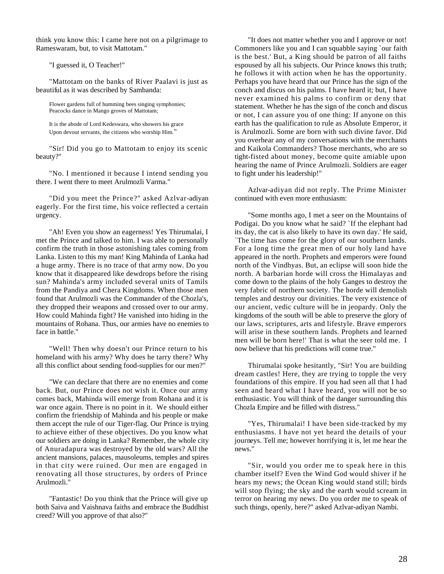think you know this: I came here not on a pilgrimage to Rameswaram, but, to visit Mattotam."

"I guessed it, O Teacher!"

"Mattotam on the banks of River Paalavi is just as beautiful as it was described by Sambanda:

Flower gardens full of humming bees singing symphonies; Peacocks dance in Mango groves of Mattotam;

It is the abode of Lord Kedeswara, who showers his grace Upon devout servants, the citizens who worship Him."

"Sir! Did you go to Mattotam to enjoy its scenic beauty?"

"No. I mentioned it because I intend sending you there. I went there to meet Arulmozli Varma."

"Did you meet the Prince?" asked Azlvar-adiyan eagerly. For the first time, his voice reflected a certain urgency.

"Ah! Even you show an eagerness! Yes Thirumalai, I met the Prince and talked to him. I was able to personally confirm the truth in those astonishing tales coming from Lanka. Listen to this my man! King Mahinda of Lanka had a huge army. There is no trace of that army now. Do you know that it disappeared like dewdrops before the rising sun? Mahinda's army included several units of Tamils from the Pandiya and Chera Kingdoms. When those men found that Arulmozli was the Commander of the Chozla's, they dropped their weapons and crossed over to our army. How could Mahinda fight? He vanished into hiding in the mountains of Rohana. Thus, our armies have no enemies to face in battle."

"Well! Then why doesn't our Prince return to his homeland with his army? Why does he tarry there? Why all this conflict about sending food-supplies for our men?"

"We can declare that there are no enemies and come back. But, our Prince does not wish it. Once our army comes back, Mahinda will emerge from Rohana and it is war once again. There is no point in it. We should either confirm the friendship of Mahinda and his people or make them accept the rule of our Tiger-flag. Our Prince is trying to achieve either of these objectives. Do you know what our soldiers are doing in Lanka? Remember, the whole city of Anuradapura was destroyed by the old wars? All the ancient mansions, palaces, mausoleums, temples and spires in that city were ruined. Our men are engaged in renovating all those structures, by orders of Prince Arulmozli."

"Fantastic! Do you think that the Prince will give up both Saiva and Vaishnava faiths and embrace the Buddhist creed? Will you approve of that also?"

"It does not matter whether you and I approve or not! Commoners like you and I can squabble saying `our faith is the best.' But, a King should be patron of all faiths espoused by all his subjects. Our Prince knows this truth; he follows it with action when he has the opportunity. Perhaps you have heard that our Prince has the sign of the conch and discus on his palms. I have heard it; but, I have never examined his palms to confirm or deny that statement. Whether he has the sign of the conch and discus or not, I can assure you of one thing: If anyone on this earth has the qualification to rule as Absolute Emperor, it is Arulmozli. Some are born with such divine favor. Did you overhear any of my conversations with the merchants and Kaikola Commanders? Those merchants, who are so tight-fisted about money, become quite amiable upon hearing the name of Prince Arulmozli. Soldiers are eager to fight under his leadership!"

Azlvar-adiyan did not reply. The Prime Minister continued with even more enthusiasm:

"Some months ago, I met a seer on the Mountains of Podigai. Do you know what he said? `If the elephant had its day, the cat is also likely to have its own day.' He said, `The time has come for the glory of our southern lands. For a long time the great men of our holy land have appeared in the north. Prophets and emperors were found north of the Vindhyas. But, an eclipse will soon hide the north. A barbarian horde will cross the Himalayas and come down to the plains of the holy Ganges to destroy the very fabric of northern society. The horde will demolish temples and destroy our divinities. The very existence of our ancient, vedic culture will be in jeopardy. Only the kingdoms of the south will be able to preserve the glory of our laws, scriptures, arts and lifestyle. Brave emperors will arise in these southern lands. Prophets and learned men will be born here!' That is what the seer told me. I now believe that his predictions will come true."

Thirumalai spoke hesitantly, "Sir! You are building dream castles! Here, they are trying to topple the very foundations of this empire. If you had seen all that I had seen and heard what I have heard, you will not be so enthusiastic. You will think of the danger surrounding this Chozla Empire and be filled with distress."

"Yes, Thirumalai! I have been side-tracked by my enthusiasms. I have not yet heard the details of your journeys. Tell me; however horrifying it is, let me hear the news."

"Sir, would you order me to speak here in this chamber itself? Even the Wind God would shiver if he hears my news; the Ocean King would stand still; birds will stop flying; the sky and the earth would scream in terror on hearing my news. Do you order me to speak of such things, openly, here?" asked Azlvar-adiyan Nambi.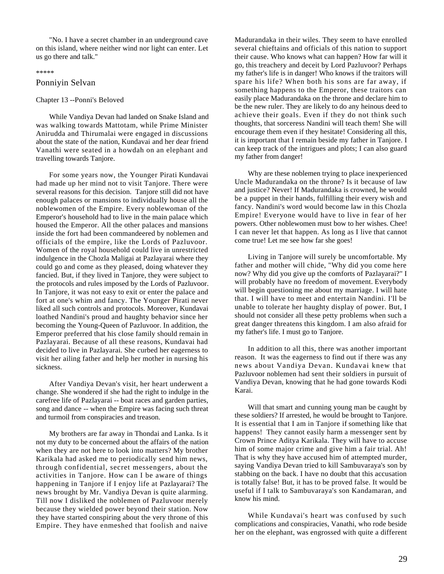"No. I have a secret chamber in an underground cave on this island, where neither wind nor light can enter. Let us go there and talk."

#### \*\*\*\*\*

#### Ponniyin Selvan

#### Chapter 13 --Ponni's Beloved

While Vandiya Devan had landed on Snake Island and was walking towards Mattotam, while Prime Minister Anirudda and Thirumalai were engaged in discussions about the state of the nation, Kundavai and her dear friend Vanathi were seated in a howdah on an elephant and travelling towards Tanjore.

For some years now, the Younger Pirati Kundavai had made up her mind not to visit Tanjore. There were several reasons for this decision. Tanjore still did not have enough palaces or mansions to individually house all the noblewomen of the Empire. Every noblewoman of the Emperor's household had to live in the main palace which housed the Emperor. All the other palaces and mansions inside the fort had been commandeered by noblemen and officials of the empire, like the Lords of Pazluvoor. Women of the royal household could live in unrestricted indulgence in the Chozla Maligai at Pazlayarai where they could go and come as they pleased, doing whatever they fancied. But, if they lived in Tanjore, they were subject to the protocols and rules imposed by the Lords of Pazluvoor. In Tanjore, it was not easy to exit or enter the palace and fort at one's whim and fancy. The Younger Pirati never liked all such controls and protocols. Moreover, Kundavai loathed Nandini's proud and haughty behavior since her becoming the Young-Queen of Pazluvoor. In addition, the Emperor preferred that his close family should remain in Pazlayarai. Because of all these reasons, Kundavai had decided to live in Pazlayarai. She curbed her eagerness to visit her ailing father and help her mother in nursing his sickness.

After Vandiya Devan's visit, her heart underwent a change. She wondered if she had the right to indulge in the carefree life of Pazlayarai -- boat races and garden parties, song and dance -- when the Empire was facing such threat and turmoil from conspiracies and treason.

My brothers are far away in Thondai and Lanka. Is it not my duty to be concerned about the affairs of the nation when they are not here to look into matters? My brother Karikala had asked me to periodically send him news, through confidential, secret messengers, about the activities in Tanjore. How can I be aware of things happening in Tanjore if I enjoy life at Pazlayarai? The news brought by Mr. Vandiya Devan is quite alarming. Till now I disliked the noblemen of Pazluvoor merely because they wielded power beyond their station. Now they have started conspiring about the very throne of this Empire. They have enmeshed that foolish and naive

Madurandaka in their wiles. They seem to have enrolled several chieftains and officials of this nation to support their cause. Who knows what can happen? How far will it go, this treachery and deceit by Lord Pazluvoor? Perhaps my father's life is in danger! Who knows if the traitors will spare his life? When both his sons are far away, if something happens to the Emperor, these traitors can easily place Madurandaka on the throne and declare him to be the new ruler. They are likely to do any heinous deed to achieve their goals. Even if they do not think such thoughts, that sorceress Nandini will teach them! She will encourage them even if they hesitate! Considering all this, it is important that I remain beside my father in Tanjore. I can keep track of the intrigues and plots; I can also guard my father from danger!

Why are these noblemen trying to place inexperienced Uncle Madurandaka on the throne? Is it because of law and justice? Never! If Madurandaka is crowned, he would be a puppet in their hands, fulfilling their every wish and fancy. Nandini's word would become law in this Chozla Empire! Everyone would have to live in fear of her powers. Other noblewomen must bow to her wishes. Chee! I can never let that happen. As long as I live that cannot come true! Let me see how far she goes!

Living in Tanjore will surely be uncomfortable. My father and mother will chide, "Why did you come here now? Why did you give up the comforts of Pazlayarai?" I will probably have no freedom of movement. Everybody will begin questioning me about my marriage. I will hate that. I will have to meet and entertain Nandini. I'll be unable to tolerate her haughty display of power. But, I should not consider all these petty problems when such a great danger threatens this kingdom. I am also afraid for my father's life. I must go to Tanjore.

In addition to all this, there was another important reason. It was the eagerness to find out if there was any news about Vandiya Devan. Kundavai knew that Pazluvoor noblemen had sent their soldiers in pursuit of Vandiya Devan, knowing that he had gone towards Kodi Karai.

Will that smart and cunning young man be caught by these soldiers? If arrested, he would be brought to Tanjore. It is essential that I am in Tanjore if something like that happens! They cannot easily harm a messenger sent by Crown Prince Aditya Karikala. They will have to accuse him of some major crime and give him a fair trial. Ah! That is why they have accused him of attempted murder, saying Vandiya Devan tried to kill Sambuvaraya's son by stabbing on the back. I have no doubt that this accusation is totally false! But, it has to be proved false. It would be useful if I talk to Sambuvaraya's son Kandamaran, and know his mind.

While Kundavai's heart was confused by such complications and conspiracies, Vanathi, who rode beside her on the elephant, was engrossed with quite a different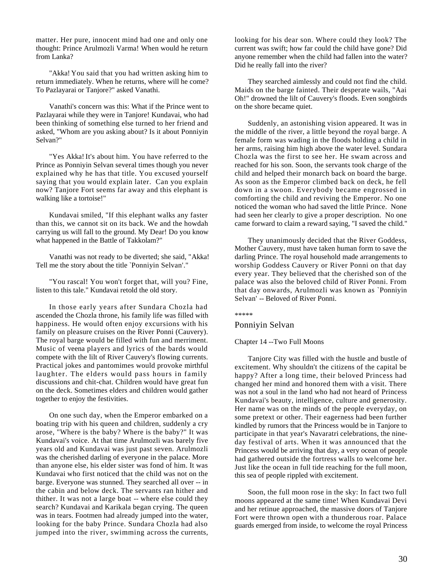matter. Her pure, innocent mind had one and only one thought: Prince Arulmozli Varma! When would he return from Lanka?

"Akka! You said that you had written asking him to return immediately. When he returns, where will he come? To Pazlayarai or Tanjore?" asked Vanathi.

Vanathi's concern was this: What if the Prince went to Pazlayarai while they were in Tanjore! Kundavai, who had been thinking of something else turned to her friend and asked, "Whom are you asking about? Is it about Ponniyin Selvan?"

"Yes Akka! It's about him. You have referred to the Prince as Ponniyin Selvan several times though you never explained why he has that title. You excused yourself saying that you would explain later. Can you explain now? Tanjore Fort seems far away and this elephant is walking like a tortoise!"

Kundavai smiled, "If this elephant walks any faster than this, we cannot sit on its back. We and the howdah carrying us will fall to the ground. My Dear! Do you know what happened in the Battle of Takkolam?"

Vanathi was not ready to be diverted; she said, "Akka! Tell me the story about the title `Ponniyin Selvan'."

"You rascal! You won't forget that, will you? Fine, listen to this tale." Kundavai retold the old story.

In those early years after Sundara Chozla had ascended the Chozla throne, his family life was filled with happiness. He would often enjoy excursions with his family on pleasure cruises on the River Ponni (Cauvery). The royal barge would be filled with fun and merriment. Music of veena players and lyrics of the bards would compete with the lilt of River Cauvery's flowing currents. Practical jokes and pantomimes would provoke mirthful laughter. The elders would pass hours in family discussions and chit-chat. Children would have great fun on the deck. Sometimes elders and children would gather together to enjoy the festivities.

On one such day, when the Emperor embarked on a boating trip with his queen and children, suddenly a cry arose, "Where is the baby? Where is the baby?" It was Kundavai's voice. At that time Arulmozli was barely five years old and Kundavai was just past seven. Arulmozli was the cherished darling of everyone in the palace. More than anyone else, his elder sister was fond of him. It was Kundavai who first noticed that the child was not on the barge. Everyone was stunned. They searched all over -- in the cabin and below deck. The servants ran hither and thither. It was not a large boat -- where else could they search? Kundavai and Karikala began crying. The queen was in tears. Footmen had already jumped into the water, looking for the baby Prince. Sundara Chozla had also jumped into the river, swimming across the currents,

looking for his dear son. Where could they look? The current was swift; how far could the child have gone? Did anyone remember when the child had fallen into the water? Did he really fall into the river?

They searched aimlessly and could not find the child. Maids on the barge fainted. Their desperate wails, "Aai Oh!" drowned the lilt of Cauvery's floods. Even songbirds on the shore became quiet.

Suddenly, an astonishing vision appeared. It was in the middle of the river, a little beyond the royal barge. A female form was wading in the floods holding a child in her arms, raising him high above the water level. Sundara Chozla was the first to see her. He swam across and reached for his son. Soon, the servants took charge of the child and helped their monarch back on board the barge. As soon as the Emperor climbed back on deck, he fell down in a swoon. Everybody became engrossed in comforting the child and reviving the Emperor. No one noticed the woman who had saved the little Prince. None had seen her clearly to give a proper description. No one came forward to claim a reward saying, "I saved the child."

They unanimously decided that the River Goddess, Mother Cauvery, must have taken human form to save the darling Prince. The royal household made arrangements to worship Goddess Cauvery or River Ponni on that day every year. They believed that the cherished son of the palace was also the beloved child of River Ponni. From that day onwards, Arulmozli was known as `Ponniyin Selvan' -- Beloved of River Ponni.

\*\*\*\*\*

#### Ponniyin Selvan

#### Chapter 14 --Two Full Moons

Tanjore City was filled with the hustle and bustle of excitement. Why shouldn't the citizens of the capital be happy? After a long time, their beloved Princess had changed her mind and honored them with a visit. There was not a soul in the land who had not heard of Princess Kundavai's beauty, intelligence, culture and generosity. Her name was on the minds of the people everyday, on some pretext or other. Their eagerness had been further kindled by rumors that the Princess would be in Tanjore to participate in that year's Navaratri celebrations, the nineday festival of arts. When it was announced that the Princess would be arriving that day, a very ocean of people had gathered outside the fortress walls to welcome her. Just like the ocean in full tide reaching for the full moon, this sea of people rippled with excitement.

Soon, the full moon rose in the sky: In fact two full moons appeared at the same time! When Kundavai Devi and her retinue approached, the massive doors of Tanjore Fort were thrown open with a thunderous roar. Palace guards emerged from inside, to welcome the royal Princess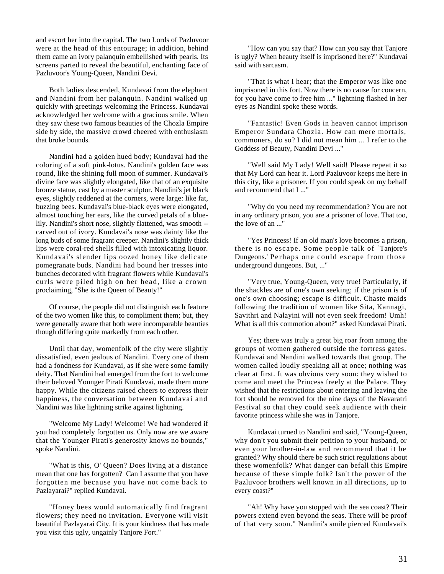and escort her into the capital. The two Lords of Pazluvoor were at the head of this entourage; in addition, behind them came an ivory palanquin embellished with pearls. Its screens parted to reveal the beautiful, enchanting face of Pazluvoor's Young-Queen, Nandini Devi.

Both ladies descended, Kundavai from the elephant and Nandini from her palanquin. Nandini walked up quickly with greetings welcoming the Princess. Kundavai acknowledged her welcome with a gracious smile. When they saw these two famous beauties of the Chozla Empire side by side, the massive crowd cheered with enthusiasm that broke bounds.

Nandini had a golden hued body; Kundavai had the coloring of a soft pink-lotus. Nandini's golden face was round, like the shining full moon of summer. Kundavai's divine face was slightly elongated, like that of an exquisite bronze statue, cast by a master sculptor. Nandini's jet black eyes, slightly reddened at the corners, were large: like fat, buzzing bees. Kundavai's blue-black eyes were elongated, almost touching her ears, like the curved petals of a bluelily. Nandini's short nose, slightly flattened, was smooth - carved out of ivory. Kundavai's nose was dainty like the long buds of some fragrant creeper. Nandini's slightly thick lips were coral-red shells filled with intoxicating liquor. Kundavai's slender lips oozed honey like delicate pomegranate buds. Nandini had bound her tresses into bunches decorated with fragrant flowers while Kundavai's curls were piled high on her head, like a crown proclaiming, "She is the Queen of Beauty!"

Of course, the people did not distinguish each feature of the two women like this, to compliment them; but, they were generally aware that both were incomparable beauties though differing quite markedly from each other.

Until that day, womenfolk of the city were slightly dissatisfied, even jealous of Nandini. Every one of them had a fondness for Kundavai, as if she were some family deity. That Nandini had emerged from the fort to welcome their beloved Younger Pirati Kundavai, made them more happy. While the citizens raised cheers to express their happiness, the conversation between Kundavai and Nandini was like lightning strike against lightning.

"Welcome My Lady! Welcome! We had wondered if you had completely forgotten us. Only now are we aware that the Younger Pirati's generosity knows no bounds," spoke Nandini.

"What is this, O' Queen? Does living at a distance mean that one has forgotten? Can I assume that you have forgotten me because you have not come back to Pazlayarai?" replied Kundavai.

"Honey bees would automatically find fragrant flowers; they need no invitation. Everyone will visit beautiful Pazlayarai City. It is your kindness that has made you visit this ugly, ungainly Tanjore Fort."

"How can you say that? How can you say that Tanjore is ugly? When beauty itself is imprisoned here?" Kundavai said with sarcasm.

"That is what I hear; that the Emperor was like one imprisoned in this fort. Now there is no cause for concern, for you have come to free him ..." lightning flashed in her eyes as Nandini spoke these words.

"Fantastic! Even Gods in heaven cannot imprison Emperor Sundara Chozla. How can mere mortals, commoners, do so? I did not mean him ... I refer to the Goddess of Beauty, Nandini Devi ..."

"Well said My Lady! Well said! Please repeat it so that My Lord can hear it. Lord Pazluvoor keeps me here in this city, like a prisoner. If you could speak on my behalf and recommend that I ..."

"Why do you need my recommendation? You are not in any ordinary prison, you are a prisoner of love. That too, the love of an ..."

"Yes Princess! If an old man's love becomes a prison, there is no escape. Some people talk of `Tanjore's Dungeons.' Perhaps one could escape from those underground dungeons. But, ..."

"Very true, Young-Queen, very true! Particularly, if the shackles are of one's own seeking; if the prison is of one's own choosing; escape is difficult. Chaste maids following the tradition of women like Sita, Kannagi, Savithri and Nalayini will not even seek freedom! Umh! What is all this commotion about?" asked Kundavai Pirati.

Yes; there was truly a great big roar from among the groups of women gathered outside the fortress gates. Kundavai and Nandini walked towards that group. The women called loudly speaking all at once; nothing was clear at first. It was obvious very soon: they wished to come and meet the Princess freely at the Palace. They wished that the restrictions about entering and leaving the fort should be removed for the nine days of the Navaratri Festival so that they could seek audience with their favorite princess while she was in Tanjore.

Kundavai turned to Nandini and said, "Young-Queen, why don't you submit their petition to your husband, or even your brother-in-law and recommend that it be granted? Why should there be such strict regulations about these womenfolk? What danger can befall this Empire because of these simple folk? Isn't the power of the Pazluvoor brothers well known in all directions, up to every coast?"

"Ah! Why have you stopped with the sea coast? Their powers extend even beyond the seas. There will be proof of that very soon." Nandini's smile pierced Kundavai's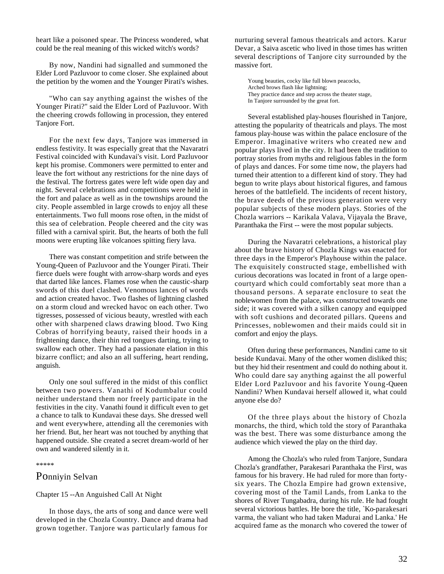heart like a poisoned spear. The Princess wondered, what could be the real meaning of this wicked witch's words?

By now, Nandini had signalled and summoned the Elder Lord Pazluvoor to come closer. She explained about the petition by the women and the Younger Pirati's wishes.

"Who can say anything against the wishes of the Younger Pirati?" said the Elder Lord of Pazluvoor. With the cheering crowds following in procession, they entered Tanjore Fort.

For the next few days, Tanjore was immersed in endless festivity. It was especially great that the Navaratri Festival coincided with Kundavai's visit. Lord Pazluvoor kept his promise. Commoners were permitted to enter and leave the fort without any restrictions for the nine days of the festival. The fortress gates were left wide open day and night. Several celebrations and competitions were held in the fort and palace as well as in the townships around the city. People assembled in large crowds to enjoy all these entertainments. Two full moons rose often, in the midst of this sea of celebration. People cheered and the city was filled with a carnival spirit. But, the hearts of both the full moons were erupting like volcanoes spitting fiery lava.

There was constant competition and strife between the Young-Queen of Pazluvoor and the Younger Pirati. Their fierce duels were fought with arrow-sharp words and eyes that darted like lances. Flames rose when the caustic-sharp swords of this duel clashed. Venomous lances of words and action created havoc. Two flashes of lightning clashed on a storm cloud and wrecked havoc on each other. Two tigresses, possessed of vicious beauty, wrestled with each other with sharpened claws drawing blood. Two King Cobras of horrifying beauty, raised their hoods in a frightening dance, their thin red tongues darting, trying to swallow each other. They had a passionate elation in this bizarre conflict; and also an all suffering, heart rending, anguish.

Only one soul suffered in the midst of this conflict between two powers. Vanathi of Kodumbalur could neither understand them nor freely participate in the festivities in the city. Vanathi found it difficult even to get a chance to talk to Kundavai these days. She dressed well and went everywhere, attending all the ceremonies with her friend. But, her heart was not touched by anything that happened outside. She created a secret dream-world of her own and wandered silently in it.

\*\*\*\*\*

#### Ponniyin Selvan

Chapter 15 --An Anguished Call At Night

In those days, the arts of song and dance were well developed in the Chozla Country. Dance and drama had grown together. Tanjore was particularly famous for nurturing several famous theatricals and actors. Karur Devar, a Saiva ascetic who lived in those times has written several descriptions of Tanjore city surrounded by the massive fort.

Young beauties, cocky like full blown peacocks, Arched brows flash like lightning; They practice dance and step across the theater stage, In Tanjore surrounded by the great fort.

Several established play-houses flourished in Tanjore, attesting the popularity of theatricals and plays. The most famous play-house was within the palace enclosure of the Emperor. Imaginative writers who created new and popular plays lived in the city. It had been the tradition to portray stories from myths and religious fables in the form of plays and dances. For some time now, the players had turned their attention to a different kind of story. They had begun to write plays about historical figures, and famous heroes of the battlefield. The incidents of recent history, the brave deeds of the previous generation were very popular subjects of these modern plays. Stories of the Chozla warriors -- Karikala Valava, Vijayala the Brave, Paranthaka the First -- were the most popular subjects.

During the Navaratri celebrations, a historical play about the brave history of Chozla Kings was enacted for three days in the Emperor's Playhouse within the palace. The exquisitely constructed stage, embellished with curious decorations was located in front of a large opencourtyard which could comfortably seat more than a thousand persons. A separate enclosure to seat the noblewomen from the palace, was constructed towards one side; it was covered with a silken canopy and equipped with soft cushions and decorated pillars. Queens and Princesses, noblewomen and their maids could sit in comfort and enjoy the plays.

Often during these performances, Nandini came to sit beside Kundavai. Many of the other women disliked this; but they hid their resentment and could do nothing about it. Who could dare say anything against the all powerful Elder Lord Pazluvoor and his favorite Young-Queen Nandini? When Kundavai herself allowed it, what could anyone else do?

Of the three plays about the history of Chozla monarchs, the third, which told the story of Paranthaka was the best. There was some disturbance among the audience which viewed the play on the third day.

Among the Chozla's who ruled from Tanjore, Sundara Chozla's grandfather, Parakesari Paranthaka the First, was famous for his bravery. He had ruled for more than fortysix years. The Chozla Empire had grown extensive, covering most of the Tamil Lands, from Lanka to the shores of River Tungabadra, during his rule. He had fought several victorious battles. He bore the title, `Ko-parakesari varma, the valiant who had taken Madurai and Lanka.' He acquired fame as the monarch who covered the tower of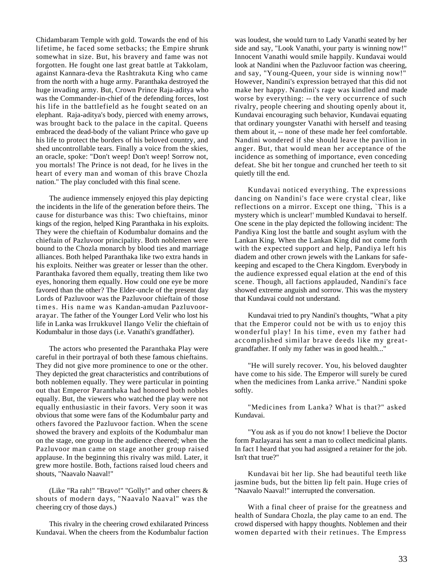Chidambaram Temple with gold. Towards the end of his lifetime, he faced some setbacks; the Empire shrunk somewhat in size. But, his bravery and fame was not forgotten. He fought one last great battle at Takkolam, against Kannara-deva the Rashtrakuta King who came from the north with a huge army. Paranthaka destroyed the huge invading army. But, Crown Prince Raja-aditya who was the Commander-in-chief of the defending forces, lost his life in the battlefield as he fought seated on an elephant. Raja-aditya's body, pierced with enemy arrows, was brought back to the palace in the capital. Queens embraced the dead-body of the valiant Prince who gave up his life to protect the borders of his beloved country, and shed uncontrollable tears. Finally a voice from the skies, an oracle, spoke: "Don't weep! Don't weep! Sorrow not, you mortals! The Prince is not dead, for he lives in the heart of every man and woman of this brave Chozla nation." The play concluded with this final scene.

The audience immensely enjoyed this play depicting the incidents in the life of the generation before theirs. The cause for disturbance was this: Two chieftains, minor kings of the region, helped King Paranthaka in his exploits. They were the chieftain of Kodumbalur domains and the chieftain of Pazluvoor principality. Both noblemen were bound to the Chozla monarch by blood ties and marriage alliances. Both helped Paranthaka like two extra hands in his exploits. Neither was greater or lesser than the other. Paranthaka favored them equally, treating them like two eyes, honoring them equally. How could one eye be more favored than the other? The Elder-uncle of the present day Lords of Pazluvoor was the Pazluvoor chieftain of those times. His name was Kandan-amudan Pazluvoorarayar. The father of the Younger Lord Velir who lost his life in Lanka was Irrukkuvel Ilango Velir the chieftain of Kodumbalur in those days (i.e. Vanathi's grandfather).

The actors who presented the Paranthaka Play were careful in their portrayal of both these famous chieftains. They did not give more prominence to one or the other. They depicted the great characteristics and contributions of both noblemen equally. They were particular in pointing out that Emperor Paranthaka had honored both nobles equally. But, the viewers who watched the play were not equally enthusiastic in their favors. Very soon it was obvious that some were fans of the Kodumbalur party and others favored the Pazluvoor faction. When the scene showed the bravery and exploits of the Kodumbalur man on the stage, one group in the audience cheered; when the Pazluvoor man came on stage another group raised applause. In the beginning this rivalry was mild. Later, it grew more hostile. Both, factions raised loud cheers and shouts, "Naavalo Naaval!"

(Like "Ra rah!" "Bravo!" "Golly!" and other cheers & shouts of modern days, "Naavalo Naaval" was the cheering cry of those days.)

This rivalry in the cheering crowd exhilarated Princess Kundavai. When the cheers from the Kodumbalur faction

was loudest, she would turn to Lady Vanathi seated by her side and say, "Look Vanathi, your party is winning now!" Innocent Vanathi would smile happily. Kundavai would look at Nandini when the Pazluvoor faction was cheering, and say, "Young-Queen, your side is winning now!" However, Nandini's expression betrayed that this did not make her happy. Nandini's rage was kindled and made worse by everything: -- the very occurrence of such rivalry, people cheering and shouting openly about it, Kundavai encouraging such behavior, Kundavai equating that ordinary youngster Vanathi with herself and teasing them about it, -- none of these made her feel comfortable. Nandini wondered if she should leave the pavilion in anger. But, that would mean her acceptance of the incidence as something of importance, even conceding defeat. She bit her tongue and crunched her teeth to sit quietly till the end.

Kundavai noticed everything. The expressions dancing on Nandini's face were crystal clear, like reflections on a mirror. Except one thing, `This is a mystery which is unclear!' mumbled Kundavai to herself. One scene in the play depicted the following incident: The Pandiya King lost the battle and sought asylum with the Lankan King. When the Lankan King did not come forth with the expected support and help, Pandiya left his diadem and other crown jewels with the Lankans for safekeeping and escaped to the Chera Kingdom. Everybody in the audience expressed equal elation at the end of this scene. Though, all factions applauded, Nandini's face showed extreme anguish and sorrow. This was the mystery that Kundavai could not understand.

Kundavai tried to pry Nandini's thoughts, "What a pity that the Emperor could not be with us to enjoy this wonderful play! In his time, even my father had accomplished similar brave deeds like my greatgrandfather. If only my father was in good health..."

"He will surely recover. You, his beloved daughter have come to his side. The Emperor will surely be cured when the medicines from Lanka arrive." Nandini spoke softly.

"Medicines from Lanka? What is that?" asked Kundavai.

"You ask as if you do not know! I believe the Doctor form Pazlayarai has sent a man to collect medicinal plants. In fact I heard that you had assigned a retainer for the job. Isn't that true?"

Kundavai bit her lip. She had beautiful teeth like jasmine buds, but the bitten lip felt pain. Huge cries of "Naavalo Naaval!" interrupted the conversation.

With a final cheer of praise for the greatness and health of Sundara Chozla, the play came to an end. The crowd dispersed with happy thoughts. Noblemen and their women departed with their retinues. The Empress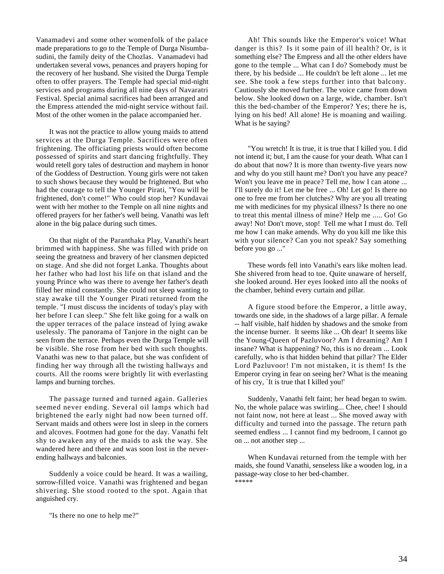Vanamadevi and some other womenfolk of the palace made preparations to go to the Temple of Durga Nisumbasudini, the family deity of the Chozlas. Vanamadevi had undertaken several vows, penances and prayers hoping for the recovery of her husband. She visited the Durga Temple often to offer prayers. The Temple had special mid-night services and programs during all nine days of Navaratri Festival. Special animal sacrifices had been arranged and the Empress attended the mid-night service without fail. Most of the other women in the palace accompanied her.

It was not the practice to allow young maids to attend services at the Durga Temple. Sacrifices were often frightening. The officiating priests would often become possessed of spirits and start dancing frightfully. They would retell gory tales of destruction and mayhem in honor of the Goddess of Destruction. Young girls were not taken to such shows because they would be frightened. But who had the courage to tell the Younger Pirati, "You will be frightened, don't come!" Who could stop her? Kundavai went with her mother to the Temple on all nine nights and offered prayers for her father's well being. Vanathi was left alone in the big palace during such times.

On that night of the Paranthaka Play, Vanathi's heart brimmed with happiness. She was filled with pride on seeing the greatness and bravery of her clansmen depicted on stage. And she did not forget Lanka. Thoughts about her father who had lost his life on that island and the young Prince who was there to avenge her father's death filled her mind constantly. She could not sleep wanting to stay awake till the Younger Pirati returned from the temple. "I must discuss the incidents of today's play with her before I can sleep." She felt like going for a walk on the upper terraces of the palace instead of lying awake uselessly. The panorama of Tanjore in the night can be seen from the terrace. Perhaps even the Durga Temple will be visible. She rose from her bed with such thoughts. Vanathi was new to that palace, but she was confident of finding her way through all the twisting hallways and courts. All the rooms were brightly lit with everlasting lamps and burning torches.

The passage turned and turned again. Galleries seemed never ending. Several oil lamps which had brightened the early night had now been turned off. Servant maids and others were lost in sleep in the corners and alcoves. Footmen had gone for the day. Vanathi felt shy to awaken any of the maids to ask the way. She wandered here and there and was soon lost in the neverending hallways and balconies.

Suddenly a voice could be heard. It was a wailing, sorrow-filled voice. Vanathi was frightened and began shivering. She stood rooted to the spot. Again that anguished cry.

"Is there no one to help me?"

Ah! This sounds like the Emperor's voice! What danger is this? Is it some pain of ill health? Or, is it something else? The Empress and all the other elders have gone to the temple ... What can I do? Somebody must be there, by his bedside ... He couldn't be left alone ... let me see. She took a few steps further into that balcony. Cautiously she moved further. The voice came from down below. She looked down on a large, wide, chamber. Isn't this the bed-chamber of the Emperor? Yes; there he is, lying on his bed! All alone! He is moaning and wailing. What is he saying?

"You wretch! It is true, it is true that I killed you. I did not intend it; but, I am the cause for your death. What can I do about that now? It is more than twenty-five years now and why do you still haunt me? Don't you have any peace? Won't you leave me in peace? Tell me, how I can atone ... I'll surely do it! Let me be free ... Oh! Let go! Is there no one to free me from her clutches? Why are you all treating me with medicines for my physical illness? Is there no one to treat this mental illness of mine? Help me ..... Go! Go away! No! Don't move, stop! Tell me what I must do. Tell me how I can make amends. Why do you kill me like this with your silence? Can you not speak? Say something before you go ..."

These words fell into Vanathi's ears like molten lead. She shivered from head to toe. Quite unaware of herself, she looked around. Her eyes looked into all the nooks of the chamber, behind every curtain and pillar.

A figure stood before the Emperor, a little away, towards one side, in the shadows of a large pillar. A female -- half visible, half hidden by shadows and the smoke from the incense burner. It seems like ... Oh dear! It seems like the Young-Queen of Pazluvoor? Am I dreaming? Am I insane? What is happening? No, this is no dream ... Look carefully, who is that hidden behind that pillar? The Elder Lord Pazluvoor! I'm not mistaken, it is them! Is the Emperor crying in fear on seeing her? What is the meaning of his cry, `It is true that I killed you!'

Suddenly, Vanathi felt faint; her head began to swim. No, the whole palace was swirling... Chee, chee! I should not faint now, not here at least ... She moved away with difficulty and turned into the passage. The return path seemed endless ... I cannot find my bedroom, I cannot go on ... not another step ...

When Kundavai returned from the temple with her maids, she found Vanathi, senseless like a wooden log, in a passage-way close to her bed-chamber. \*\*\*\*\*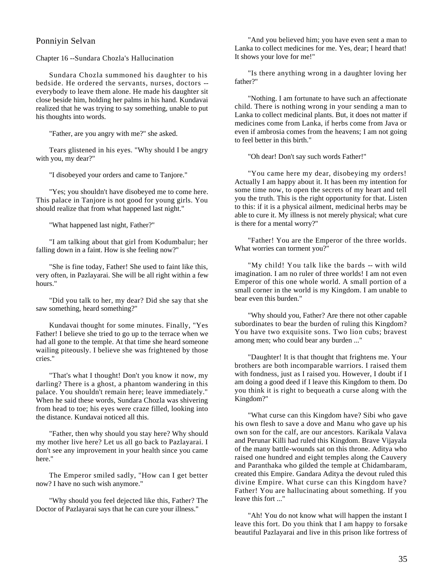#### Ponniyin Selvan

Chapter 16 --Sundara Chozla's Hallucination

Sundara Chozla summoned his daughter to his bedside. He ordered the servants, nurses, doctors - everybody to leave them alone. He made his daughter sit close beside him, holding her palms in his hand. Kundavai realized that he was trying to say something, unable to put his thoughts into words.

"Father, are you angry with me?" she asked.

Tears glistened in his eyes. "Why should I be angry with you, my dear?"

"I disobeyed your orders and came to Tanjore."

"Yes; you shouldn't have disobeyed me to come here. This palace in Tanjore is not good for young girls. You should realize that from what happened last night."

"What happened last night, Father?"

"I am talking about that girl from Kodumbalur; her falling down in a faint. How is she feeling now?"

"She is fine today, Father! She used to faint like this, very often, in Pazlayarai. She will be all right within a few hours."

"Did you talk to her, my dear? Did she say that she saw something, heard something?"

Kundavai thought for some minutes. Finally, "Yes Father! I believe she tried to go up to the terrace when we had all gone to the temple. At that time she heard someone wailing piteously. I believe she was frightened by those cries."

"That's what I thought! Don't you know it now, my darling? There is a ghost, a phantom wandering in this palace. You shouldn't remain here; leave immediately." When he said these words, Sundara Chozla was shivering from head to toe; his eyes were craze filled, looking into the distance. Kundavai noticed all this.

"Father, then why should you stay here? Why should my mother live here? Let us all go back to Pazlayarai. I don't see any improvement in your health since you came here."

The Emperor smiled sadly, "How can I get better now? I have no such wish anymore."

"Why should you feel dejected like this, Father? The Doctor of Pazlayarai says that he can cure your illness."

"And you believed him; you have even sent a man to Lanka to collect medicines for me. Yes, dear; I heard that! It shows your love for me!"

"Is there anything wrong in a daughter loving her father?"

"Nothing. I am fortunate to have such an affectionate child. There is nothing wrong in your sending a man to Lanka to collect medicinal plants. But, it does not matter if medicines come from Lanka, if herbs come from Java or even if ambrosia comes from the heavens; I am not going to feel better in this birth."

"Oh dear! Don't say such words Father!"

"You came here my dear, disobeying my orders! Actually I am happy about it. It has been my intention for some time now, to open the secrets of my heart and tell you the truth. This is the right opportunity for that. Listen to this: if it is a physical ailment, medicinal herbs may be able to cure it. My illness is not merely physical; what cure is there for a mental worry?"

"Father! You are the Emperor of the three worlds. What worries can torment you?"

"My child! You talk like the bards -- with wild imagination. I am no ruler of three worlds! I am not even Emperor of this one whole world. A small portion of a small corner in the world is my Kingdom. I am unable to bear even this burden."

"Why should you, Father? Are there not other capable subordinates to bear the burden of ruling this Kingdom? You have two exquisite sons. Two lion cubs; bravest among men; who could bear any burden ..."

"Daughter! It is that thought that frightens me. Your brothers are both incomparable warriors. I raised them with fondness, just as I raised you. However, I doubt if I am doing a good deed if I leave this Kingdom to them. Do you think it is right to bequeath a curse along with the Kingdom?"

"What curse can this Kingdom have? Sibi who gave his own flesh to save a dove and Manu who gave up his own son for the calf, are our ancestors. Karikala Valava and Perunar Killi had ruled this Kingdom. Brave Vijayala of the many battle-wounds sat on this throne. Aditya who raised one hundred and eight temples along the Cauvery and Paranthaka who gilded the temple at Chidambaram, created this Empire. Gandara Aditya the devout ruled this divine Empire. What curse can this Kingdom have? Father! You are hallucinating about something. If you leave this fort ..."

"Ah! You do not know what will happen the instant I leave this fort. Do you think that I am happy to forsake beautiful Pazlayarai and live in this prison like fortress of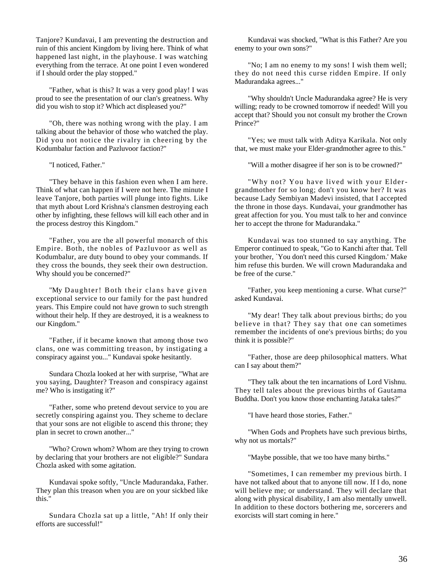Tanjore? Kundavai, I am preventing the destruction and ruin of this ancient Kingdom by living here. Think of what happened last night, in the playhouse. I was watching everything from the terrace. At one point I even wondered if I should order the play stopped."

"Father, what is this? It was a very good play! I was proud to see the presentation of our clan's greatness. Why did you wish to stop it? Which act displeased you?"

"Oh, there was nothing wrong with the play. I am talking about the behavior of those who watched the play. Did you not notice the rivalry in cheering by the Kodumbalur faction and Pazluvoor faction?"

"I noticed, Father."

"They behave in this fashion even when I am here. Think of what can happen if I were not here. The minute I leave Tanjore, both parties will plunge into fights. Like that myth about Lord Krishna's clansmen destroying each other by infighting, these fellows will kill each other and in the process destroy this Kingdom."

"Father, you are the all powerful monarch of this Empire. Both, the nobles of Pazluvoor as well as Kodumbalur, are duty bound to obey your commands. If they cross the bounds, they seek their own destruction. Why should you be concerned?"

"My Daughter! Both their clans have given exceptional service to our family for the past hundred years. This Empire could not have grown to such strength without their help. If they are destroyed, it is a weakness to our Kingdom."

"Father, if it became known that among those two clans, one was committing treason, by instigating a conspiracy against you..." Kundavai spoke hesitantly.

Sundara Chozla looked at her with surprise, "What are you saying, Daughter? Treason and conspiracy against me? Who is instigating it?"

"Father, some who pretend devout service to you are secretly conspiring against you. They scheme to declare that your sons are not eligible to ascend this throne; they plan in secret to crown another..."

"Who? Crown whom? Whom are they trying to crown by declaring that your brothers are not eligible?" Sundara Chozla asked with some agitation.

Kundavai spoke softly, "Uncle Madurandaka, Father. They plan this treason when you are on your sickbed like this."

Sundara Chozla sat up a little, "Ah! If only their efforts are successful!"

Kundavai was shocked, "What is this Father? Are you enemy to your own sons?"

"No; I am no enemy to my sons! I wish them well; they do not need this curse ridden Empire. If only Madurandaka agrees..."

"Why shouldn't Uncle Madurandaka agree? He is very willing; ready to be crowned tomorrow if needed! Will you accept that? Should you not consult my brother the Crown Prince?"

"Yes; we must talk with Aditya Karikala. Not only that, we must make your Elder-grandmother agree to this."

"Will a mother disagree if her son is to be crowned?"

"Why not? You have lived with your Eldergrandmother for so long; don't you know her? It was because Lady Sembiyan Madevi insisted, that I accepted the throne in those days. Kundavai, your grandmother has great affection for you. You must talk to her and convince her to accept the throne for Madurandaka."

Kundavai was too stunned to say anything. The Emperor continued to speak, "Go to Kanchi after that. Tell your brother, `You don't need this cursed Kingdom.' Make him refuse this burden. We will crown Madurandaka and be free of the curse."

"Father, you keep mentioning a curse. What curse?" asked Kundavai.

"My dear! They talk about previous births; do you believe in that? They say that one can sometimes remember the incidents of one's previous births; do you think it is possible?"

"Father, those are deep philosophical matters. What can I say about them?"

"They talk about the ten incarnations of Lord Vishnu. They tell tales about the previous births of Gautama Buddha. Don't you know those enchanting Jataka tales?"

"I have heard those stories, Father."

"When Gods and Prophets have such previous births, why not us mortals?"

"Maybe possible, that we too have many births."

"Sometimes, I can remember my previous birth. I have not talked about that to anyone till now. If I do, none will believe me; or understand. They will declare that along with physical disability, I am also mentally unwell. In addition to these doctors bothering me, sorcerers and exorcists will start coming in here."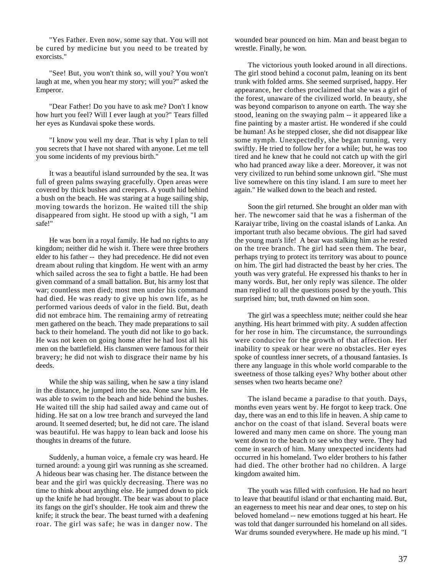"Yes Father. Even now, some say that. You will not be cured by medicine but you need to be treated by exorcists."

"See! But, you won't think so, will you? You won't laugh at me, when you hear my story; will you?" asked the Emperor.

"Dear Father! Do you have to ask me? Don't I know how hurt you feel? Will I ever laugh at you?" Tears filled her eyes as Kundavai spoke these words.

"I know you well my dear. That is why I plan to tell you secrets that I have not shared with anyone. Let me tell you some incidents of my previous birth."

It was a beautiful island surrounded by the sea. It was full of green palms swaying gracefully. Open areas were covered by thick bushes and creepers. A youth hid behind a bush on the beach. He was staring at a huge sailing ship, moving towards the horizon. He waited till the ship disappeared from sight. He stood up with a sigh, "I am safe!"

He was born in a royal family. He had no rights to any kingdom; neither did he wish it. There were three brothers elder to his father -- they had precedence. He did not even dream about ruling that kingdom. He went with an army which sailed across the sea to fight a battle. He had been given command of a small battalion. But, his army lost that war; countless men died; most men under his command had died. He was ready to give up his own life, as he performed various deeds of valor in the field. But, death did not embrace him. The remaining army of retreating men gathered on the beach. They made preparations to sail back to their homeland. The youth did not like to go back. He was not keen on going home after he had lost all his men on the battlefield. His clansmen were famous for their bravery; he did not wish to disgrace their name by his deeds.

While the ship was sailing, when he saw a tiny island in the distance, he jumped into the sea. None saw him. He was able to swim to the beach and hide behind the bushes. He waited till the ship had sailed away and came out of hiding. He sat on a low tree branch and surveyed the land around. It seemed deserted; but, he did not care. The island was beautiful. He was happy to lean back and loose his thoughts in dreams of the future.

Suddenly, a human voice, a female cry was heard. He turned around: a young girl was running as she screamed. A hideous bear was chasing her. The distance between the bear and the girl was quickly decreasing. There was no time to think about anything else. He jumped down to pick up the knife he had brought. The bear was about to place its fangs on the girl's shoulder. He took aim and threw the knife; it struck the bear. The beast turned with a deafening roar. The girl was safe; he was in danger now. The

wounded bear pounced on him. Man and beast began to wrestle. Finally, he won.

The victorious youth looked around in all directions. The girl stood behind a coconut palm, leaning on its bent trunk with folded arms. She seemed surprised, happy. Her appearance, her clothes proclaimed that she was a girl of the forest, unaware of the civilized world. In beauty, she was beyond comparison to anyone on earth. The way she stood, leaning on the swaying palm -- it appeared like a fine painting by a master artist. He wondered if she could be human! As he stepped closer, she did not disappear like some nymph. Unexpectedly, she began running, very swiftly. He tried to follow her for a while; but, he was too tired and he knew that he could not catch up with the girl who had pranced away like a deer. Moreover, it was not very civilized to run behind some unknown girl. "She must live somewhere on this tiny island. I am sure to meet her again." He walked down to the beach and rested.

Soon the girl returned. She brought an older man with her. The newcomer said that he was a fisherman of the Karaiyar tribe, living on the coastal islands of Lanka. An important truth also became obvious. The girl had saved the young man's life! A bear was stalking him as he rested on the tree branch. The girl had seen them. The bear, perhaps trying to protect its territory was about to pounce on him. The girl had distracted the beast by her cries. The youth was very grateful. He expressed his thanks to her in many words. But, her only reply was silence. The older man replied to all the questions posed by the youth. This surprised him; but, truth dawned on him soon.

The girl was a speechless mute; neither could she hear anything. His heart brimmed with pity. A sudden affection for her rose in him. The circumstance, the surroundings were conducive for the growth of that affection. Her inability to speak or hear were no obstacles. Her eyes spoke of countless inner secrets, of a thousand fantasies. Is there any language in this whole world comparable to the sweetness of those talking eyes? Why bother about other senses when two hearts became one?

The island became a paradise to that youth. Days, months even years went by. He forgot to keep track. One day, there was an end to this life in heaven. A ship came to anchor on the coast of that island. Several boats were lowered and many men came on shore. The young man went down to the beach to see who they were. They had come in search of him. Many unexpected incidents had occurred in his homeland. Two elder brothers to his father had died. The other brother had no children. A large kingdom awaited him.

The youth was filled with confusion. He had no heart to leave that beautiful island or that enchanting maid. But, an eagerness to meet his near and dear ones, to step on his beloved homeland -- new emotions tugged at his heart. He was told that danger surrounded his homeland on all sides. War drums sounded everywhere. He made up his mind. "I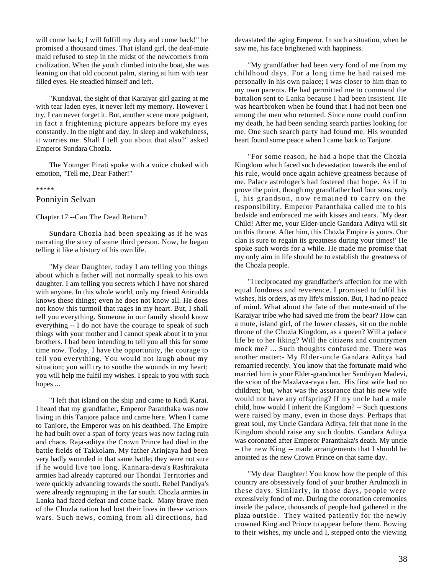will come back; I will fulfill my duty and come back!" he promised a thousand times. That island girl, the deaf-mute maid refused to step in the midst of the newcomers from civilization. When the youth climbed into the boat, she was leaning on that old coconut palm, staring at him with tear filled eyes. He steadied himself and left.

"Kundavai, the sight of that Karaiyar girl gazing at me with tear laden eyes, it never left my memory. However I try, I can never forget it. But, another scene more poignant, in fact a frightening picture appears before my eyes constantly. In the night and day, in sleep and wakefulness, it worries me. Shall I tell you about that also?" asked Emperor Sundara Chozla.

The Younger Pirati spoke with a voice choked with emotion, "Tell me, Dear Father!"

#### \*\*\*\*\*

#### Ponniyin Selvan

Chapter 17 --Can The Dead Return?

Sundara Chozla had been speaking as if he was narrating the story of some third person. Now, he began telling it like a history of his own life.

"My dear Daughter, today I am telling you things about which a father will not normally speak to his own daughter. I am telling you secrets which I have not shared with anyone. In this whole world, only my friend Anirudda knows these things; even he does not know all. He does not know this turmoil that rages in my heart. But, I shall tell you everything. Someone in our family should know everything -- I do not have the courage to speak of such things with your mother and I cannot speak about it to your brothers. I had been intending to tell you all this for some time now. Today, I have the opportunity, the courage to tell you everything. You would not laugh about my situation; you will try to soothe the wounds in my heart; you will help me fulfil my wishes. I speak to you with such hopes ...

"I left that island on the ship and came to Kodi Karai. I heard that my grandfather, Emperor Paranthaka was now living in this Tanjore palace and came here. When I came to Tanjore, the Emperor was on his deathbed. The Empire he had built over a span of forty years was now facing ruin and chaos. Raja-aditya the Crown Prince had died in the battle fields of Takkolam. My father Arinjaya had been very badly wounded in that same battle; they were not sure if he would live too long. Kannara-deva's Rashtrakuta armies had already captured our Thondai Territories and were quickly advancing towards the south. Rebel Pandiya's were already regrouping in the far south. Chozla armies in Lanka had faced defeat and come back. Many brave men of the Chozla nation had lost their lives in these various wars. Such news, coming from all directions, had

devastated the aging Emperor. In such a situation, when he saw me, his face brightened with happiness.

"My grandfather had been very fond of me from my childhood days. For a long time he had raised me personally in his own palace; I was closer to him than to my own parents. He had permitted me to command the battalion sent to Lanka because I had been insistent. He was heartbroken when he found that I had not been one among the men who returned. Since none could confirm my death, he had been sending search parties looking for me. One such search party had found me. His wounded heart found some peace when I came back to Tanjore.

"For some reason, he had a hope that the Chozla Kingdom which faced such devastation towards the end of his rule, would once again achieve greatness because of me. Palace astrologer's had fostered that hope. As if to prove the point, though my grandfather had four sons, only I, his grandson, now remained to carry on the responsibility. Emperor Paranthaka called me to his bedside and embraced me with kisses and tears. `My dear Child! After me, your Elder-uncle Gandara Aditya will sit on this throne. After him, this Chozla Empire is yours. Our clan is sure to regain its greatness during your times!' He spoke such words for a while. He made me promise that my only aim in life should be to establish the greatness of the Chozla people.

"I reciprocated my grandfather's affection for me with equal fondness and reverence. I promised to fulfil his wishes, his orders, as my life's mission. But, I had no peace of mind. What about the fate of that mute-maid of the Karaiyar tribe who had saved me from the bear? How can a mute, island girl, of the lower classes, sit on the noble throne of the Chozla Kingdom, as a queen? Will a palace life be to her liking? Will the citizens and countrymen mock me? ... Such thoughts confused me. There was another matter:- My Elder-uncle Gandara Aditya had remarried recently. You know that the fortunate maid who married him is your Elder-grandmother Sembiyan Madevi, the scion of the Mazlava-raya clan. His first wife had no children; but, what was the assurance that his new wife would not have any offspring? If my uncle had a male child, how would I inherit the Kingdom? -- Such questions were raised by many, even in those days. Perhaps that great soul, my Uncle Gandara Aditya, felt that none in the Kingdom should raise any such doubts. Gandara Aditya was coronated after Emperor Paranthaka's death. My uncle -- the new King -- made arrangements that I should be anointed as the new Crown Prince on that same day.

"My dear Daughter! You know how the people of this country are obsessively fond of your brother Arulmozli in these days. Similarly, in those days, people were excessively fond of me. During the coronation ceremonies inside the palace, thousands of people had gathered in the plaza outside. They waited patiently for the newly crowned King and Prince to appear before them. Bowing to their wishes, my uncle and I, stepped onto the viewing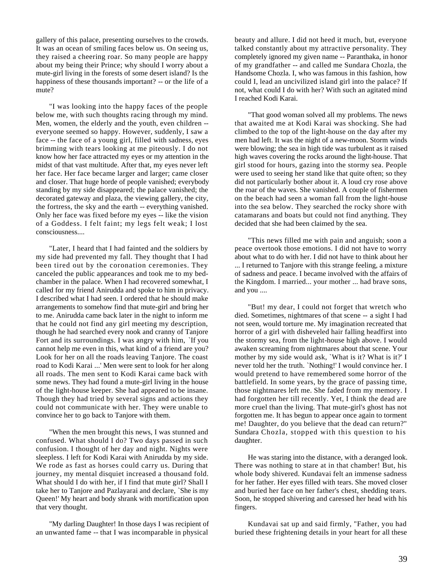gallery of this palace, presenting ourselves to the crowds. It was an ocean of smiling faces below us. On seeing us, they raised a cheering roar. So many people are happy about my being their Prince; why should I worry about a mute-girl living in the forests of some desert island? Is the happiness of these thousands important? -- or the life of a mute?

"I was looking into the happy faces of the people below me, with such thoughts racing through my mind. Men, women, the elderly and the youth, even children - everyone seemed so happy. However, suddenly, I saw a face -- the face of a young girl, filled with sadness, eyes brimming with tears looking at me piteously. I do not know how her face attracted my eyes or my attention in the midst of that vast multitude. After that, my eyes never left her face. Her face became larger and larger; came closer and closer. That huge horde of people vanished; everybody standing by my side disappeared; the palace vanished; the decorated gateway and plaza, the viewing gallery, the city, the fortress, the sky and the earth -- everything vanished. Only her face was fixed before my eyes -- like the vision of a Goddess. I felt faint; my legs felt weak; I lost consciousness....

"Later, I heard that I had fainted and the soldiers by my side had prevented my fall. They thought that I had been tired out by the coronation ceremonies. They canceled the public appearances and took me to my bedchamber in the palace. When I had recovered somewhat, I called for my friend Anirudda and spoke to him in privacy. I described what I had seen. I ordered that he should make arrangements to somehow find that mute-girl and bring her to me. Anirudda came back later in the night to inform me that he could not find any girl meeting my description, though he had searched every nook and cranny of Tanjore Fort and its surroundings. I was angry with him, `If you cannot help me even in this, what kind of a friend are you? Look for her on all the roads leaving Tanjore. The coast road to Kodi Karai ...' Men were sent to look for her along all roads. The men sent to Kodi Karai came back with some news. They had found a mute-girl living in the house of the light-house keeper. She had appeared to be insane. Though they had tried by several signs and actions they could not communicate with her. They were unable to convince her to go back to Tanjore with them.

"When the men brought this news, I was stunned and confused. What should I do? Two days passed in such confusion. I thought of her day and night. Nights were sleepless. I left for Kodi Karai with Anirudda by my side. We rode as fast as horses could carry us. During that journey, my mental disquiet increased a thousand fold. What should I do with her, if I find that mute girl? Shall I take her to Tanjore and Pazlayarai and declare, `She is my Queen!' My heart and body shrank with mortification upon that very thought.

"My darling Daughter! In those days I was recipient of an unwanted fame -- that I was incomparable in physical

beauty and allure. I did not heed it much, but, everyone talked constantly about my attractive personality. They completely ignored my given name -- Paranthaka, in honor of my grandfather -- and called me Sundara Chozla, the Handsome Chozla. I, who was famous in this fashion, how could I, lead an uncivilized island girl into the palace? If not, what could I do with her? With such an agitated mind I reached Kodi Karai.

"That good woman solved all my problems. The news that awaited me at Kodi Karai was shocking. She had climbed to the top of the light-house on the day after my men had left. It was the night of a new-moon. Storm winds were blowing; the sea in high tide was turbulent as it raised high waves covering the rocks around the light-house. That girl stood for hours, gazing into the stormy sea. People were used to seeing her stand like that quite often; so they did not particularly bother about it. A loud cry rose above the roar of the waves. She vanished. A couple of fishermen on the beach had seen a woman fall from the light-house into the sea below. They searched the rocky shore with catamarans and boats but could not find anything. They decided that she had been claimed by the sea.

"This news filled me with pain and anguish; soon a peace overtook those emotions. I did not have to worry about what to do with her. I did not have to think about her ... I returned to Tanjore with this strange feeling, a mixture of sadness and peace. I became involved with the affairs of the Kingdom. I married... your mother ... had brave sons, and you ....

"But! my dear, I could not forget that wretch who died. Sometimes, nightmares of that scene -- a sight I had not seen, would torture me. My imagination recreated that horror of a girl with disheveled hair falling headfirst into the stormy sea, from the light-house high above. I would awaken screaming from nightmares about that scene. Your mother by my side would ask, `What is it? What is it?' I never told her the truth. `Nothing!' I would convince her. I would pretend to have remembered some horror of the battlefield. In some years, by the grace of passing time, those nightmares left me. She faded from my memory. I had forgotten her till recently. Yet, I think the dead are more cruel than the living. That mute-girl's ghost has not forgotten me. It has begun to appear once again to torment me! Daughter, do you believe that the dead can return?" Sundara Chozla, stopped with this question to his daughter.

He was staring into the distance, with a deranged look. There was nothing to stare at in that chamber! But, his whole body shivered. Kundavai felt an immense sadness for her father. Her eyes filled with tears. She moved closer and buried her face on her father's chest, shedding tears. Soon, he stopped shivering and caressed her head with his fingers.

Kundavai sat up and said firmly, "Father, you had buried these frightening details in your heart for all these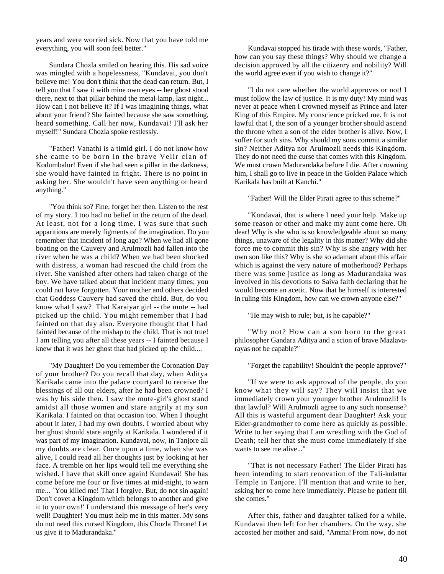years and were worried sick. Now that you have told me everything, you will soon feel better."

Sundara Chozla smiled on hearing this. His sad voice was mingled with a hopelessness, "Kundavai, you don't believe me! You don't think that the dead can return. But, I tell you that I saw it with mine own eyes -- her ghost stood there, next to that pillar behind the metal-lamp, last night... How can I not believe it? If I was imagining things, what about your friend? She fainted because she saw something, heard something. Call her now, Kundavai! I'll ask her myself!" Sundara Chozla spoke restlessly.

"Father! Vanathi is a timid girl. I do not know how she came to be born in the brave Velir clan of Kodumbalur! Even if she had seen a pillar in the darkness, she would have fainted in fright. There is no point in asking her. She wouldn't have seen anything or heard anything."

"You think so? Fine, forget her then. Listen to the rest of my story. I too had no belief in the return of the dead. At least, not for a long time. I was sure that such apparitions are merely figments of the imagination. Do you remember that incident of long ago? When we had all gone boating on the Cauvery and Arulmozli had fallen into the river when he was a child? When we had been shocked with distress, a woman had rescued the child from the river. She vanished after others had taken charge of the boy. We have talked about that incident many times; you could not have forgotten. Your mother and others decided that Goddess Cauvery had saved the child. But, do you know what I saw? That Karaiyar girl -- the mute -- had picked up the child. You might remember that I had fainted on that day also. Everyone thought that I had fainted because of the mishap to the child. That is not true! I am telling you after all these years -- I fainted because I knew that it was her ghost that had picked up the child....

"My Daughter! Do you remember the Coronation Day of your brother? Do you recall that day, when Aditya Karikala came into the palace courtyard to receive the blessings of all our elders, after he had been crowned? I was by his side then. I saw the mute-girl's ghost stand amidst all those women and stare angrily at my son Karikala. I fainted on that occasion too. When I thought about it later, I had my own doubts. I worried about why her ghost should stare angrily at Karikala. I wondered if it was part of my imagination. Kundavai, now, in Tanjore all my doubts are clear. Once upon a time, when she was alive, I could read all her thoughts just by looking at her face. A tremble on her lips would tell me everything she wished. I have that skill once again! Kundavai! She has come before me four or five times at mid-night, to warn me... `You killed me! That I forgive. But, do not sin again! Don't covet a Kingdom which belongs to another and give it to your own!' I understand this message of her's very well! Daughter! You must help me in this matter. My sons do not need this cursed Kingdom, this Chozla Throne! Let us give it to Madurandaka."

Kundavai stopped his tirade with these words, "Father, how can you say these things? Why should we change a decision approved by all the citizenry and nobility? Will the world agree even if you wish to change it?"

"I do not care whether the world approves or not! I must follow the law of justice. It is my duty! My mind was never at peace when I crowned myself as Prince and later King of this Empire. My conscience pricked me. It is not lawful that I, the son of a younger brother should ascend the throne when a son of the elder brother is alive. Now, I suffer for such sins. Why should my sons commit a similar sin? Neither Aditya nor Arulmozli needs this Kingdom. They do not need the curse that comes with this Kingdom. We must crown Madurandaka before I die. After crowning him, I shall go to live in peace in the Golden Palace which Karikala has built at Kanchi."

"Father! Will the Elder Pirati agree to this scheme?"

"Kundavai, that is where I need your help. Make up some reason or other and make my aunt come here. Oh dear! Why is she who is so knowledgeable about so many things, unaware of the legality in this matter? Why did she force me to commit this sin? Why is she angry with her own son like this? Why is she so adamant about this affair which is against the very nature of motherhood? Perhaps there was some justice as long as Madurandaka was involved in his devotions to Saiva faith declaring that he would become an acetic. Now that he himself is interested in ruling this Kingdom, how can we crown anyone else?"

"He may wish to rule; but, is he capable?"

"Why not? How can a son born to the great philosopher Gandara Aditya and a scion of brave Mazlavarayas not be capable?"

"Forget the capability! Shouldn't the people approve?"

"If we were to ask approval of the people, do you know what they will say? They will insist that we immediately crown your younger brother Arulmozli! Is that lawful? Will Arulmozli agree to any such nonsense? All this is wasteful argument dear Daughter! Ask your Elder-grandmother to come here as quickly as possible. Write to her saying that I am wrestling with the God of Death; tell her that she must come immediately if she wants to see me alive..."

"That is not necessary Father! The Elder Pirati has been intending to start renovation of the Tali-kulattar Temple in Tanjore. I'll mention that and write to her, asking her to come here immediately. Please be patient till she comes."

After this, father and daughter talked for a while. Kundavai then left for her chambers. On the way, she accosted her mother and said, "Amma! From now, do not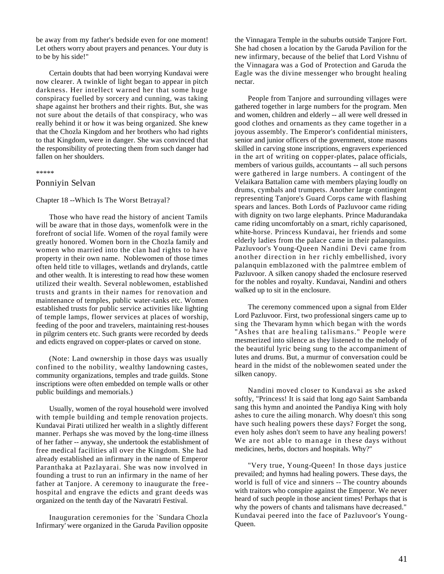be away from my father's bedside even for one moment! Let others worry about prayers and penances. Your duty is to be by his side!"

Certain doubts that had been worrying Kundavai were now clearer. A twinkle of light began to appear in pitch darkness. Her intellect warned her that some huge conspiracy fuelled by sorcery and cunning, was taking shape against her brothers and their rights. But, she was not sure about the details of that conspiracy, who was really behind it or how it was being organized. She knew that the Chozla Kingdom and her brothers who had rights to that Kingdom, were in danger. She was convinced that the responsibility of protecting them from such danger had fallen on her shoulders.

#### \*\*\*\*\*

#### Ponniyin Selvan

#### Chapter 18 --Which Is The Worst Betrayal?

Those who have read the history of ancient Tamils will be aware that in those days, womenfolk were in the forefront of social life. Women of the royal family were greatly honored. Women born in the Chozla family and women who married into the clan had rights to have property in their own name. Noblewomen of those times often held title to villages, wetlands and drylands, cattle and other wealth. It is interesting to read how these women utilized their wealth. Several noblewomen, established trusts and grants in their names for renovation and maintenance of temples, public water-tanks etc. Women established trusts for public service activities like lighting of temple lamps, flower services at places of worship, feeding of the poor and travelers, maintaining rest-houses in pilgrim centers etc. Such grants were recorded by deeds and edicts engraved on copper-plates or carved on stone.

(Note: Land ownership in those days was usually confined to the nobility, wealthy landowning castes, community organizations, temples and trade guilds. Stone inscriptions were often embedded on temple walls or other public buildings and memorials.)

Usually, women of the royal household were involved with temple building and temple renovation projects. Kundavai Pirati utilized her wealth in a slightly different manner. Perhaps she was moved by the long-time illness of her father -- anyway, she undertook the establishment of free medical facilities all over the Kingdom. She had already established an infirmary in the name of Emperor Paranthaka at Pazlayarai. She was now involved in founding a trust to run an infirmary in the name of her father at Tanjore. A ceremony to inaugurate the freehospital and engrave the edicts and grant deeds was organized on the tenth day of the Navaratri Festival.

Inauguration ceremonies for the `Sundara Chozla Infirmary' were organized in the Garuda Pavilion opposite

the Vinnagara Temple in the suburbs outside Tanjore Fort. She had chosen a location by the Garuda Pavilion for the new infirmary, because of the belief that Lord Vishnu of the Vinnagara was a God of Protection and Garuda the Eagle was the divine messenger who brought healing nectar.

People from Tanjore and surrounding villages were gathered together in large numbers for the program. Men and women, children and elderly -- all were well dressed in good clothes and ornaments as they came together in a joyous assembly. The Emperor's confidential ministers, senior and junior officers of the government, stone masons skilled in carving stone inscriptions, engravers experienced in the art of writing on copper-plates, palace officials, members of various guilds, accountants -- all such persons were gathered in large numbers. A contingent of the Velaikara Battalion came with members playing loudly on drums, cymbals and trumpets. Another large contingent representing Tanjore's Guard Corps came with flashing spears and lances. Both Lords of Pazluvoor came riding with dignity on two large elephants. Prince Madurandaka came riding uncomfortably on a smart, richly caparisoned, white-horse. Princess Kundavai, her friends and some elderly ladies from the palace came in their palanquins. Pazluvoor's Young-Queen Nandini Devi came from another direction in her richly embellished, ivory palanquin emblazoned with the palmtree emblem of Pazluvoor. A silken canopy shaded the enclosure reserved for the nobles and royalty. Kundavai, Nandini and others walked up to sit in the enclosure.

The ceremony commenced upon a signal from Elder Lord Pazluvoor. First, two professional singers came up to sing the Thevaram hymn which began with the words "Ashes that are healing talismans." People were mesmerized into silence as they listened to the melody of the beautiful lyric being sung to the accompaniment of lutes and drums. But, a murmur of conversation could be heard in the midst of the noblewomen seated under the silken canopy.

Nandini moved closer to Kundavai as she asked softly, "Princess! It is said that long ago Saint Sambanda sang this hymn and anointed the Pandiya King with holy ashes to cure the ailing monarch. Why doesn't this song have such healing powers these days? Forget the song, even holy ashes don't seem to have any healing powers! We are not able to manage in these days without medicines, herbs, doctors and hospitals. Why?"

"Very true, Young-Queen! In those days justice prevailed; and hymns had healing powers. These days, the world is full of vice and sinners -- The country abounds with traitors who conspire against the Emperor. We never heard of such people in those ancient times! Perhaps that is why the powers of chants and talismans have decreased." Kundavai peered into the face of Pazluvoor's Young-Queen.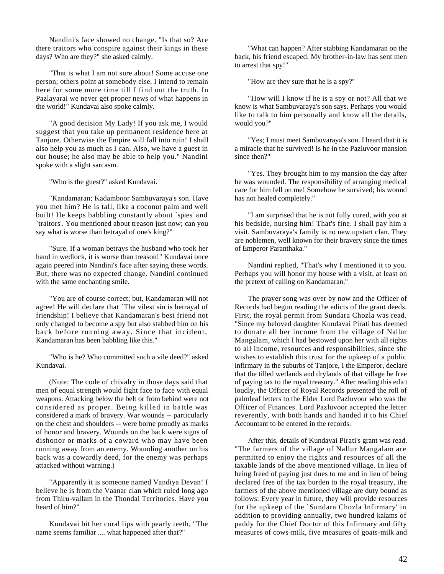Nandini's face showed no change. "Is that so? Are there traitors who conspire against their kings in these days? Who are they?" she asked calmly.

"That is what I am not sure about! Some accuse one person; others point at somebody else. I intend to remain here for some more time till I find out the truth. In Pazlayarai we never get proper news of what happens in the world!" Kundavai also spoke calmly.

"A good decision My Lady! If you ask me, I would suggest that you take up permanent residence here at Tanjore. Otherwise the Empire will fall into ruin! I shall also help you as much as I can. Also, we have a guest in our house; he also may be able to help you." Nandini spoke with a slight sarcasm.

"Who is the guest?" asked Kundavai.

"Kandamaran; Kadamboor Sambuvaraya's son. Have you met him? He is tall, like a coconut palm and well built! He keeps babbling constantly about `spies' and `traitors'. You mentioned about treason just now; can you say what is worse than betrayal of one's king?"

"Sure. If a woman betrays the husband who took her hand in wedlock, it is worse than treason!" Kundavai once again peered into Nandini's face after saying these words. But, there was no expected change. Nandini continued with the same enchanting smile.

"You are of course correct; but, Kandamaran will not agree! He will declare that `The vilest sin is betrayal of friendship!' I believe that Kandamaran's best friend not only changed to become a spy but also stabbed him on his back before running away. Since that incident, Kandamaran has been babbling like this."

"Who is he? Who committed such a vile deed?" asked Kundavai.

(Note: The code of chivalry in those days said that men of equal strength would fight face to face with equal weapons. Attacking below the belt or from behind were not considered as proper. Being killed in battle was considered a mark of bravery. War wounds -- particularly on the chest and shoulders -- were borne proudly as marks of honor and bravery. Wounds on the back were signs of dishonor or marks of a coward who may have been running away from an enemy. Wounding another on his back was a cowardly deed, for the enemy was perhaps attacked without warning.)

"Apparently it is someone named Vandiya Devan! I believe he is from the Vaanar clan which ruled long ago from Thiru-vallam in the Thondai Territories. Have you heard of him?"

Kundavai bit her coral lips with pearly teeth, "The name seems familiar .... what happened after that?"

"What can happen? After stabbing Kandamaran on the back, his friend escaped. My brother-in-law has sent men to arrest that spy!"

"How are they sure that he is a spy?"

"How will I know if he is a spy or not? All that we know is what Sambuvaraya's son says. Perhaps you would like to talk to him personally and know all the details, would you?"

"Yes; I must meet Sambuvaraya's son. I heard that it is a miracle that he survived! Is he in the Pazluvoor mansion since then?"

"Yes. They brought him to my mansion the day after he was wounded. The responsibility of arranging medical care for him fell on me! Somehow he survived; his wound has not healed completely."

"I am surprised that he is not fully cured, with you at his bedside, nursing him! That's fine. I shall pay him a visit. Sambuvaraya's family is no new upstart clan. They are noblemen, well known for their bravery since the times of Emperor Paranthaka."

Nandini replied, "That's why I mentioned it to you. Perhaps you will honor my house with a visit, at least on the pretext of calling on Kandamaran."

The prayer song was over by now and the Officer of Records had begun reading the edicts of the grant deeds. First, the royal permit from Sundara Chozla was read. "Since my beloved daughter Kundavai Pirati has deemed to donate all her income from the village of Nallur Mangalam, which I had bestowed upon her with all rights to all income, resources and responsibilities, since she wishes to establish this trust for the upkeep of a public infirmary in the suburbs of Tanjore, I the Emperor, declare that the tilled wetlands and drylands of that village be free of paying tax to the royal treasury." After reading this edict loudly, the Officer of Royal Records presented the roll of palmleaf letters to the Elder Lord Pazluvoor who was the Officer of Finances. Lord Pazluvoor accepted the letter reverently, with both hands and handed it to his Chief Accountant to be entered in the records.

After this, details of Kundavai Pirati's grant was read. "The farmers of the village of Nallur Mangalam are permitted to enjoy the rights and resources of all the taxable lands of the above mentioned village. In lieu of being freed of paying just dues to me and in lieu of being declared free of the tax burden to the royal treasury, the farmers of the above mentioned village are duty bound as follows: Every year in future, they will provide resources for the upkeep of the `Sundara Chozla Infirmary' in addition to providing annually, two hundred kalams of paddy for the Chief Doctor of this Infirmary and fifty measures of cows-milk, five measures of goats-milk and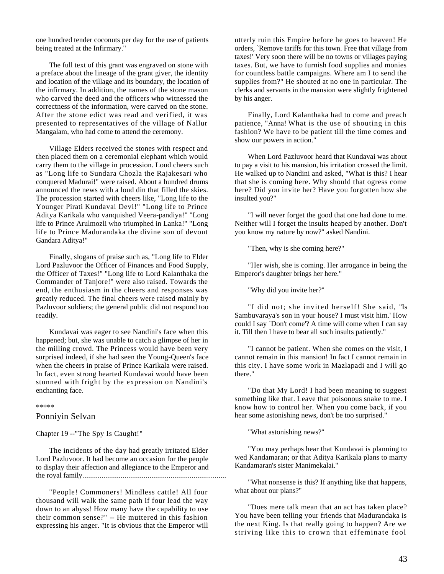one hundred tender coconuts per day for the use of patients being treated at the Infirmary."

The full text of this grant was engraved on stone with a preface about the lineage of the grant giver, the identity and location of the village and its boundary, the location of the infirmary. In addition, the names of the stone mason who carved the deed and the officers who witnessed the correctness of the information, were carved on the stone. After the stone edict was read and verified, it was presented to representatives of the village of Nallur Mangalam, who had come to attend the ceremony.

Village Elders received the stones with respect and then placed them on a ceremonial elephant which would carry them to the village in procession. Loud cheers such as "Long life to Sundara Chozla the Rajakesari who conquered Madurai!" were raised. About a hundred drums announced the news with a loud din that filled the skies. The procession started with cheers like, "Long life to the Younger Pirati Kundavai Devi!" "Long life to Prince Aditya Karikala who vanquished Veera-pandiya!" "Long life to Prince Arulmozli who triumphed in Lanka!" "Long life to Prince Madurandaka the divine son of devout Gandara Aditya!"

Finally, slogans of praise such as, "Long life to Elder Lord Pazluvoor the Officer of Finances and Food Supply, the Officer of Taxes!" "Long life to Lord Kalanthaka the Commander of Tanjore!" were also raised. Towards the end, the enthusiasm in the cheers and responses was greatly reduced. The final cheers were raised mainly by Pazluvoor soldiers; the general public did not respond too readily.

Kundavai was eager to see Nandini's face when this happened; but, she was unable to catch a glimpse of her in the milling crowd. The Princess would have been very surprised indeed, if she had seen the Young-Queen's face when the cheers in praise of Prince Karikala were raised. In fact, even strong hearted Kundavai would have been stunned with fright by the expression on Nandini's enchanting face.

\*\*\*\*\*

Ponniyin Selvan

Chapter 19 --"The Spy Is Caught!"

The incidents of the day had greatly irritated Elder Lord Pazluvoor. It had become an occasion for the people to display their affection and allegiance to the Emperor and the royal family...........................................................................

"People! Commoners! Mindless cattle! All four thousand will walk the same path if four lead the way down to an abyss! How many have the capability to use their common sense?" -- He muttered in this fashion expressing his anger. "It is obvious that the Emperor will utterly ruin this Empire before he goes to heaven! He orders, `Remove tariffs for this town. Free that village from taxes!' Very soon there will be no towns or villages paying taxes. But, we have to furnish food supplies and monies for countless battle campaigns. Where am I to send the supplies from?" He shouted at no one in particular. The clerks and servants in the mansion were slightly frightened by his anger.

Finally, Lord Kalanthaka had to come and preach patience, "Anna! What is the use of shouting in this fashion? We have to be patient till the time comes and show our powers in action."

When Lord Pazluvoor heard that Kundavai was about to pay a visit to his mansion, his irritation crossed the limit. He walked up to Nandini and asked, "What is this? I hear that she is coming here. Why should that ogress come here? Did you invite her? Have you forgotten how she insulted you?"

"I will never forget the good that one had done to me. Neither will I forget the insults heaped by another. Don't you know my nature by now?" asked Nandini.

"Then, why is she coming here?"

"Her wish, she is coming. Her arrogance in being the Emperor's daughter brings her here."

"Why did you invite her?"

"I did not; she invited herself! She said, "Is Sambuvaraya's son in your house? I must visit him.' How could I say `Don't come'? A time will come when I can say it. Till then I have to bear all such insults patiently."

"I cannot be patient. When she comes on the visit, I cannot remain in this mansion! In fact I cannot remain in this city. I have some work in Mazlapadi and I will go there."

"Do that My Lord! I had been meaning to suggest something like that. Leave that poisonous snake to me. I know how to control her. When you come back, if you hear some astonishing news, don't be too surprised."

"What astonishing news?"

"You may perhaps hear that Kundavai is planning to wed Kandamaran; or that Aditya Karikala plans to marry Kandamaran's sister Manimekalai."

"What nonsense is this? If anything like that happens, what about our plans?"

"Does mere talk mean that an act has taken place? You have been telling your friends that Madurandaka is the next King. Is that really going to happen? Are we striving like this to crown that effeminate fool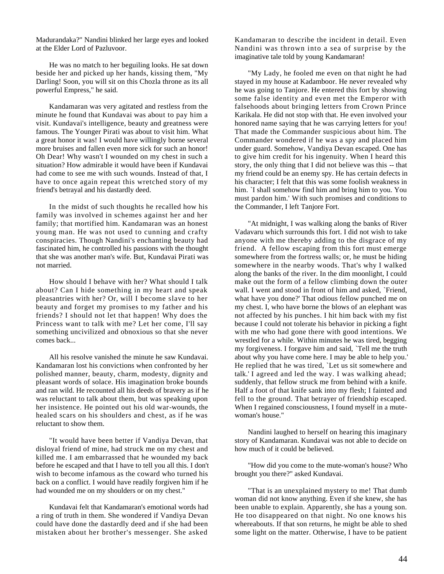Madurandaka?" Nandini blinked her large eyes and looked at the Elder Lord of Pazluvoor.

He was no match to her beguiling looks. He sat down beside her and picked up her hands, kissing them, "My Darling! Soon, you will sit on this Chozla throne as its all powerful Empress," he said.

Kandamaran was very agitated and restless from the minute he found that Kundavai was about to pay him a visit. Kundavai's intelligence, beauty and greatness were famous. The Younger Pirati was about to visit him. What a great honor it was! I would have willingly borne several more bruises and fallen even more sick for such an honor! Oh Dear! Why wasn't I wounded on my chest in such a situation? How admirable it would have been if Kundavai had come to see me with such wounds. Instead of that, I have to once again repeat this wretched story of my friend's betrayal and his dastardly deed.

In the midst of such thoughts he recalled how his family was involved in schemes against her and her family; that mortified him. Kandamaran was an honest young man. He was not used to cunning and crafty conspiracies. Though Nandini's enchanting beauty had fascinated him, he controlled his passions with the thought that she was another man's wife. But, Kundavai Pirati was not married.

How should I behave with her? What should I talk about? Can I hide something in my heart and speak pleasantries with her? Or, will I become slave to her beauty and forget my promises to my father and his friends? I should not let that happen! Why does the Princess want to talk with me? Let her come, I'll say something uncivilized and obnoxious so that she never comes back...

All his resolve vanished the minute he saw Kundavai. Kandamaran lost his convictions when confronted by her polished manner, beauty, charm, modesty, dignity and pleasant words of solace. His imagination broke bounds and ran wild. He recounted all his deeds of bravery as if he was reluctant to talk about them, but was speaking upon her insistence. He pointed out his old war-wounds, the healed scars on his shoulders and chest, as if he was reluctant to show them.

"It would have been better if Vandiya Devan, that disloyal friend of mine, had struck me on my chest and killed me. I am embarrassed that he wounded my back before he escaped and that I have to tell you all this. I don't wish to become infamous as the coward who turned his back on a conflict. I would have readily forgiven him if he had wounded me on my shoulders or on my chest."

Kundavai felt that Kandamaran's emotional words had a ring of truth in them. She wondered if Vandiya Devan could have done the dastardly deed and if she had been mistaken about her brother's messenger. She asked

Kandamaran to describe the incident in detail. Even Nandini was thrown into a sea of surprise by the imaginative tale told by young Kandamaran!

"My Lady, he fooled me even on that night he had stayed in my house at Kadamboor. He never revealed why he was going to Tanjore. He entered this fort by showing some false identity and even met the Emperor with falsehoods about bringing letters from Crown Prince Karikala. He did not stop with that. He even involved your honored name saying that he was carrying letters for you! That made the Commander suspicious about him. The Commander wondered if he was a spy and placed him under guard. Somehow, Vandiya Devan escaped. One has to give him credit for his ingenuity. When I heard this story, the only thing that I did not believe was this -- that my friend could be an enemy spy. He has certain defects in his character; I felt that this was some foolish weakness in him. `I shall somehow find him and bring him to you. You must pardon him.' With such promises and conditions to the Commander, I left Tanjore Fort.

"At midnight, I was walking along the banks of River Vadavaru which surrounds this fort. I did not wish to take anyone with me thereby adding to the disgrace of my friend. A fellow escaping from this fort must emerge somewhere from the fortress walls; or, he must be hiding somewhere in the nearby woods. That's why I walked along the banks of the river. In the dim moonlight, I could make out the form of a fellow climbing down the outer wall. I went and stood in front of him and asked, `Friend, what have you done?' That odious fellow punched me on my chest. I, who have borne the blows of an elephant was not affected by his punches. I hit him back with my fist because I could not tolerate his behavior in picking a fight with me who had gone there with good intentions. We wrestled for a while. Within minutes he was tired, begging my forgiveness. I forgave him and said, `Tell me the truth about why you have come here. I may be able to help you.' He replied that he was tired, `Let us sit somewhere and talk.' I agreed and led the way. I was walking ahead; suddenly, that fellow struck me from behind with a knife. Half a foot of that knife sank into my flesh; I fainted and fell to the ground. That betrayer of friendship escaped. When I regained consciousness, I found myself in a mutewoman's house."

Nandini laughed to herself on hearing this imaginary story of Kandamaran. Kundavai was not able to decide on how much of it could be believed.

"How did you come to the mute-woman's house? Who brought you there?" asked Kundavai.

"That is an unexplained mystery to me! That dumb woman did not know anything. Even if she knew, she has been unable to explain. Apparently, she has a young son. He too disappeared on that night. No one knows his whereabouts. If that son returns, he might be able to shed some light on the matter. Otherwise, I have to be patient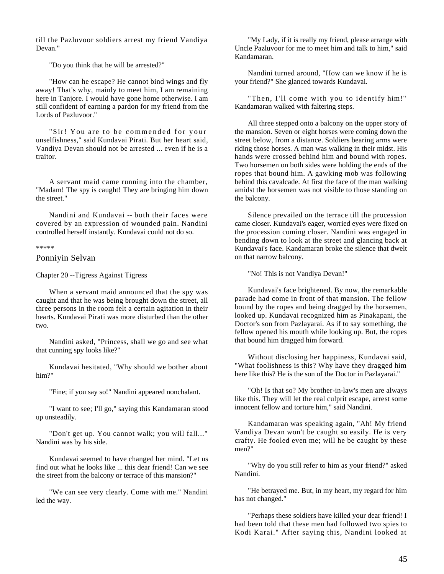till the Pazluvoor soldiers arrest my friend Vandiya Devan."

"Do you think that he will be arrested?"

"How can he escape? He cannot bind wings and fly away! That's why, mainly to meet him, I am remaining here in Tanjore. I would have gone home otherwise. I am still confident of earning a pardon for my friend from the Lords of Pazluvoor."

"Sir! You are to be commended for your unselfishness," said Kundavai Pirati. But her heart said, Vandiya Devan should not be arrested ... even if he is a traitor.

A servant maid came running into the chamber, "Madam! The spy is caught! They are bringing him down the street."

Nandini and Kundavai -- both their faces were covered by an expression of wounded pain. Nandini controlled herself instantly. Kundavai could not do so.

#### \*\*\*\*\*

#### Ponniyin Selvan

Chapter 20 --Tigress Against Tigress

When a servant maid announced that the spy was caught and that he was being brought down the street, all three persons in the room felt a certain agitation in their hearts. Kundavai Pirati was more disturbed than the other two.

Nandini asked, "Princess, shall we go and see what that cunning spy looks like?"

Kundavai hesitated, "Why should we bother about him?"

"Fine; if you say so!" Nandini appeared nonchalant.

"I want to see; I'll go," saying this Kandamaran stood up unsteadily.

"Don't get up. You cannot walk; you will fall..." Nandini was by his side.

Kundavai seemed to have changed her mind. "Let us find out what he looks like ... this dear friend! Can we see the street from the balcony or terrace of this mansion?"

"We can see very clearly. Come with me." Nandini led the way.

"My Lady, if it is really my friend, please arrange with Uncle Pazluvoor for me to meet him and talk to him," said Kandamaran.

Nandini turned around, "How can we know if he is your friend?" She glanced towards Kundavai.

"Then, I'll come with you to identify him!" Kandamaran walked with faltering steps.

All three stepped onto a balcony on the upper story of the mansion. Seven or eight horses were coming down the street below, from a distance. Soldiers bearing arms were riding those horses. A man was walking in their midst. His hands were crossed behind him and bound with ropes. Two horsemen on both sides were holding the ends of the ropes that bound him. A gawking mob was following behind this cavalcade. At first the face of the man walking amidst the horsemen was not visible to those standing on the balcony.

Silence prevailed on the terrace till the procession came closer. Kundavai's eager, worried eyes were fixed on the procession coming closer. Nandini was engaged in bending down to look at the street and glancing back at Kundavai's face. Kandamaran broke the silence that dwelt on that narrow balcony.

"No! This is not Vandiya Devan!"

Kundavai's face brightened. By now, the remarkable parade had come in front of that mansion. The fellow bound by the ropes and being dragged by the horsemen, looked up. Kundavai recognized him as Pinakapani, the Doctor's son from Pazlayarai. As if to say something, the fellow opened his mouth while looking up. But, the ropes that bound him dragged him forward.

Without disclosing her happiness, Kundavai said, "What foolishness is this? Why have they dragged him here like this? He is the son of the Doctor in Pazlayarai."

"Oh! Is that so? My brother-in-law's men are always like this. They will let the real culprit escape, arrest some innocent fellow and torture him," said Nandini.

Kandamaran was speaking again, "Ah! My friend Vandiya Devan won't be caught so easily. He is very crafty. He fooled even me; will he be caught by these men?"

"Why do you still refer to him as your friend?" asked Nandini.

"He betrayed me. But, in my heart, my regard for him has not changed."

"Perhaps these soldiers have killed your dear friend! I had been told that these men had followed two spies to Kodi Karai." After saying this, Nandini looked at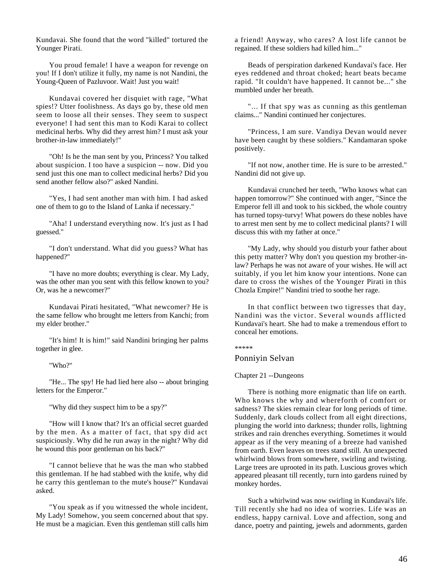Kundavai. She found that the word "killed" tortured the Younger Pirati.

You proud female! I have a weapon for revenge on you! If I don't utilize it fully, my name is not Nandini, the Young-Queen of Pazluvoor. Wait! Just you wait!

Kundavai covered her disquiet with rage, "What spies!? Utter foolishness. As days go by, these old men seem to loose all their senses. They seem to suspect everyone! I had sent this man to Kodi Karai to collect medicinal herbs. Why did they arrest him? I must ask your brother-in-law immediately!"

"Oh! Is he the man sent by you, Princess? You talked about suspicion. I too have a suspicion -- now. Did you send just this one man to collect medicinal herbs? Did you send another fellow also?" asked Nandini.

"Yes, I had sent another man with him. I had asked one of them to go to the Island of Lanka if necessary."

"Aha! I understand everything now. It's just as I had guessed."

"I don't understand. What did you guess? What has happened?"

"I have no more doubts; everything is clear. My Lady, was the other man you sent with this fellow known to you? Or, was he a newcomer?"

Kundavai Pirati hesitated, "What newcomer? He is the same fellow who brought me letters from Kanchi; from my elder brother."

"It's him! It is him!" said Nandini bringing her palms together in glee.

"Who?"

"He... The spy! He had lied here also -- about bringing letters for the Emperor."

"Why did they suspect him to be a spy?"

"How will I know that? It's an official secret guarded by the men. As a matter of fact, that spy did act suspiciously. Why did he run away in the night? Why did he wound this poor gentleman on his back?"

"I cannot believe that he was the man who stabbed this gentleman. If he had stabbed with the knife, why did he carry this gentleman to the mute's house?" Kundavai asked.

"You speak as if you witnessed the whole incident, My Lady! Somehow, you seem concerned about that spy. He must be a magician. Even this gentleman still calls him a friend! Anyway, who cares? A lost life cannot be regained. If these soldiers had killed him..."

Beads of perspiration darkened Kundavai's face. Her eyes reddened and throat choked; heart beats became rapid. "It couldn't have happened. It cannot be..." she mumbled under her breath.

"... If that spy was as cunning as this gentleman claims..." Nandini continued her conjectures.

"Princess, I am sure. Vandiya Devan would never have been caught by these soldiers." Kandamaran spoke positively.

"If not now, another time. He is sure to be arrested." Nandini did not give up.

Kundavai crunched her teeth, "Who knows what can happen tomorrow?" She continued with anger, "Since the Emperor fell ill and took to his sickbed, the whole country has turned topsy-turvy! What powers do these nobles have to arrest men sent by me to collect medicinal plants? I will discuss this with my father at once."

"My Lady, why should you disturb your father about this petty matter? Why don't you question my brother-inlaw? Perhaps he was not aware of your wishes. He will act suitably, if you let him know your intentions. None can dare to cross the wishes of the Younger Pirati in this Chozla Empire!" Nandini tried to soothe her rage.

In that conflict between two tigresses that day, Nandini was the victor. Several wounds afflicted Kundavai's heart. She had to make a tremendous effort to conceal her emotions.

\*\*\*\*\*

Ponniyin Selvan

Chapter 21 --Dungeons

There is nothing more enigmatic than life on earth. Who knows the why and whereforth of comfort or sadness? The skies remain clear for long periods of time. Suddenly, dark clouds collect from all eight directions, plunging the world into darkness; thunder rolls, lightning strikes and rain drenches everything. Sometimes it would appear as if the very meaning of a breeze had vanished from earth. Even leaves on trees stand still. An unexpected whirlwind blows from somewhere, swirling and twisting. Large trees are uprooted in its path. Luscious groves which appeared pleasant till recently, turn into gardens ruined by monkey hordes.

Such a whirlwind was now swirling in Kundavai's life. Till recently she had no idea of worries. Life was an endless, happy carnival. Love and affection, song and dance, poetry and painting, jewels and adornments, garden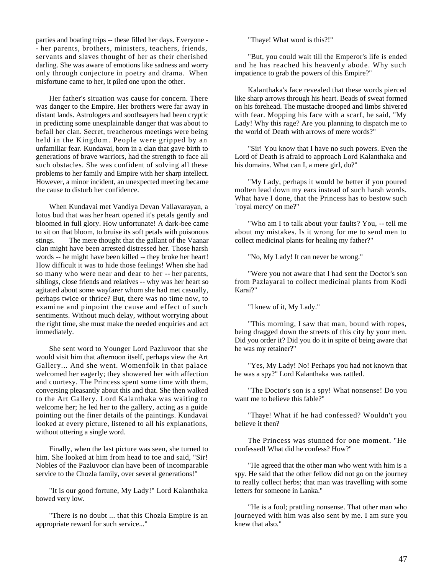parties and boating trips -- these filled her days. Everyone - - her parents, brothers, ministers, teachers, friends, servants and slaves thought of her as their cherished darling. She was aware of emotions like sadness and worry only through conjecture in poetry and drama. When misfortune came to her, it piled one upon the other.

Her father's situation was cause for concern. There was danger to the Empire. Her brothers were far away in distant lands. Astrologers and soothsayers had been cryptic in predicting some unexplainable danger that was about to befall her clan. Secret, treacherous meetings were being held in the Kingdom. People were gripped by an unfamiliar fear. Kundavai, born in a clan that gave birth to generations of brave warriors, had the strength to face all such obstacles. She was confident of solving all these problems to her family and Empire with her sharp intellect. However, a minor incident, an unexpected meeting became the cause to disturb her confidence.

When Kundavai met Vandiya Devan Vallavarayan, a lotus bud that was her heart opened it's petals gently and bloomed in full glory. How unfortunate! A dark-bee came to sit on that bloom, to bruise its soft petals with poisonous stings. The mere thought that the gallant of the Vaanar clan might have been arrested distressed her. Those harsh words -- he might have been killed -- they broke her heart! How difficult it was to hide those feelings! When she had so many who were near and dear to her -- her parents, siblings, close friends and relatives -- why was her heart so agitated about some wayfarer whom she had met casually, perhaps twice or thrice? But, there was no time now, to examine and pinpoint the cause and effect of such sentiments. Without much delay, without worrying about the right time, she must make the needed enquiries and act immediately.

She sent word to Younger Lord Pazluvoor that she would visit him that afternoon itself, perhaps view the Art Gallery... And she went. Womenfolk in that palace welcomed her eagerly; they showered her with affection and courtesy. The Princess spent some time with them, conversing pleasantly about this and that. She then walked to the Art Gallery. Lord Kalanthaka was waiting to welcome her; he led her to the gallery, acting as a guide pointing out the finer details of the paintings. Kundavai looked at every picture, listened to all his explanations, without uttering a single word.

Finally, when the last picture was seen, she turned to him. She looked at him from head to toe and said, "Sir! Nobles of the Pazluvoor clan have been of incomparable service to the Chozla family, over several generations!"

"It is our good fortune, My Lady!" Lord Kalanthaka bowed very low.

"There is no doubt ... that this Chozla Empire is an appropriate reward for such service..."

"Thaye! What word is this?!"

"But, you could wait till the Emperor's life is ended and he has reached his heavenly abode. Why such impatience to grab the powers of this Empire?"

Kalanthaka's face revealed that these words pierced like sharp arrows through his heart. Beads of sweat formed on his forehead. The mustache drooped and limbs shivered with fear. Mopping his face with a scarf, he said, "My Lady! Why this rage? Are you planning to dispatch me to the world of Death with arrows of mere words?"

"Sir! You know that I have no such powers. Even the Lord of Death is afraid to approach Lord Kalanthaka and his domains. What can I, a mere girl, do?"

"My Lady, perhaps it would be better if you poured molten lead down my ears instead of such harsh words. What have I done, that the Princess has to bestow such `royal mercy' on me?"

"Who am I to talk about your faults? You, -- tell me about my mistakes. Is it wrong for me to send men to collect medicinal plants for healing my father?"

"No, My Lady! It can never be wrong."

"Were you not aware that I had sent the Doctor's son from Pazlayarai to collect medicinal plants from Kodi Karai?"

"I knew of it, My Lady."

"This morning, I saw that man, bound with ropes, being dragged down the streets of this city by your men. Did you order it? Did you do it in spite of being aware that he was my retainer?"

"Yes, My Lady! No! Perhaps you had not known that he was a spy?" Lord Kalanthaka was rattled.

"The Doctor's son is a spy! What nonsense! Do you want me to believe this fable?"

"Thaye! What if he had confessed? Wouldn't you believe it then?

The Princess was stunned for one moment. "He confessed! What did he confess? How?"

"He agreed that the other man who went with him is a spy. He said that the other fellow did not go on the journey to really collect herbs; that man was travelling with some letters for someone in Lanka."

"He is a fool; prattling nonsense. That other man who journeyed with him was also sent by me. I am sure you knew that also."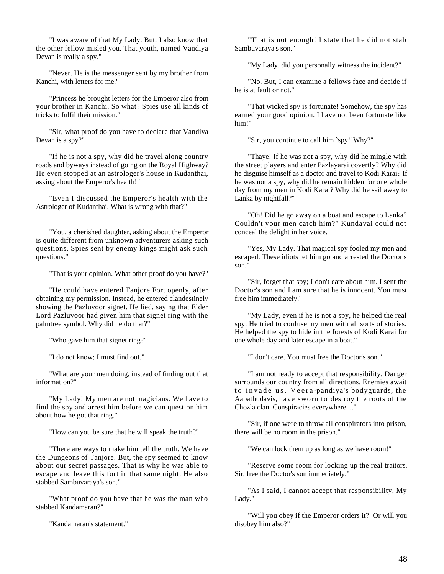"I was aware of that My Lady. But, I also know that the other fellow misled you. That youth, named Vandiya Devan is really a spy."

"Never. He is the messenger sent by my brother from Kanchi, with letters for me."

"Princess he brought letters for the Emperor also from your brother in Kanchi. So what? Spies use all kinds of tricks to fulfil their mission."

"Sir, what proof do you have to declare that Vandiya Devan is a spy?"

"If he is not a spy, why did he travel along country roads and byways instead of going on the Royal Highway? He even stopped at an astrologer's house in Kudanthai, asking about the Emperor's health!"

"Even I discussed the Emperor's health with the Astrologer of Kudanthai. What is wrong with that?"

"You, a cherished daughter, asking about the Emperor is quite different from unknown adventurers asking such questions. Spies sent by enemy kings might ask such questions."

"That is your opinion. What other proof do you have?"

"He could have entered Tanjore Fort openly, after obtaining my permission. Instead, he entered clandestinely showing the Pazluvoor signet. He lied, saying that Elder Lord Pazluvoor had given him that signet ring with the palmtree symbol. Why did he do that?"

"Who gave him that signet ring?"

"I do not know; I must find out."

"What are your men doing, instead of finding out that information?"

"My Lady! My men are not magicians. We have to find the spy and arrest him before we can question him about how he got that ring."

"How can you be sure that he will speak the truth?"

"There are ways to make him tell the truth. We have the Dungeons of Tanjore. But, the spy seemed to know about our secret passages. That is why he was able to escape and leave this fort in that same night. He also stabbed Sambuvaraya's son."

"What proof do you have that he was the man who stabbed Kandamaran?"

"Kandamaran's statement."

"That is not enough! I state that he did not stab Sambuvaraya's son."

"My Lady, did you personally witness the incident?"

"No. But, I can examine a fellows face and decide if he is at fault or not."

"That wicked spy is fortunate! Somehow, the spy has earned your good opinion. I have not been fortunate like him!"

"Sir, you continue to call him `spy!' Why?"

"Thaye! If he was not a spy, why did he mingle with the street players and enter Pazlayarai covertly? Why did he disguise himself as a doctor and travel to Kodi Karai? If he was not a spy, why did he remain hidden for one whole day from my men in Kodi Karai? Why did he sail away to Lanka by nightfall?"

"Oh! Did he go away on a boat and escape to Lanka? Couldn't your men catch him?" Kundavai could not conceal the delight in her voice.

"Yes, My Lady. That magical spy fooled my men and escaped. These idiots let him go and arrested the Doctor's son."

"Sir, forget that spy; I don't care about him. I sent the Doctor's son and I am sure that he is innocent. You must free him immediately."

"My Lady, even if he is not a spy, he helped the real spy. He tried to confuse my men with all sorts of stories. He helped the spy to hide in the forests of Kodi Karai for one whole day and later escape in a boat."

"I don't care. You must free the Doctor's son."

"I am not ready to accept that responsibility. Danger surrounds our country from all directions. Enemies await to invade us. Veera -pandiya's bodyguards, the Aabathudavis, have sworn to destroy the roots of the Chozla clan. Conspiracies everywhere ..."

"Sir, if one were to throw all conspirators into prison, there will be no room in the prison."

"We can lock them up as long as we have room!"

"Reserve some room for locking up the real traitors. Sir, free the Doctor's son immediately."

"As I said, I cannot accept that responsibility, My Lady."

"Will you obey if the Emperor orders it? Or will you disobey him also?"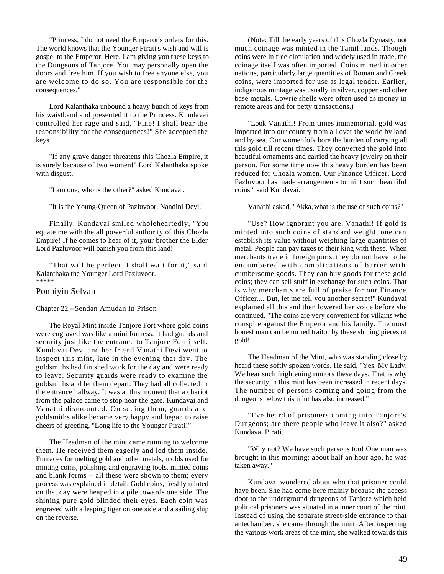"Princess, I do not need the Emperor's orders for this. The world knows that the Younger Pirati's wish and will is gospel to the Emperor. Here, I am giving you these keys to the Dungeons of Tanjore. You may personally open the doors and free him. If you wish to free anyone else, you are welcome to do so. You are responsible for the consequences."

Lord Kalanthaka unbound a heavy bunch of keys from his waistband and presented it to the Princess. Kundavai controlled her rage and said, "Fine! I shall bear the responsibility for the consequences!" She accepted the keys.

"If any grave danger threatens this Chozla Empire, it is surely because of two women!" Lord Kalanthaka spoke with disgust.

"I am one; who is the other?" asked Kundavai.

"It is the Young-Queen of Pazluvoor, Nandini Devi."

Finally, Kundavai smiled wholeheartedly, "You equate me with the all powerful authority of this Chozla Empire! If he comes to hear of it, your brother the Elder Lord Pazluvoor will banish you from this land!"

"That will be perfect. I shall wait for it," said Kalanthaka the Younger Lord Pazluvoor. \*\*\*\*\*

#### Ponniyin Selvan

Chapter 22 --Sendan Amudan In Prison

The Royal Mint inside Tanjore Fort where gold coins were engraved was like a mini fortress. It had guards and security just like the entrance to Tanjore Fort itself. Kundavai Devi and her friend Vanathi Devi went to inspect this mint, late in the evening that day. The goldsmiths had finished work for the day and were ready to leave. Security guards were ready to examine the goldsmiths and let them depart. They had all collected in the entrance hallway. It was at this moment that a chariot from the palace came to stop near the gate. Kundavai and Vanathi dismounted. On seeing them, guards and goldsmiths alike became very happy and began to raise cheers of greeting, "Long life to the Younger Pirati!"

The Headman of the mint came running to welcome them. He received them eagerly and led them inside. Furnaces for melting gold and other metals, molds used for minting coins, polishing and engraving tools, minted coins and blank forms -- all these were shown to them; every process was explained in detail. Gold coins, freshly minted on that day were heaped in a pile towards one side. The shining pure gold blinded their eyes. Each coin was engraved with a leaping tiger on one side and a sailing ship on the reverse.

(Note: Till the early years of this Chozla Dynasty, not much coinage was minted in the Tamil lands. Though coins were in free circulation and widely used in trade, the coinage itself was often imported. Coins minted in other nations, particularly large quantities of Roman and Greek coins, were imported for use as legal tender. Earlier, indigenous mintage was usually in silver, copper and other base metals. Cowrie shells were often used as money in remote areas and for petty transactions.)

"Look Vanathi! From times immemorial, gold was imported into our country from all over the world by land and by sea. Our womenfolk bore the burden of carrying all this gold till recent times. They converted the gold into beautiful ornaments and carried the heavy jewelry on their person. For some time now this heavy burden has been reduced for Chozla women. Our Finance Officer, Lord Pazluvoor has made arrangements to mint such beautiful coins," said Kundavai.

Vanathi asked, "Akka, what is the use of such coins?"

"Use? How ignorant you are, Vanathi! If gold is minted into such coins of standard weight, one can establish its value without weighing large quantities of metal. People can pay taxes to their king with these. When merchants trade in foreign ports, they do not have to be encumbered with complications of barter with cumbersome goods. They can buy goods for these gold coins; they can sell stuff in exchange for such coins. That is why merchants are full of praise for our Finance Officer.... But, let me tell you another secret!" Kundavai explained all this and then lowered her voice before she continued, "The coins are very convenient for villains who conspire against the Emperor and his family. The most honest man can be turned traitor by these shining pieces of gold!"

The Headman of the Mint, who was standing close by heard these softly spoken words. He said, "Yes, My Lady. We hear such frightening rumors these days. That is why the security in this mint has been increased in recent days. The number of persons coming and going from the dungeons below this mint has also increased."

"I've heard of prisoners coming into Tanjore's Dungeons; are there people who leave it also?" asked Kundavai Pirati.

"Why not? We have such persons too! One man was brought in this morning; about half an hour ago, he was taken away."

Kundavai wondered about who that prisoner could have been. She had come here mainly because the access door to the underground dungeons of Tanjore which held political prisoners was situated in a inner court of the mint. Instead of using the separate street-side entrance to that antechamber, she came through the mint. After inspecting the various work areas of the mint, she walked towards this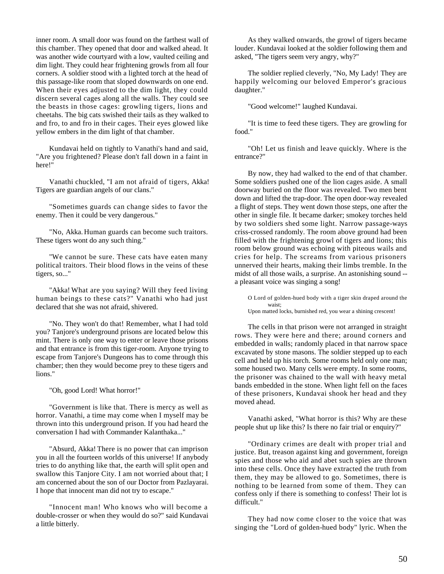inner room. A small door was found on the farthest wall of this chamber. They opened that door and walked ahead. It was another wide courtyard with a low, vaulted ceiling and dim light. They could hear frightening growls from all four corners. A soldier stood with a lighted torch at the head of this passage-like room that sloped downwards on one end. When their eyes adjusted to the dim light, they could discern several cages along all the walls. They could see the beasts in those cages: growling tigers, lions and cheetahs. The big cats swished their tails as they walked to and fro, to and fro in their cages. Their eyes glowed like yellow embers in the dim light of that chamber.

Kundavai held on tightly to Vanathi's hand and said, "Are you frightened? Please don't fall down in a faint in here!"

Vanathi chuckled, "I am not afraid of tigers, Akka! Tigers are guardian angels of our clans."

"Sometimes guards can change sides to favor the enemy. Then it could be very dangerous."

"No, Akka. Human guards can become such traitors. These tigers wont do any such thing."

"We cannot be sure. These cats have eaten many political traitors. Their blood flows in the veins of these tigers, so..."

"Akka! What are you saying? Will they feed living human beings to these cats?" Vanathi who had just declared that she was not afraid, shivered.

"No. They won't do that! Remember, what I had told you? Tanjore's underground prisons are located below this mint. There is only one way to enter or leave those prisons and that entrance is from this tiger-room. Anyone trying to escape from Tanjore's Dungeons has to come through this chamber; then they would become prey to these tigers and lions."

"Oh, good Lord! What horror!"

"Government is like that. There is mercy as well as horror. Vanathi, a time may come when I myself may be thrown into this underground prison. If you had heard the conversation I had with Commander Kalanthaka..."

"Absurd, Akka! There is no power that can imprison you in all the fourteen worlds of this universe! If anybody tries to do anything like that, the earth will split open and swallow this Tanjore City. I am not worried about that; I am concerned about the son of our Doctor from Pazlayarai. I hope that innocent man did not try to escape."

"Innocent man! Who knows who will become a double-crosser or when they would do so?" said Kundavai a little bitterly.

As they walked onwards, the growl of tigers became louder. Kundavai looked at the soldier following them and asked, "The tigers seem very angry, why?"

The soldier replied cleverly, "No, My Lady! They are happily welcoming our beloved Emperor's gracious daughter."

"Good welcome!" laughed Kundavai.

"It is time to feed these tigers. They are growling for food."

"Oh! Let us finish and leave quickly. Where is the entrance?"

By now, they had walked to the end of that chamber. Some soldiers pushed one of the lion cages aside. A small doorway buried on the floor was revealed. Two men bent down and lifted the trap-door. The open door-way revealed a flight of steps. They went down those steps, one after the other in single file. It became darker; smokey torches held by two soldiers shed some light. Narrow passage-ways criss-crossed randomly. The room above ground had been filled with the frightening growl of tigers and lions; this room below ground was echoing with piteous wails and cries for help. The screams from various prisoners unnerved their hearts, making their limbs tremble. In the midst of all those wails, a surprise. An astonishing sound - a pleasant voice was singing a song!

O Lord of golden-hued body with a tiger skin draped around the waist;

Upon matted locks, burnished red, you wear a shining crescent!

The cells in that prison were not arranged in straight rows. They were here and there; around corners and embedded in walls; randomly placed in that narrow space excavated by stone masons. The soldier stepped up to each cell and held up his torch. Some rooms held only one man; some housed two. Many cells were empty. In some rooms, the prisoner was chained to the wall with heavy metal bands embedded in the stone. When light fell on the faces of these prisoners, Kundavai shook her head and they moved ahead.

Vanathi asked, "What horror is this? Why are these people shut up like this? Is there no fair trial or enquiry?"

"Ordinary crimes are dealt with proper trial and justice. But, treason against king and government, foreign spies and those who aid and abet such spies are thrown into these cells. Once they have extracted the truth from them, they may be allowed to go. Sometimes, there is nothing to be learned from some of them. They can confess only if there is something to confess! Their lot is difficult."

They had now come closer to the voice that was singing the "Lord of golden-hued body" lyric. When the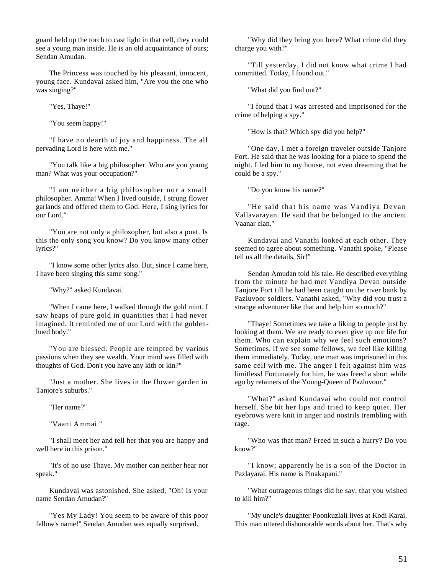guard held up the torch to cast light in that cell, they could see a young man inside. He is an old acquaintance of ours; Sendan Amudan.

The Princess was touched by his pleasant, innocent, young face. Kundavai asked him, "Are you the one who was singing?"

"Yes, Thaye!"

"You seem happy!"

"I have no dearth of joy and happiness. The all pervading Lord is here with me."

"You talk like a big philosopher. Who are you young man? What was your occupation?"

"I am neither a big philosopher nor a small philosopher. Amma! When I lived outside, I strung flower garlands and offered them to God. Here, I sing lyrics for our Lord."

"You are not only a philosopher, but also a poet. Is this the only song you know? Do you know many other lyrics?"

"I know some other lyrics also. But, since I came here, I have been singing this same song."

"Why?" asked Kundavai.

"When I came here, I walked through the gold mint. I saw heaps of pure gold in quantities that I had never imagined. It reminded me of our Lord with the goldenhued body."

"You are blessed. People are tempted by various passions when they see wealth. Your mind was filled with thoughts of God. Don't you have any kith or kin?"

"Just a mother. She lives in the flower garden in Tanjore's suburbs."

"Her name?"

"Vaani Ammai."

"I shall meet her and tell her that you are happy and well here in this prison."

"It's of no use Thaye. My mother can neither hear nor speak."

Kundavai was astonished. She asked, "Oh! Is your name Sendan Amudan?"

"Yes My Lady! You seem to be aware of this poor fellow's name!" Sendan Amudan was equally surprised.

"Why did they bring you here? What crime did they charge you with?"

"Till yesterday, I did not know what crime I had committed. Today, I found out."

"What did you find out?"

"I found that I was arrested and imprisoned for the crime of helping a spy."

"How is that? Which spy did you help?"

"One day, I met a foreign traveler outside Tanjore Fort. He said that he was looking for a place to spend the night. I led him to my house, not even dreaming that he could be a spy."

"Do you know his name?"

"He said that his name was Vandiya Devan Vallavarayan. He said that he belonged to the ancient Vaanar clan."

Kundavai and Vanathi looked at each other. They seemed to agree about something. Vanathi spoke, "Please tell us all the details, Sir!"

Sendan Amudan told his tale. He described everything from the minute he had met Vandiya Devan outside Tanjore Fort till he had been caught on the river bank by Pazluvoor soldiers. Vanathi asked, "Why did you trust a strange adventurer like that and help him so much?"

"Thaye! Sometimes we take a liking to people just by looking at them. We are ready to even give up our life for them. Who can explain why we feel such emotions? Sometimes, if we see some fellows, we feel like killing them immediately. Today, one man was imprisoned in this same cell with me. The anger I felt against him was limitless! Fortunately for him, he was freed a short while ago by retainers of the Young-Queen of Pazluvoor."

"What?" asked Kundavai who could not control herself. She bit her lips and tried to keep quiet. Her eyebrows were knit in anger and nostrils trembling with rage.

"Who was that man? Freed in such a hurry? Do you know?"

"I know; apparently he is a son of the Doctor in Pazlayarai. His name is Pinakapani."

"What outrageous things did he say, that you wished to kill him?"

"My uncle's daughter Poonkuzlali lives at Kodi Karai. This man uttered dishonorable words about her. That's why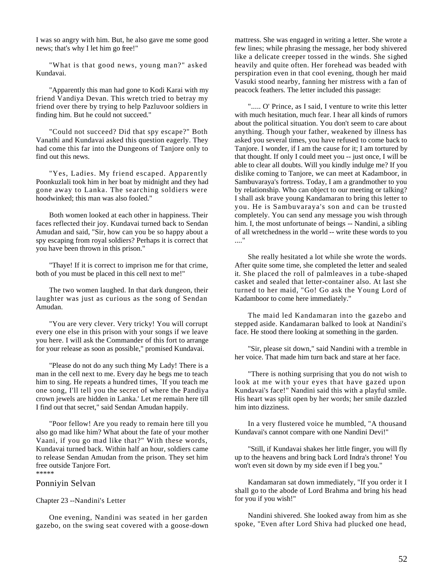I was so angry with him. But, he also gave me some good news; that's why I let him go free!"

"What is that good news, young man?" asked Kundavai.

"Apparently this man had gone to Kodi Karai with my friend Vandiya Devan. This wretch tried to betray my friend over there by trying to help Pazluvoor soldiers in finding him. But he could not succeed."

"Could not succeed? Did that spy escape?" Both Vanathi and Kundavai asked this question eagerly. They had come this far into the Dungeons of Tanjore only to find out this news.

"Yes, Ladies. My friend escaped. Apparently Poonkuzlali took him in her boat by midnight and they had gone away to Lanka. The searching soldiers were hoodwinked; this man was also fooled."

Both women looked at each other in happiness. Their faces reflected their joy. Kundavai turned back to Sendan Amudan and said, "Sir, how can you be so happy about a spy escaping from royal soldiers? Perhaps it is correct that you have been thrown in this prison."

"Thaye! If it is correct to imprison me for that crime, both of you must be placed in this cell next to me!"

The two women laughed. In that dark dungeon, their laughter was just as curious as the song of Sendan Amudan.

"You are very clever. Very tricky! You will corrupt every one else in this prison with your songs if we leave you here. I will ask the Commander of this fort to arrange for your release as soon as possible," promised Kundavai.

"Please do not do any such thing My Lady! There is a man in the cell next to me. Every day he begs me to teach him to sing. He repeats a hundred times, `If you teach me one song, I'll tell you the secret of where the Pandiya crown jewels are hidden in Lanka.' Let me remain here till I find out that secret," said Sendan Amudan happily.

"Poor fellow! Are you ready to remain here till you also go mad like him? What about the fate of your mother Vaani, if you go mad like that?" With these words, Kundavai turned back. Within half an hour, soldiers came to release Sendan Amudan from the prison. They set him free outside Tanjore Fort. \*\*\*\*\*

#### Ponniyin Selvan

Chapter 23 --Nandini's Letter

One evening, Nandini was seated in her garden gazebo, on the swing seat covered with a goose-down mattress. She was engaged in writing a letter. She wrote a few lines; while phrasing the message, her body shivered like a delicate creeper tossed in the winds. She sighed heavily and quite often. Her forehead was beaded with perspiration even in that cool evening, though her maid Vasuki stood nearby, fanning her mistress with a fan of peacock feathers. The letter included this passage:

"..... O' Prince, as I said, I venture to write this letter with much hesitation, much fear. I hear all kinds of rumors about the political situation. You don't seem to care about anything. Though your father, weakened by illness has asked you several times, you have refused to come back to Tanjore. I wonder, if I am the cause for it; I am tortured by that thought. If only I could meet you -- just once, I will be able to clear all doubts. Will you kindly indulge me? If you dislike coming to Tanjore, we can meet at Kadamboor, in Sambuvaraya's fortress. Today, I am a grandmother to you by relationship. Who can object to our meeting or talking? I shall ask brave young Kandamaran to bring this letter to you. He is Sambuvaraya's son and can be trusted completely. You can send any message you wish through him. I, the most unfortunate of beings -- Nandini, a sibling of all wretchedness in the world -- write these words to you ...."

She really hesitated a lot while she wrote the words. After quite some time, she completed the letter and sealed it. She placed the roll of palmleaves in a tube-shaped casket and sealed that letter-container also. At last she turned to her maid, "Go! Go ask the Young Lord of Kadamboor to come here immediately."

The maid led Kandamaran into the gazebo and stepped aside. Kandamaran balked to look at Nandini's face. He stood there looking at something in the garden.

"Sir, please sit down," said Nandini with a tremble in her voice. That made him turn back and stare at her face.

"There is nothing surprising that you do not wish to look at me with your eyes that have gazed upon Kundavai's face!" Nandini said this with a playful smile. His heart was split open by her words; her smile dazzled him into dizziness.

In a very flustered voice he mumbled, "A thousand Kundavai's cannot compare with one Nandini Devi!"

"Still, if Kundavai shakes her little finger, you will fly up to the heavens and bring back Lord Indra's throne! You won't even sit down by my side even if I beg you."

Kandamaran sat down immediately, "If you order it I shall go to the abode of Lord Brahma and bring his head for you if you wish!"

Nandini shivered. She looked away from him as she spoke, "Even after Lord Shiva had plucked one head,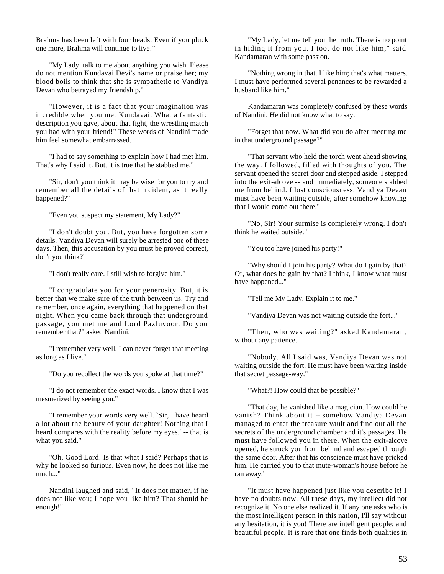Brahma has been left with four heads. Even if you pluck one more, Brahma will continue to live!"

"My Lady, talk to me about anything you wish. Please do not mention Kundavai Devi's name or praise her; my blood boils to think that she is sympathetic to Vandiya Devan who betrayed my friendship."

"However, it is a fact that your imagination was incredible when you met Kundavai. What a fantastic description you gave, about that fight, the wrestling match you had with your friend!" These words of Nandini made him feel somewhat embarrassed.

"I had to say something to explain how I had met him. That's why I said it. But, it is true that he stabbed me."

"Sir, don't you think it may be wise for you to try and remember all the details of that incident, as it really happened?"

"Even you suspect my statement, My Lady?"

"I don't doubt you. But, you have forgotten some details. Vandiya Devan will surely be arrested one of these days. Then, this accusation by you must be proved correct, don't you think?"

"I don't really care. I still wish to forgive him."

"I congratulate you for your generosity. But, it is better that we make sure of the truth between us. Try and remember, once again, everything that happened on that night. When you came back through that underground passage, you met me and Lord Pazluvoor. Do you remember that?" asked Nandini.

"I remember very well. I can never forget that meeting as long as I live."

"Do you recollect the words you spoke at that time?"

"I do not remember the exact words. I know that I was mesmerized by seeing you."

"I remember your words very well. `Sir, I have heard a lot about the beauty of your daughter! Nothing that I heard compares with the reality before my eyes.' -- that is what you said."

"Oh, Good Lord! Is that what I said? Perhaps that is why he looked so furious. Even now, he does not like me much..."

Nandini laughed and said, "It does not matter, if he does not like you; I hope you like him? That should be enough!"

"My Lady, let me tell you the truth. There is no point in hiding it from you. I too, do not like him," said Kandamaran with some passion.

"Nothing wrong in that. I like him; that's what matters. I must have performed several penances to be rewarded a husband like him."

Kandamaran was completely confused by these words of Nandini. He did not know what to say.

"Forget that now. What did you do after meeting me in that underground passage?"

"That servant who held the torch went ahead showing the way. I followed, filled with thoughts of you. The servant opened the secret door and stepped aside. I stepped into the exit-alcove -- and immediately, someone stabbed me from behind. I lost consciousness. Vandiya Devan must have been waiting outside, after somehow knowing that I would come out there."

"No, Sir! Your surmise is completely wrong. I don't think he waited outside."

"You too have joined his party!"

"Why should I join his party? What do I gain by that? Or, what does he gain by that? I think, I know what must have happened..."

"Tell me My Lady. Explain it to me."

"Vandiya Devan was not waiting outside the fort..."

"Then, who was waiting?" asked Kandamaran, without any patience.

"Nobody. All I said was, Vandiya Devan was not waiting outside the fort. He must have been waiting inside that secret passage-way."

"What?! How could that be possible?"

"That day, he vanished like a magician. How could he vanish? Think about it -- somehow Vandiya Devan managed to enter the treasure vault and find out all the secrets of the underground chamber and it's passages. He must have followed you in there. When the exit-alcove opened, he struck you from behind and escaped through the same door. After that his conscience must have pricked him. He carried you to that mute-woman's house before he ran away."

"It must have happened just like you describe it! I have no doubts now. All these days, my intellect did not recognize it. No one else realized it. If any one asks who is the most intelligent person in this nation, I'll say without any hesitation, it is you! There are intelligent people; and beautiful people. It is rare that one finds both qualities in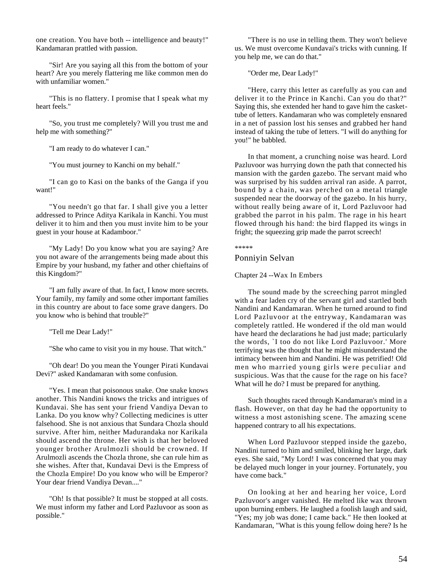one creation. You have both -- intelligence and beauty!" Kandamaran prattled with passion.

"Sir! Are you saying all this from the bottom of your heart? Are you merely flattering me like common men do with unfamiliar women."

"This is no flattery. I promise that I speak what my heart feels."

"So, you trust me completely? Will you trust me and help me with something?"

"I am ready to do whatever I can."

"You must journey to Kanchi on my behalf."

"I can go to Kasi on the banks of the Ganga if you want!"

"You needn't go that far. I shall give you a letter addressed to Prince Aditya Karikala in Kanchi. You must deliver it to him and then you must invite him to be your guest in your house at Kadamboor."

"My Lady! Do you know what you are saying? Are you not aware of the arrangements being made about this Empire by your husband, my father and other chieftains of this Kingdom?"

"I am fully aware of that. In fact, I know more secrets. Your family, my family and some other important families in this country are about to face some grave dangers. Do you know who is behind that trouble?"

"Tell me Dear Lady!"

"She who came to visit you in my house. That witch."

"Oh dear! Do you mean the Younger Pirati Kundavai Devi?" asked Kandamaran with some confusion.

"Yes. I mean that poisonous snake. One snake knows another. This Nandini knows the tricks and intrigues of Kundavai. She has sent your friend Vandiya Devan to Lanka. Do you know why? Collecting medicines is utter falsehood. She is not anxious that Sundara Chozla should survive. After him, neither Madurandaka nor Karikala should ascend the throne. Her wish is that her beloved younger brother Arulmozli should be crowned. If Arulmozli ascends the Chozla throne, she can rule him as she wishes. After that, Kundavai Devi is the Empress of the Chozla Empire! Do you know who will be Emperor? Your dear friend Vandiya Devan...."

"Oh! Is that possible? It must be stopped at all costs. We must inform my father and Lord Pazluvoor as soon as possible."

"There is no use in telling them. They won't believe us. We must overcome Kundavai's tricks with cunning. If you help me, we can do that."

"Order me, Dear Lady!"

"Here, carry this letter as carefully as you can and deliver it to the Prince in Kanchi. Can you do that?" Saying this, she extended her hand to gave him the caskettube of letters. Kandamaran who was completely ensnared in a net of passion lost his senses and grabbed her hand instead of taking the tube of letters. "I will do anything for you!" he babbled.

In that moment, a crunching noise was heard. Lord Pazluvoor was hurrying down the path that connected his mansion with the garden gazebo. The servant maid who was surprised by his sudden arrival ran aside. A parrot, bound by a chain, was perched on a metal triangle suspended near the doorway of the gazebo. In his hurry, without really being aware of it, Lord Pazluvoor had grabbed the parrot in his palm. The rage in his heart flowed through his hand: the bird flapped its wings in fright; the squeezing grip made the parrot screech!

\*\*\*\*\*

#### Ponniyin Selvan

Chapter 24 --Wax In Embers

The sound made by the screeching parrot mingled with a fear laden cry of the servant girl and startled both Nandini and Kandamaran. When he turned around to find Lord Pazluvoor at the entryway, Kandamaran was completely rattled. He wondered if the old man would have heard the declarations he had just made; particularly the words, `I too do not like Lord Pazluvoor.' More terrifying was the thought that he might misunderstand the intimacy between him and Nandini. He was petrified! Old men who married young girls were peculiar and suspicious. Was that the cause for the rage on his face? What will he do? I must be prepared for anything.

Such thoughts raced through Kandamaran's mind in a flash. However, on that day he had the opportunity to witness a most astonishing scene. The amazing scene happened contrary to all his expectations.

When Lord Pazluvoor stepped inside the gazebo, Nandini turned to him and smiled, blinking her large, dark eyes. She said, "My Lord! I was concerned that you may be delayed much longer in your journey. Fortunately, you have come back."

On looking at her and hearing her voice, Lord Pazluvoor's anger vanished. He melted like wax thrown upon burning embers. He laughed a foolish laugh and said, "Yes; my job was done; I came back." He then looked at Kandamaran, "What is this young fellow doing here? Is he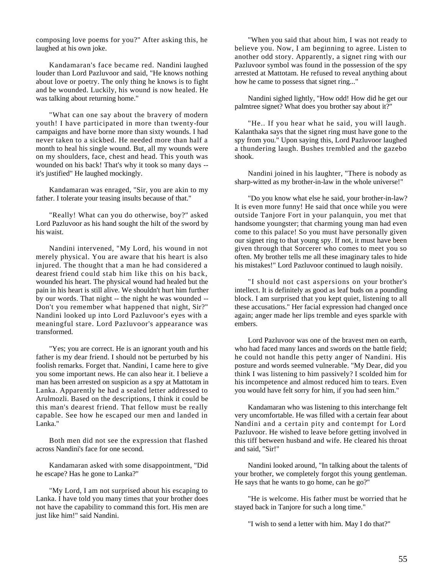composing love poems for you?" After asking this, he laughed at his own joke.

Kandamaran's face became red. Nandini laughed louder than Lord Pazluvoor and said, "He knows nothing about love or poetry. The only thing he knows is to fight and be wounded. Luckily, his wound is now healed. He was talking about returning home."

"What can one say about the bravery of modern youth! I have participated in more than twenty-four campaigns and have borne more than sixty wounds. I had never taken to a sickbed. He needed more than half a month to heal his single wound. But, all my wounds were on my shoulders, face, chest and head. This youth was wounded on his back! That's why it took so many days - it's justified" He laughed mockingly.

Kandamaran was enraged, "Sir, you are akin to my father. I tolerate your teasing insults because of that."

"Really! What can you do otherwise, boy?" asked Lord Pazluvoor as his hand sought the hilt of the sword by his waist.

Nandini intervened, "My Lord, his wound in not merely physical. You are aware that his heart is also injured. The thought that a man he had considered a dearest friend could stab him like this on his back, wounded his heart. The physical wound had healed but the pain in his heart is still alive. We shouldn't hurt him further by our words. That night -- the night he was wounded -- Don't you remember what happened that night, Sir?" Nandini looked up into Lord Pazluvoor's eyes with a meaningful stare. Lord Pazluvoor's appearance was transformed.

"Yes; you are correct. He is an ignorant youth and his father is my dear friend. I should not be perturbed by his foolish remarks. Forget that. Nandini, I came here to give you some important news. He can also hear it. I believe a man has been arrested on suspicion as a spy at Mattotam in Lanka. Apparently he had a sealed letter addressed to Arulmozli. Based on the descriptions, I think it could be this man's dearest friend. That fellow must be really capable. See how he escaped our men and landed in Lanka."

Both men did not see the expression that flashed across Nandini's face for one second.

Kandamaran asked with some disappointment, "Did he escape? Has he gone to Lanka?"

"My Lord, I am not surprised about his escaping to Lanka. I have told you many times that your brother does not have the capability to command this fort. His men are just like him!" said Nandini.

"When you said that about him, I was not ready to believe you. Now, I am beginning to agree. Listen to another odd story. Apparently, a signet ring with our Pazluvoor symbol was found in the possession of the spy arrested at Mattotam. He refused to reveal anything about how he came to possess that signet ring..."

Nandini sighed lightly, "How odd! How did he get our palmtree signet? What does you brother say about it?"

"He.. If you hear what he said, you will laugh. Kalanthaka says that the signet ring must have gone to the spy from you." Upon saying this, Lord Pazluvoor laughed a thundering laugh. Bushes trembled and the gazebo shook.

Nandini joined in his laughter, "There is nobody as sharp-witted as my brother-in-law in the whole universe!"

"Do you know what else he said, your brother-in-law? It is even more funny! He said that once while you were outside Tanjore Fort in your palanquin, you met that handsome youngster; that charming young man had even come to this palace! So you must have personally given our signet ring to that young spy. If not, it must have been given through that Sorcerer who comes to meet you so often. My brother tells me all these imaginary tales to hide his mistakes!" Lord Pazluvoor continued to laugh noisily.

"I should not cast aspersions on your brother's intellect. It is definitely as good as leaf buds on a pounding block. I am surprised that you kept quiet, listening to all these accusations." Her facial expression had changed once again; anger made her lips tremble and eyes sparkle with embers.

Lord Pazluvoor was one of the bravest men on earth, who had faced many lances and swords on the battle field; he could not handle this petty anger of Nandini. His posture and words seemed vulnerable. "My Dear, did you think I was listening to him passively? I scolded him for his incompetence and almost reduced him to tears. Even you would have felt sorry for him, if you had seen him."

Kandamaran who was listening to this interchange felt very uncomfortable. He was filled with a certain fear about Nandini and a certain pity and contempt for Lord Pazluvoor. He wished to leave before getting involved in this tiff between husband and wife. He cleared his throat and said, "Sir!"

Nandini looked around, "In talking about the talents of your brother, we completely forgot this young gentleman. He says that he wants to go home, can he go?"

"He is welcome. His father must be worried that he stayed back in Tanjore for such a long time."

"I wish to send a letter with him. May I do that?"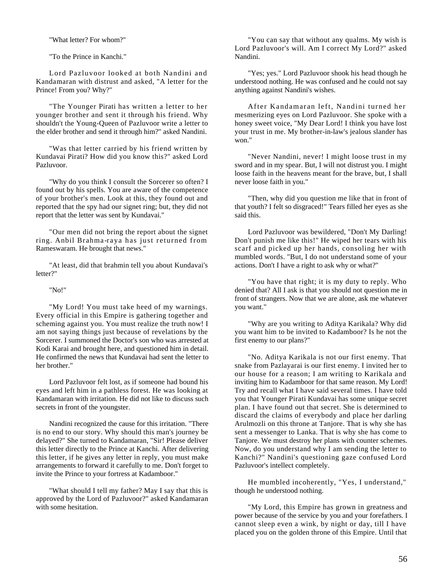"What letter? For whom?"

"To the Prince in Kanchi."

Lord Pazluvoor looked at both Nandini and Kandamaran with distrust and asked, "A letter for the Prince! From you? Why?"

"The Younger Pirati has written a letter to her younger brother and sent it through his friend. Why shouldn't the Young-Queen of Pazluvoor write a letter to the elder brother and send it through him?" asked Nandini.

"Was that letter carried by his friend written by Kundavai Pirati? How did you know this?" asked Lord Pazluvoor.

"Why do you think I consult the Sorcerer so often? I found out by his spells. You are aware of the competence of your brother's men. Look at this, they found out and reported that the spy had our signet ring; but, they did not report that the letter was sent by Kundavai."

"Our men did not bring the report about the signet ring. Anbil Brahma-raya has just returned from Rameswaram. He brought that news."

"At least, did that brahmin tell you about Kundavai's letter?"

#### "No!"

"My Lord! You must take heed of my warnings. Every official in this Empire is gathering together and scheming against you. You must realize the truth now! I am not saying things just because of revelations by the Sorcerer. I summoned the Doctor's son who was arrested at Kodi Karai and brought here, and questioned him in detail. He confirmed the news that Kundavai had sent the letter to her brother."

Lord Pazluvoor felt lost, as if someone had bound his eyes and left him in a pathless forest. He was looking at Kandamaran with irritation. He did not like to discuss such secrets in front of the youngster.

Nandini recognized the cause for this irritation. "There is no end to our story. Why should this man's journey be delayed?" She turned to Kandamaran, "Sir! Please deliver this letter directly to the Prince at Kanchi. After delivering this letter, if he gives any letter in reply, you must make arrangements to forward it carefully to me. Don't forget to invite the Prince to your fortress at Kadamboor."

"What should I tell my father? May I say that this is approved by the Lord of Pazluvoor?" asked Kandamaran with some hesitation.

"You can say that without any qualms. My wish is Lord Pazluvoor's will. Am I correct My Lord?" asked Nandini.

"Yes; yes." Lord Pazluvoor shook his head though he understood nothing. He was confused and he could not say anything against Nandini's wishes.

After Kandamaran left, Nandini turned her mesmerizing eyes on Lord Pazluvoor. She spoke with a honey sweet voice, "My Dear Lord! I think you have lost your trust in me. My brother-in-law's jealous slander has won."

"Never Nandini, never! I might loose trust in my sword and in my spear. But, I will not distrust you. I might loose faith in the heavens meant for the brave, but, I shall never loose faith in you."

"Then, why did you question me like that in front of that youth? I felt so disgraced!" Tears filled her eyes as she said this.

Lord Pazluvoor was bewildered, "Don't My Darling! Don't punish me like this!" He wiped her tears with his scarf and picked up her hands, consoling her with mumbled words. "But, I do not understand some of your actions. Don't I have a right to ask why or what?"

"You have that right; it is my duty to reply. Who denied that? All I ask is that you should not question me in front of strangers. Now that we are alone, ask me whatever you want."

"Why are you writing to Aditya Karikala? Why did you want him to be invited to Kadamboor? Is he not the first enemy to our plans?"

"No. Aditya Karikala is not our first enemy. That snake from Pazlayarai is our first enemy. I invited her to our house for a reason; I am writing to Karikala and inviting him to Kadamboor for that same reason. My Lord! Try and recall what I have said several times. I have told you that Younger Pirati Kundavai has some unique secret plan. I have found out that secret. She is determined to discard the claims of everybody and place her darling Arulmozli on this throne at Tanjore. That is why she has sent a messenger to Lanka. That is why she has come to Tanjore. We must destroy her plans with counter schemes. Now, do you understand why I am sending the letter to Kanchi?" Nandini's questioning gaze confused Lord Pazluvoor's intellect completely.

He mumbled incoherently, "Yes, I understand," though he understood nothing.

"My Lord, this Empire has grown in greatness and power because of the service by you and your forefathers. I cannot sleep even a wink, by night or day, till I have placed you on the golden throne of this Empire. Until that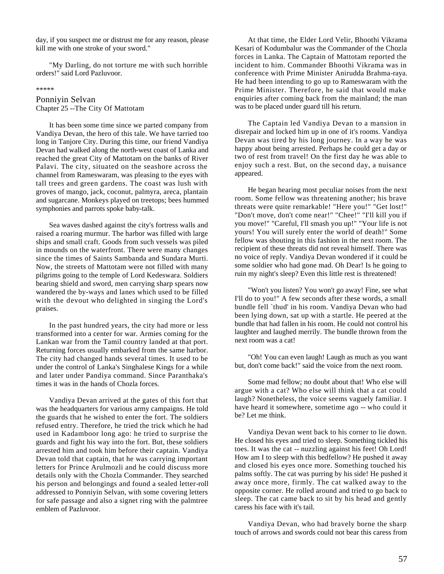day, if you suspect me or distrust me for any reason, please kill me with one stroke of your sword."

"My Darling, do not torture me with such horrible orders!" said Lord Pazluvoor.

#### \*\*\*\*\*

Ponniyin Selvan Chapter 25 --The City Of Mattotam

It has been some time since we parted company from Vandiya Devan, the hero of this tale. We have tarried too long in Tanjore City. During this time, our friend Vandiya Devan had walked along the north-west coast of Lanka and reached the great City of Mattotam on the banks of River Palavi. The city, situated on the seashore across the channel from Rameswaram, was pleasing to the eyes with tall trees and green gardens. The coast was lush with groves of mango, jack, coconut, palmyra, areca, plantain and sugarcane. Monkeys played on treetops; bees hummed symphonies and parrots spoke baby-talk.

Sea waves dashed against the city's fortress walls and raised a roaring murmur. The harbor was filled with large ships and small craft. Goods from such vessels was piled in mounds on the waterfront. There were many changes since the times of Saints Sambanda and Sundara Murti. Now, the streets of Mattotam were not filled with many pilgrims going to the temple of Lord Kedeswara. Soldiers bearing shield and sword, men carrying sharp spears now wandered the by-ways and lanes which used to be filled with the devout who delighted in singing the Lord's praises.

In the past hundred years, the city had more or less transformed into a center for war. Armies coming for the Lankan war from the Tamil country landed at that port. Returning forces usually embarked from the same harbor. The city had changed hands several times. It used to be under the control of Lanka's Singhalese Kings for a while and later under Pandiya command. Since Paranthaka's times it was in the hands of Chozla forces.

Vandiya Devan arrived at the gates of this fort that was the headquarters for various army campaigns. He told the guards that he wished to enter the fort. The soldiers refused entry. Therefore, he tried the trick which he had used in Kadamboor long ago: he tried to surprise the guards and fight his way into the fort. But, these soldiers arrested him and took him before their captain. Vandiya Devan told that captain, that he was carrying important letters for Prince Arulmozli and he could discuss more details only with the Chozla Commander. They searched his person and belongings and found a sealed letter-roll addressed to Ponniyin Selvan, with some covering letters for safe passage and also a signet ring with the palmtree emblem of Pazluvoor.

At that time, the Elder Lord Velir, Bhoothi Vikrama Kesari of Kodumbalur was the Commander of the Chozla forces in Lanka. The Captain of Mattotam reported the incident to him. Commander Bhoothi Vikrama was in conference with Prime Minister Anirudda Brahma-raya. He had been intending to go up to Rameswaram with the Prime Minister. Therefore, he said that would make enquiries after coming back from the mainland; the man was to be placed under guard till his return.

The Captain led Vandiya Devan to a mansion in disrepair and locked him up in one of it's rooms. Vandiya Devan was tired by his long journey. In a way he was happy about being arrested. Perhaps he could get a day or two of rest from travel! On the first day he was able to enjoy such a rest. But, on the second day, a nuisance appeared.

He began hearing most peculiar noises from the next room. Some fellow was threatening another; his brave threats were quite remarkable! "Here you!" "Get lost!" "Don't move, don't come near!" "Chee!" "I'll kill you if you move!" "Careful, I'll smash you up!" "Your life is not yours! You will surely enter the world of death!" Some fellow was shouting in this fashion in the next room. The recipient of these threats did not reveal himself. There was no voice of reply. Vandiya Devan wondered if it could be some soldier who had gone mad. Oh Dear! Is he going to ruin my night's sleep? Even this little rest is threatened!

"Won't you listen? You won't go away! Fine, see what I'll do to you!" A few seconds after these words, a small bundle fell `thud' in his room. Vandiya Devan who had been lying down, sat up with a startle. He peered at the bundle that had fallen in his room. He could not control his laughter and laughed merrily. The bundle thrown from the next room was a cat!

"Oh! You can even laugh! Laugh as much as you want but, don't come back!" said the voice from the next room.

Some mad fellow; no doubt about that! Who else will argue with a cat? Who else will think that a cat could laugh? Nonetheless, the voice seems vaguely familiar. I have heard it somewhere, sometime ago -- who could it be? Let me think.

Vandiya Devan went back to his corner to lie down. He closed his eyes and tried to sleep. Something tickled his toes. It was the cat -- nuzzling against his feet! Oh Lord! How am I to sleep with this bedfellow? He pushed it away and closed his eyes once more. Something touched his palms softly. The cat was purring by his side! He pushed it away once more, firmly. The cat walked away to the opposite corner. He rolled around and tried to go back to sleep. The cat came back to sit by his head and gently caress his face with it's tail.

Vandiya Devan, who had bravely borne the sharp touch of arrows and swords could not bear this caress from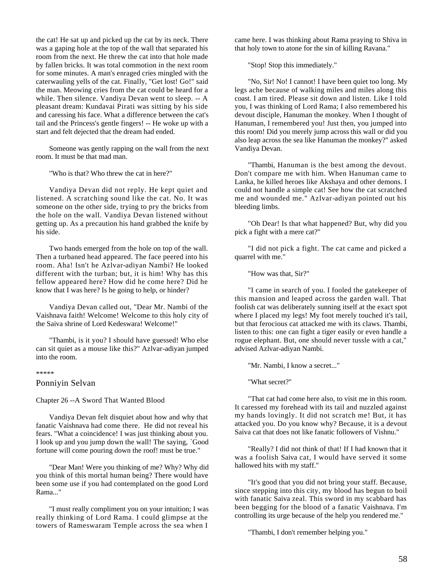the cat! He sat up and picked up the cat by its neck. There was a gaping hole at the top of the wall that separated his room from the next. He threw the cat into that hole made by fallen bricks. It was total commotion in the next room for some minutes. A man's enraged cries mingled with the caterwauling yells of the cat. Finally, "Get lost! Go!" said the man. Meowing cries from the cat could be heard for a while. Then silence. Vandiya Devan went to sleep. -- A pleasant dream: Kundavai Pirati was sitting by his side and caressing his face. What a difference between the cat's tail and the Princess's gentle fingers! -- He woke up with a start and felt dejected that the dream had ended.

Someone was gently rapping on the wall from the next room. It must be that mad man.

"Who is that? Who threw the cat in here?"

Vandiya Devan did not reply. He kept quiet and listened. A scratching sound like the cat. No. It was someone on the other side, trying to pry the bricks from the hole on the wall. Vandiya Devan listened without getting up. As a precaution his hand grabbed the knife by his side.

Two hands emerged from the hole on top of the wall. Then a turbaned head appeared. The face peered into his room. Aha! Isn't he Azlvar-adiyan Nambi? He looked different with the turban; but, it is him! Why has this fellow appeared here? How did he come here? Did he know that I was here? Is he going to help, or hinder?

Vandiya Devan called out, "Dear Mr. Nambi of the Vaishnava faith! Welcome! Welcome to this holy city of the Saiva shrine of Lord Kedeswara! Welcome!"

"Thambi, is it you? I should have guessed! Who else can sit quiet as a mouse like this?" Azlvar-adiyan jumped into the room.

#### \*\*\*\*\*

Ponniyin Selvan

Chapter 26 --A Sword That Wanted Blood

Vandiya Devan felt disquiet about how and why that fanatic Vaishnava had come there. He did not reveal his fears. "What a coincidence! I was just thinking about you. I look up and you jump down the wall! The saying, `Good fortune will come pouring down the roof! must be true."

"Dear Man! Were you thinking of me? Why? Why did you think of this mortal human being? There would have been some use if you had contemplated on the good Lord Rama..."

"I must really compliment you on your intuition; I was really thinking of Lord Rama. I could glimpse at the towers of Rameswaram Temple across the sea when I

came here. I was thinking about Rama praying to Shiva in that holy town to atone for the sin of killing Ravana."

"Stop! Stop this immediately."

"No, Sir! No! I cannot! I have been quiet too long. My legs ache because of walking miles and miles along this coast. I am tired. Please sit down and listen. Like I told you, I was thinking of Lord Rama; I also remembered his devout disciple, Hanuman the monkey. When I thought of Hanuman, I remembered you! Just then, you jumped into this room! Did you merely jump across this wall or did you also leap across the sea like Hanuman the monkey?" asked Vandiya Devan.

"Thambi, Hanuman is the best among the devout. Don't compare me with him. When Hanuman came to Lanka, he killed heroes like Akshaya and other demons. I could not handle a simple cat! See how the cat scratched me and wounded me." Azlvar-adiyan pointed out his bleeding limbs.

"Oh Dear! Is that what happened? But, why did you pick a fight with a mere cat?"

"I did not pick a fight. The cat came and picked a quarrel with me."

"How was that, Sir?"

"I came in search of you. I fooled the gatekeeper of this mansion and leaped across the garden wall. That foolish cat was deliberately sunning itself at the exact spot where I placed my legs! My foot merely touched it's tail, but that ferocious cat attacked me with its claws. Thambi, listen to this: one can fight a tiger easily or even handle a rogue elephant. But, one should never tussle with a cat," advised Azlvar-adiyan Nambi.

"Mr. Nambi, I know a secret..."

"What secret?"

"That cat had come here also, to visit me in this room. It caressed my forehead with its tail and nuzzled against my hands lovingly. It did not scratch me! But, it has attacked you. Do you know why? Because, it is a devout Saiva cat that does not like fanatic followers of Vishnu."

"Really? I did not think of that! If I had known that it was a foolish Saiva cat, I would have served it some hallowed hits with my staff."

"It's good that you did not bring your staff. Because, since stepping into this city, my blood has begun to boil with fanatic Saiva zeal. This sword in my scabbard has been begging for the blood of a fanatic Vaishnava. I'm controlling its urge because of the help you rendered me."

"Thambi, I don't remember helping you."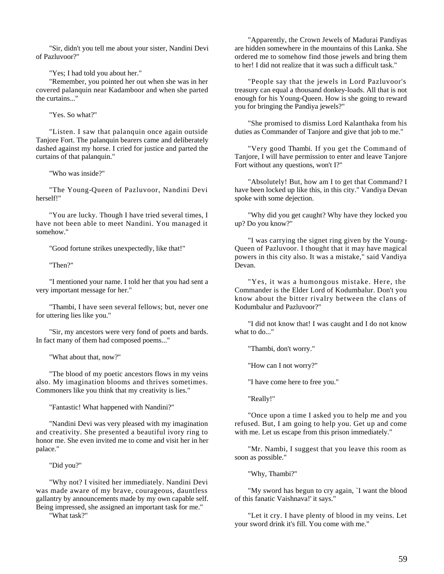"Sir, didn't you tell me about your sister, Nandini Devi of Pazluvoor?"

"Yes; I had told you about her."

"Remember, you pointed her out when she was in her covered palanquin near Kadamboor and when she parted the curtains..."

"Yes. So what?"

"Listen. I saw that palanquin once again outside Tanjore Fort. The palanquin bearers came and deliberately dashed against my horse. I cried for justice and parted the curtains of that palanquin."

"Who was inside?"

"The Young-Queen of Pazluvoor, Nandini Devi herself!"

"You are lucky. Though I have tried several times, I have not been able to meet Nandini. You managed it somehow."

"Good fortune strikes unexpectedly, like that!"

"Then?"

"I mentioned your name. I told her that you had sent a very important message for her."

"Thambi, I have seen several fellows; but, never one for uttering lies like you."

"Sir, my ancestors were very fond of poets and bards. In fact many of them had composed poems..."

"What about that, now?"

"The blood of my poetic ancestors flows in my veins also. My imagination blooms and thrives sometimes. Commoners like you think that my creativity is lies."

"Fantastic! What happened with Nandini?"

"Nandini Devi was very pleased with my imagination and creativity. She presented a beautiful ivory ring to honor me. She even invited me to come and visit her in her palace."

"Did you?"

"Why not? I visited her immediately. Nandini Devi was made aware of my brave, courageous, dauntless gallantry by announcements made by my own capable self. Being impressed, she assigned an important task for me."

"What task?"

"Apparently, the Crown Jewels of Madurai Pandiyas are hidden somewhere in the mountains of this Lanka. She ordered me to somehow find those jewels and bring them to her! I did not realize that it was such a difficult task."

"People say that the jewels in Lord Pazluvoor's treasury can equal a thousand donkey-loads. All that is not enough for his Young-Queen. How is she going to reward you for bringing the Pandiya jewels?"

"She promised to dismiss Lord Kalanthaka from his duties as Commander of Tanjore and give that job to me."

"Very good Thambi. If you get the Command of Tanjore, I will have permission to enter and leave Tanjore Fort without any questions, won't I?"

"Absolutely! But, how am I to get that Command? I have been locked up like this, in this city." Vandiya Devan spoke with some dejection.

"Why did you get caught? Why have they locked you up? Do you know?"

"I was carrying the signet ring given by the Young-Queen of Pazluvoor. I thought that it may have magical powers in this city also. It was a mistake," said Vandiya Devan.

"Yes, it was a humongous mistake. Here, the Commander is the Elder Lord of Kodumbalur. Don't you know about the bitter rivalry between the clans of Kodumbalur and Pazluvoor?"

"I did not know that! I was caught and I do not know what to do..."

"Thambi, don't worry."

"How can I not worry?"

"I have come here to free you."

"Really!"

"Once upon a time I asked you to help me and you refused. But, I am going to help you. Get up and come with me. Let us escape from this prison immediately."

"Mr. Nambi, I suggest that you leave this room as soon as possible."

"Why, Thambi?"

"My sword has begun to cry again, `I want the blood of this fanatic Vaishnava!' it says."

"Let it cry. I have plenty of blood in my veins. Let your sword drink it's fill. You come with me."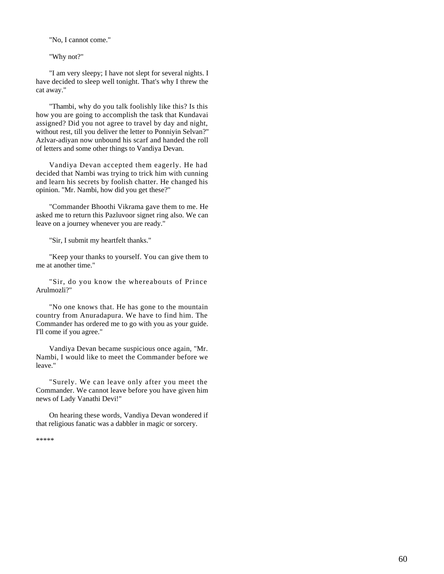"No, I cannot come."

"Why not?"

"I am very sleepy; I have not slept for several nights. I have decided to sleep well tonight. That's why I threw the cat away."

"Thambi, why do you talk foolishly like this? Is this how you are going to accomplish the task that Kundavai assigned? Did you not agree to travel by day and night, without rest, till you deliver the letter to Ponniyin Selvan?" Azlvar-adiyan now unbound his scarf and handed the roll of letters and some other things to Vandiya Devan.

Vandiya Devan accepted them eagerly. He had decided that Nambi was trying to trick him with cunning and learn his secrets by foolish chatter. He changed his opinion. "Mr. Nambi, how did you get these?"

"Commander Bhoothi Vikrama gave them to me. He asked me to return this Pazluvoor signet ring also. We can leave on a journey whenever you are ready."

"Sir, I submit my heartfelt thanks."

"Keep your thanks to yourself. You can give them to me at another time."

"Sir, do you know the whereabouts of Prince Arulmozli?"

"No one knows that. He has gone to the mountain country from Anuradapura. We have to find him. The Commander has ordered me to go with you as your guide. I'll come if you agree."

Vandiya Devan became suspicious once again, "Mr. Nambi, I would like to meet the Commander before we leave."

"Surely. We can leave only after you meet the Commander. We cannot leave before you have given him news of Lady Vanathi Devi!"

On hearing these words, Vandiya Devan wondered if that religious fanatic was a dabbler in magic or sorcery.

\*\*\*\*\*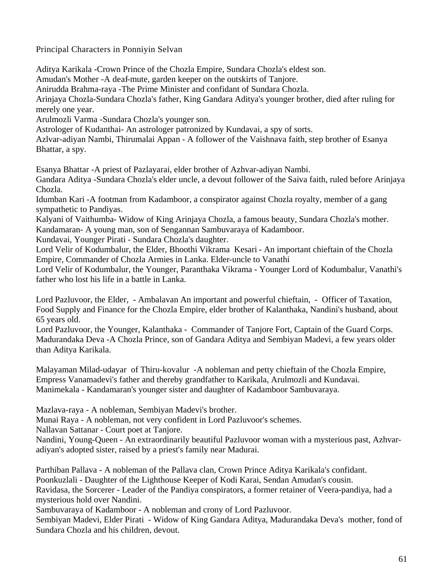Principal Characters in Ponniyin Selvan

Aditya Karikala -Crown Prince of the Chozla Empire, Sundara Chozla's eldest son.

Amudan's Mother -A deaf-mute, garden keeper on the outskirts of Tanjore.

Anirudda Brahma-raya -The Prime Minister and confidant of Sundara Chozla.

Arinjaya Chozla-Sundara Chozla's father, King Gandara Aditya's younger brother, died after ruling for merely one year.

Arulmozli Varma -Sundara Chozla's younger son.

Astrologer of Kudanthai- An astrologer patronized by Kundavai, a spy of sorts.

Azlvar-adiyan Nambi, Thirumalai Appan - A follower of the Vaishnava faith, step brother of Esanya Bhattar, a spy.

Esanya Bhattar -A priest of Pazlayarai, elder brother of Azhvar-adiyan Nambi.

Gandara Aditya -Sundara Chozla's elder uncle, a devout follower of the Saiva faith, ruled before Arinjaya Chozla.

Idumban Kari -A footman from Kadamboor, a conspirator against Chozla royalty, member of a gang sympathetic to Pandiyas.

Kalyani of Vaithumba- Widow of King Arinjaya Chozla, a famous beauty, Sundara Chozla's mother. Kandamaran- A young man, son of Sengannan Sambuvaraya of Kadamboor.

Kundavai, Younger Pirati - Sundara Chozla's daughter.

Lord Velir of Kodumbalur, the Elder, Bhoothi Vikrama Kesari - An important chieftain of the Chozla Empire, Commander of Chozla Armies in Lanka. Elder-uncle to Vanathi

Lord Velir of Kodumbalur, the Younger, Paranthaka Vikrama - Younger Lord of Kodumbalur, Vanathi's father who lost his life in a battle in Lanka.

Lord Pazluvoor, the Elder, - Ambalavan An important and powerful chieftain, - Officer of Taxation, Food Supply and Finance for the Chozla Empire, elder brother of Kalanthaka, Nandini's husband, about 65 years old.

Lord Pazluvoor, the Younger, Kalanthaka - Commander of Tanjore Fort, Captain of the Guard Corps. Madurandaka Deva -A Chozla Prince, son of Gandara Aditya and Sembiyan Madevi, a few years older than Aditya Karikala.

Malayaman Milad-udayar of Thiru-kovalur -A nobleman and petty chieftain of the Chozla Empire, Empress Vanamadevi's father and thereby grandfather to Karikala, Arulmozli and Kundavai. Manimekala - Kandamaran's younger sister and daughter of Kadamboor Sambuvaraya.

Mazlava-raya - A nobleman, Sembiyan Madevi's brother.

Munai Raya - A nobleman, not very confident in Lord Pazluvoor's schemes.

Nallavan Sattanar - Court poet at Tanjore.

Nandini, Young-Queen - An extraordinarily beautiful Pazluvoor woman with a mysterious past, Azhvaradiyan's adopted sister, raised by a priest's family near Madurai.

Parthiban Pallava - A nobleman of the Pallava clan, Crown Prince Aditya Karikala's confidant.

Poonkuzlali - Daughter of the Lighthouse Keeper of Kodi Karai, Sendan Amudan's cousin.

Ravidasa, the Sorcerer - Leader of the Pandiya conspirators, a former retainer of Veera-pandiya, had a mysterious hold over Nandini.

Sambuvaraya of Kadamboor - A nobleman and crony of Lord Pazluvoor.

Sembiyan Madevi, Elder Pirati - Widow of King Gandara Aditya, Madurandaka Deva's mother, fond of Sundara Chozla and his children, devout.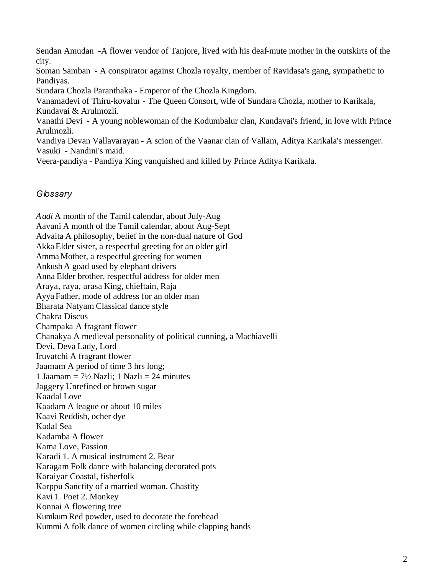Sendan Amudan -A flower vendor of Tanjore, lived with his deaf-mute mother in the outskirts of the city.

Soman Samban - A conspirator against Chozla royalty, member of Ravidasa's gang, sympathetic to Pandiyas.

Sundara Chozla Paranthaka - Emperor of the Chozla Kingdom.

Vanamadevi of Thiru-kovalur - The Queen Consort, wife of Sundara Chozla, mother to Karikala, Kundavai & Arulmozli.

Vanathi Devi - A young noblewoman of the Kodumbalur clan, Kundavai's friend, in love with Prince Arulmozli.

Vandiya Devan Vallavarayan - A scion of the Vaanar clan of Vallam, Aditya Karikala's messenger. Vasuki - Nandini's maid.

Veera-pandiya - Pandiya King vanquished and killed by Prince Aditya Karikala.

### *Glossary*

*Aadi* A month of the Tamil calendar, about July-Aug Aavani A month of the Tamil calendar, about Aug-Sept Advaita A philosophy, belief in the non-dual nature of God Akka Elder sister, a respectful greeting for an older girl Amma Mother, a respectful greeting for women Ankush A goad used by elephant drivers Anna Elder brother, respectful address for older men Araya, raya, arasa King, chieftain, Raja Ayya Father, mode of address for an older man Bharata Natyam Classical dance style Chakra Discus Champaka A fragrant flower Chanakya A medieval personality of political cunning, a Machiavelli Devi, Deva Lady, Lord Iruvatchi A fragrant flower Jaamam A period of time 3 hrs long; 1 Jaamam =  $7\frac{1}{2}$  Nazli; 1 Nazli = 24 minutes Jaggery Unrefined or brown sugar Kaadal Love Kaadam A league or about 10 miles Kaavi Reddish, ocher dye Kadal Sea Kadamba A flower Kama Love, Passion Karadi 1. A musical instrument 2. Bear Karagam Folk dance with balancing decorated pots Karaiyar Coastal, fisherfolk Karppu Sanctity of a married woman. Chastity Kavi 1. Poet 2. Monkey Konnai A flowering tree Kumkum Red powder, used to decorate the forehead Kummi A folk dance of women circling while clapping hands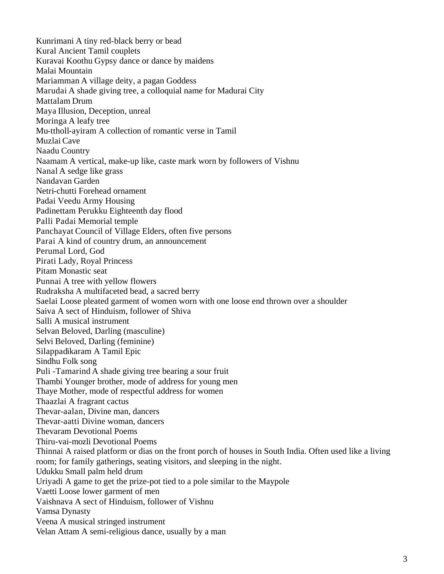Kunrimani A tiny red-black berry or bead Kural Ancient Tamil couplets Kuravai Koothu Gypsy dance or dance by maidens Malai Mountain Mariamman A village deity, a pagan Goddess Marudai A shade giving tree, a colloquial name for Madurai City Mattalam Drum Maya Illusion, Deception, unreal Moringa A leafy tree Mu-ttholl-ayiram A collection of romantic verse in Tamil Muzlai Cave Naadu Country Naamam A vertical, make-up like, caste mark worn by followers of Vishnu Nanal A sedge like grass Nandavan Garden Netri-chutti Forehead ornament Padai Veedu Army Housing Padinettam Perukku Eighteenth day flood Palli Padai Memorial temple Panchayat Council of Village Elders, often five persons Parai A kind of country drum, an announcement Perumal Lord, God Pirati Lady, Royal Princess Pitam Monastic seat Punnai A tree with yellow flowers Rudraksha A multifaceted bead, a sacred berry Saelai Loose pleated garment of women worn with one loose end thrown over a shoulder Saiva A sect of Hinduism, follower of Shiva Salli A musical instrument Selvan Beloved, Darling (masculine) Selvi Beloved, Darling (feminine) Silappadikaram A Tamil Epic Sindhu Folk song Puli -Tamarind A shade giving tree bearing a sour fruit Thambi Younger brother, mode of address for young men Thaye Mother, mode of respectful address for women Thaazlai A fragrant cactus Thevar-aalan, Divine man, dancers Thevar-aatti Divine woman, dancers Thevaram Devotional Poems Thiru-vai-mozli Devotional Poems Thinnai A raised platform or dias on the front porch of houses in South India. Often used like a living room; for family gatherings, seating visitors, and sleeping in the night. Udukku Small palm held drum Uriyadi A game to get the prize-pot tied to a pole similar to the Maypole Vaetti Loose lower garment of men Vaishnava A sect of Hinduism, follower of Vishnu Vamsa Dynasty Veena A musical stringed instrument Velan Attam A semi-religious dance, usually by a man